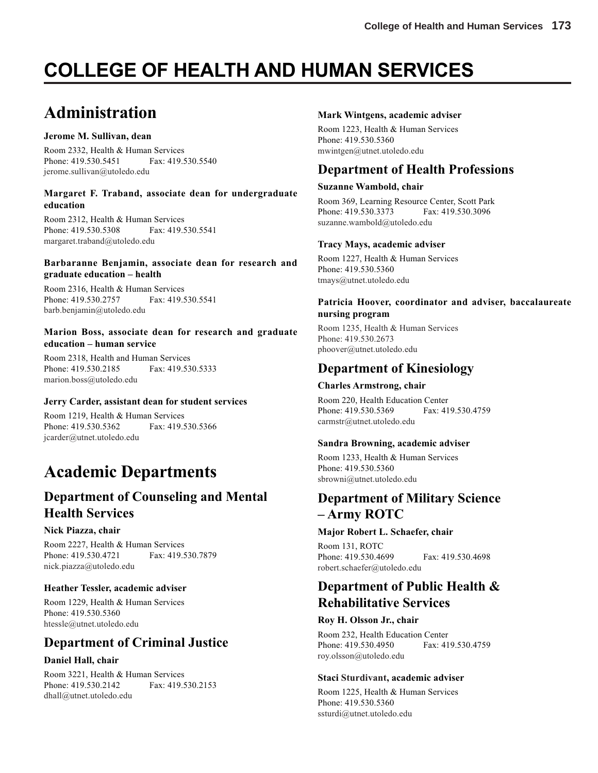# **COLLEGE OF HEALTH AND HUMAN SERVICES**

# **Administration**

#### **Jerome M. Sullivan, dean**

Room 2332, Health & Human Services Phone: 419.530.5451 Fax: 419.530.5540 jerome.sullivan@utoledo.edu

#### **Margaret F. Traband, associate dean for undergraduate education**

Room 2312, Health & Human Services Phone: 419.530.5308 Fax: 419.530.5541 margaret.traband@utoledo.edu

#### **Barbaranne Benjamin, associate dean for research and graduate education – health**

Room 2316, Health & Human Services Phone: 419.530.2757 Fax: 419.530.5541 barb.benjamin@utoledo.edu

#### **Marion Boss, associate dean for research and graduate education – human service**

Room 2318, Health and Human Services Phone: 419.530.2185 Fax: 419.530.5333 marion.boss@utoledo.edu

#### **Jerry Carder, assistant dean for student services**

Room 1219, Health & Human Services Phone: 419.530.5362 Fax: 419.530.5366 jcarder@utnet.utoledo.edu

# **Academic Departments**

## **Department of Counseling and Mental Health Services**

#### **Nick Piazza, chair**

Room 2227, Health & Human Services Phone: 419.530.4721 Fax: 419.530.7879 nick.piazza@utoledo.edu

#### **Heather Tessler, academic adviser**

Room 1229, Health & Human Services Phone: 419.530.5360 htessle@utnet.utoledo.edu

## **Department of Criminal Justice**

#### **Daniel Hall, chair**

Room 3221, Health & Human Services Phone: 419.530.2142 Fax: 419.530.2153 dhall@utnet.utoledo.edu

#### **Mark Wintgens, academic adviser**

Room 1223, Health & Human Services Phone: 419.530.5360 mwintgen@utnet.utoledo.edu

## **Department of Health Professions**

#### **Suzanne Wambold, chair**

Room 369, Learning Resource Center, Scott Park Phone: 419.530.3373 Fax: 419.530.3096 suzanne.wambold@utoledo.edu

#### **Tracy Mays, academic adviser**

Room 1227, Health & Human Services Phone: 419.530.5360 tmays@utnet.utoledo.edu

#### **Patricia Hoover, coordinator and adviser, baccalaureate nursing program**

Room 1235, Health & Human Services Phone: 419.530.2673 phoover@utnet.utoledo.edu

## **Department of Kinesiology**

#### **Charles Armstrong, chair**

Room 220, Health Education Center Phone: 419.530.5369 Fax: 419.530.4759 carmstr@utnet.utoledo.edu

#### **Sandra Browning, academic adviser**

Room 1233, Health & Human Services Phone: 419.530.5360 sbrowni@utnet.utoledo.edu

## **Department of Military Science – Army ROTC**

#### **Major Robert L. Schaefer, chair**

Room 131, ROTC Phone: 419.530.4699 Fax: 419.530.4698 robert.schaefer@utoledo.edu

## **Department of Public Health & Rehabilitative Services**

#### **Roy H. Olsson Jr., chair**

Room 232, Health Education Center Phone: 419.530.4950 Fax: 419.530.4759 roy.olsson@utoledo.edu

#### **Staci Sturdivant, academic adviser**

Room 1225, Health & Human Services Phone: 419.530.5360 ssturdi@utnet.utoledo.edu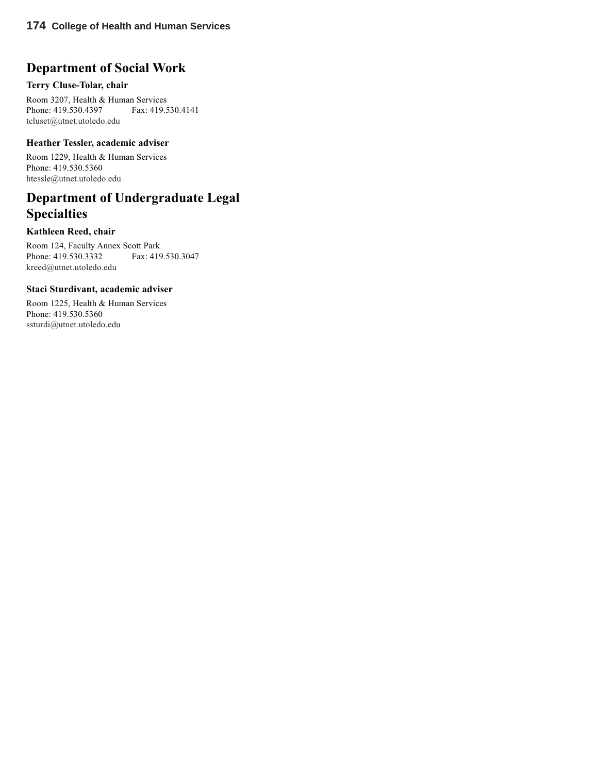## **Department of Social Work**

#### **Terry Cluse-Tolar, chair**

Room 3207, Health & Human Services Phone: 419.530.4397 Fax: 419.530.4141 tcluset@utnet.utoledo.edu

#### **Heather Tessler, academic adviser**

Room 1229, Health & Human Services Phone: 419.530.5360 htessle@utnet.utoledo.edu

## **Department of Undergraduate Legal Specialties**

#### **Kathleen Reed, chair**

Room 124, Faculty Annex Scott Park Phone: 419.530.3332 Fax: 419.530.3047 kreed@utnet.utoledo.edu

#### **Staci Sturdivant, academic adviser**

Room 1225, Health & Human Services Phone: 419.530.5360 ssturdi@utnet.utoledo.edu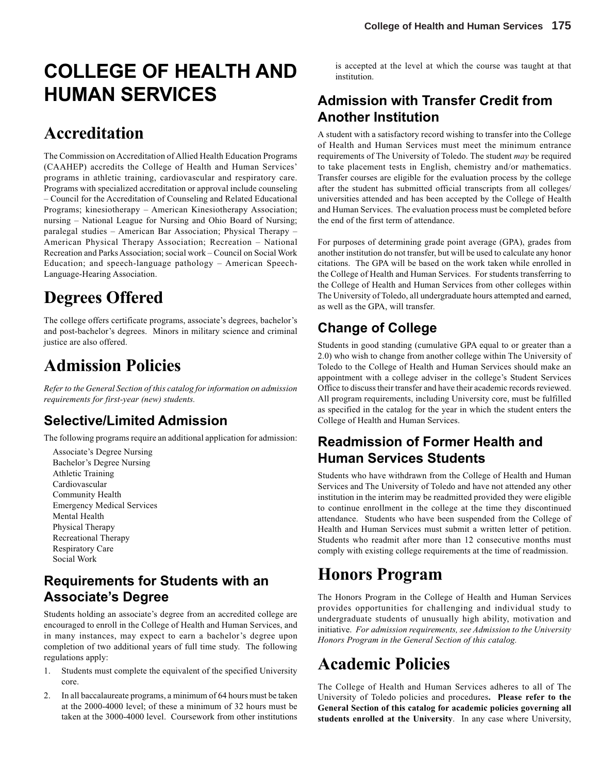# **COLLEGE OF HEALTH AND HUMAN SERVICES**

## **Accreditation**

The Commission on Accreditation of Allied Health Education Programs (CAAHEP) accredits the College of Health and Human Services' programs in athletic training, cardiovascular and respiratory care. Programs with specialized accreditation or approval include counseling – Council for the Accreditation of Counseling and Related Educational Programs; kinesiotherapy – American Kinesiotherapy Association; nursing – National League for Nursing and Ohio Board of Nursing; paralegal studies – American Bar Association; Physical Therapy – American Physical Therapy Association; Recreation – National Recreation and Parks Association; social work – Council on Social Work Education; and speech-language pathology – American Speech-Language-Hearing Association.

# **Degrees Offered**

The college offers certificate programs, associate's degrees, bachelor's and post-bachelor's degrees. Minors in military science and criminal justice are also offered.

# **Admission Policies**

*Refer to the General Section of this catalog for information on admission requirements for first-year (new) students.*

## **Selective/Limited Admission**

The following programs require an additional application for admission:

Associate's Degree Nursing Bachelor's Degree Nursing Athletic Training Cardiovascular Community Health Emergency Medical Services Mental Health Physical Therapy Recreational Therapy Respiratory Care Social Work

## **Requirements for Students with an Associate's Degree**

Students holding an associate's degree from an accredited college are encouraged to enroll in the College of Health and Human Services, and in many instances, may expect to earn a bachelor's degree upon completion of two additional years of full time study. The following regulations apply:

- 1. Students must complete the equivalent of the specified University core.
- 2. In all baccalaureate programs, a minimum of 64 hours must be taken at the 2000-4000 level; of these a minimum of 32 hours must be taken at the 3000-4000 level. Coursework from other institutions

is accepted at the level at which the course was taught at that institution.

## **Admission with Transfer Credit from Another Institution**

A student with a satisfactory record wishing to transfer into the College of Health and Human Services must meet the minimum entrance requirements of The University of Toledo. The student *may* be required to take placement tests in English, chemistry and/or mathematics. Transfer courses are eligible for the evaluation process by the college after the student has submitted official transcripts from all colleges/ universities attended and has been accepted by the College of Health and Human Services. The evaluation process must be completed before the end of the first term of attendance.

For purposes of determining grade point average (GPA), grades from another institution do not transfer, but will be used to calculate any honor citations. The GPA will be based on the work taken while enrolled in the College of Health and Human Services. For students transferring to the College of Health and Human Services from other colleges within The University of Toledo, all undergraduate hours attempted and earned, as well as the GPA, will transfer.

## **Change of College**

Students in good standing (cumulative GPA equal to or greater than a 2.0) who wish to change from another college within The University of Toledo to the College of Health and Human Services should make an appointment with a college adviser in the college's Student Services Office to discuss their transfer and have their academic records reviewed. All program requirements, including University core, must be fulfilled as specified in the catalog for the year in which the student enters the College of Health and Human Services.

## **Readmission of Former Health and Human Services Students**

Students who have withdrawn from the College of Health and Human Services and The University of Toledo and have not attended any other institution in the interim may be readmitted provided they were eligible to continue enrollment in the college at the time they discontinued attendance. Students who have been suspended from the College of Health and Human Services must submit a written letter of petition. Students who readmit after more than 12 consecutive months must comply with existing college requirements at the time of readmission.

# **Honors Program**

The Honors Program in the College of Health and Human Services provides opportunities for challenging and individual study to undergraduate students of unusually high ability, motivation and initiative. *For admission requirements, see Admission to the University Honors Program in the General Section of this catalog.*

# **Academic Policies**

The College of Health and Human Services adheres to all of The University of Toledo policies and procedures**. Please refer to the General Section of this catalog for academic policies governing all students enrolled at the University**. In any case where University,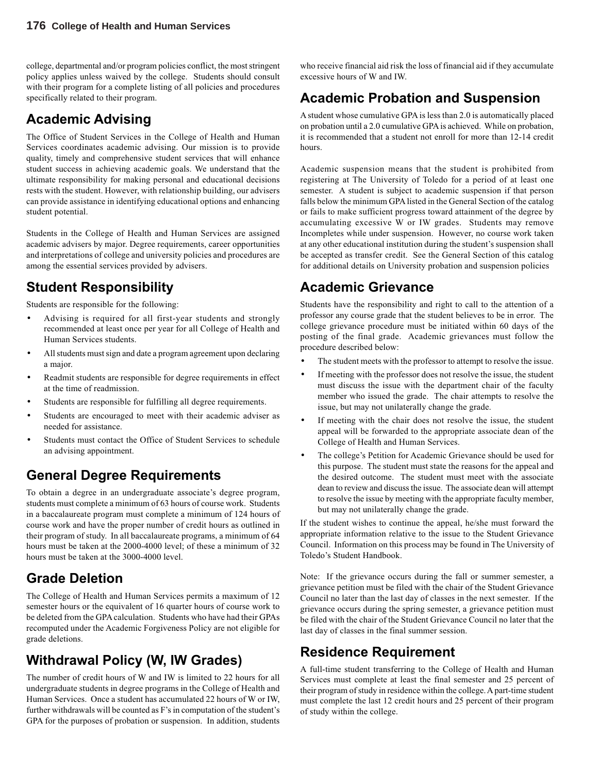college, departmental and/or program policies conflict, the most stringent policy applies unless waived by the college. Students should consult with their program for a complete listing of all policies and procedures specifically related to their program.

## **Academic Advising**

The Office of Student Services in the College of Health and Human Services coordinates academic advising. Our mission is to provide quality, timely and comprehensive student services that will enhance student success in achieving academic goals. We understand that the ultimate responsibility for making personal and educational decisions rests with the student. However, with relationship building, our advisers can provide assistance in identifying educational options and enhancing student potential.

Students in the College of Health and Human Services are assigned academic advisers by major. Degree requirements, career opportunities and interpretations of college and university policies and procedures are among the essential services provided by advisers.

## **Student Responsibility**

Students are responsible for the following:

- Advising is required for all first-year students and strongly recommended at least once per year for all College of Health and Human Services students.
- All students must sign and date a program agreement upon declaring a major.
- Readmit students are responsible for degree requirements in effect at the time of readmission.
- Students are responsible for fulfilling all degree requirements.
- Students are encouraged to meet with their academic adviser as needed for assistance.
- Students must contact the Office of Student Services to schedule an advising appointment.

## **General Degree Requirements**

To obtain a degree in an undergraduate associate's degree program, students must complete a minimum of 63 hours of course work. Students in a baccalaureate program must complete a minimum of 124 hours of course work and have the proper number of credit hours as outlined in their program of study. In all baccalaureate programs, a minimum of 64 hours must be taken at the 2000-4000 level; of these a minimum of 32 hours must be taken at the 3000-4000 level.

## **Grade Deletion**

The College of Health and Human Services permits a maximum of 12 semester hours or the equivalent of 16 quarter hours of course work to be deleted from the GPA calculation. Students who have had their GPAs recomputed under the Academic Forgiveness Policy are not eligible for grade deletions.

## **Withdrawal Policy (W, IW Grades)**

The number of credit hours of W and IW is limited to 22 hours for all undergraduate students in degree programs in the College of Health and Human Services. Once a student has accumulated 22 hours of W or IW, further withdrawals will be counted as F's in computation of the student's GPA for the purposes of probation or suspension. In addition, students

who receive financial aid risk the loss of financial aid if they accumulate excessive hours of W and IW.

## **Academic Probation and Suspension**

A student whose cumulative GPA is less than 2.0 is automatically placed on probation until a 2.0 cumulative GPA is achieved. While on probation, it is recommended that a student not enroll for more than 12-14 credit hours.

Academic suspension means that the student is prohibited from registering at The University of Toledo for a period of at least one semester. A student is subject to academic suspension if that person falls below the minimum GPA listed in the General Section of the catalog or fails to make sufficient progress toward attainment of the degree by accumulating excessive W or IW grades. Students may remove Incompletes while under suspension. However, no course work taken at any other educational institution during the student's suspension shall be accepted as transfer credit. See the General Section of this catalog for additional details on University probation and suspension policies

## **Academic Grievance**

Students have the responsibility and right to call to the attention of a professor any course grade that the student believes to be in error. The college grievance procedure must be initiated within 60 days of the posting of the final grade. Academic grievances must follow the procedure described below:

- The student meets with the professor to attempt to resolve the issue.
- If meeting with the professor does not resolve the issue, the student must discuss the issue with the department chair of the faculty member who issued the grade. The chair attempts to resolve the issue, but may not unilaterally change the grade.
- If meeting with the chair does not resolve the issue, the student appeal will be forwarded to the appropriate associate dean of the College of Health and Human Services.
- The college's Petition for Academic Grievance should be used for this purpose. The student must state the reasons for the appeal and the desired outcome. The student must meet with the associate dean to review and discuss the issue. The associate dean will attempt to resolve the issue by meeting with the appropriate faculty member, but may not unilaterally change the grade.

If the student wishes to continue the appeal, he/she must forward the appropriate information relative to the issue to the Student Grievance Council. Information on this process may be found in The University of Toledo's Student Handbook.

Note: If the grievance occurs during the fall or summer semester, a grievance petition must be filed with the chair of the Student Grievance Council no later than the last day of classes in the next semester. If the grievance occurs during the spring semester, a grievance petition must be filed with the chair of the Student Grievance Council no later that the last day of classes in the final summer session.

## **Residence Requirement**

A full-time student transferring to the College of Health and Human Services must complete at least the final semester and 25 percent of their program of study in residence within the college. A part-time student must complete the last 12 credit hours and 25 percent of their program of study within the college.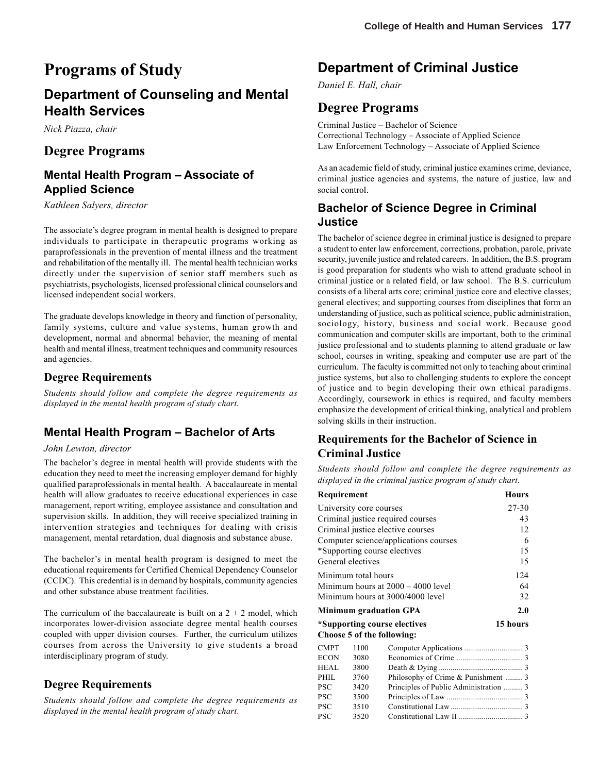# **Programs of Study**

## **Department of Counseling and Mental Health Services**

*Nick Piazza, chair*

## **Degree Programs**

## **Mental Health Program – Associate of Applied Science**

*Kathleen Salyers, director*

The associate's degree program in mental health is designed to prepare individuals to participate in therapeutic programs working as paraprofessionals in the prevention of mental illness and the treatment and rehabilitation of the mentally ill. The mental health technician works directly under the supervision of senior staff members such as psychiatrists, psychologists, licensed professional clinical counselors and licensed independent social workers.

The graduate develops knowledge in theory and function of personality, family systems, culture and value systems, human growth and development, normal and abnormal behavior, the meaning of mental health and mental illness, treatment techniques and community resources and agencies.

#### **Degree Requirements**

*Students should follow and complete the degree requirements as displayed in the mental health program of study chart.*

## **Mental Health Program – Bachelor of Arts**

#### *John Lewton, director*

The bachelor's degree in mental health will provide students with the education they need to meet the increasing employer demand for highly qualified paraprofessionals in mental health. A baccalaureate in mental health will allow graduates to receive educational experiences in case management, report writing, employee assistance and consultation and supervision skills. In addition, they will receive specialized training in intervention strategies and techniques for dealing with crisis management, mental retardation, dual diagnosis and substance abuse.

The bachelor's in mental health program is designed to meet the educational requirements for Certified Chemical Dependency Counselor (CCDC). This credential is in demand by hospitals, community agencies and other substance abuse treatment facilities.

The curriculum of the baccalaureate is built on a  $2 + 2$  model, which incorporates lower-division associate degree mental health courses coupled with upper division courses. Further, the curriculum utilizes courses from across the University to give students a broad interdisciplinary program of study.

#### **Degree Requirements**

*Students should follow and complete the degree requirements as displayed in the mental health program of study chart.*

## **Department of Criminal Justice**

*Daniel E. Hall, chair*

## **Degree Programs**

Criminal Justice – Bachelor of Science Correctional Technology – Associate of Applied Science Law Enforcement Technology – Associate of Applied Science

As an academic field of study, criminal justice examines crime, deviance, criminal justice agencies and systems, the nature of justice, law and social control.

## **Bachelor of Science Degree in Criminal Justice**

The bachelor of science degree in criminal justice is designed to prepare a student to enter law enforcement, corrections, probation, parole, private security, juvenile justice and related careers. In addition, the B.S. program is good preparation for students who wish to attend graduate school in criminal justice or a related field, or law school. The B.S. curriculum consists of a liberal arts core; criminal justice core and elective classes; general electives; and supporting courses from disciplines that form an understanding of justice, such as political science, public administration, sociology, history, business and social work. Because good communication and computer skills are important, both to the criminal justice professional and to students planning to attend graduate or law school, courses in writing, speaking and computer use are part of the curriculum. The faculty is committed not only to teaching about criminal justice systems, but also to challenging students to explore the concept of justice and to begin developing their own ethical paradigms. Accordingly, coursework in ethics is required, and faculty members emphasize the development of critical thinking, analytical and problem solving skills in their instruction.

## **Requirements for the Bachelor of Science in Criminal Justice**

*Students should follow and complete the degree requirements as displayed in the criminal justice program of study chart.*

| Requirement                       |                     |                                        | <b>Hours</b> |
|-----------------------------------|---------------------|----------------------------------------|--------------|
| University core courses           | 27-30               |                                        |              |
| Criminal justice required courses | 43                  |                                        |              |
|                                   |                     | Criminal justice elective courses      | 12           |
|                                   |                     | Computer science/applications courses  | 6            |
|                                   |                     | *Supporting course electives           | 15           |
|                                   | General electives   |                                        | 15           |
|                                   | Minimum total hours |                                        | 124          |
|                                   |                     | Minimum hours at $2000 - 4000$ level   | 64           |
|                                   |                     | Minimum hours at 3000/4000 level       | 32           |
|                                   |                     | <b>Minimum graduation GPA</b>          | 2.0          |
|                                   |                     | *Supporting course electives           | 15 hours     |
|                                   |                     | Choose 5 of the following:             |              |
| <b>CMPT</b>                       | 1100                |                                        |              |
| <b>ECON</b>                       | 3080                |                                        |              |
| HEAL                              | 3800                |                                        |              |
| PHIL                              | 3760                | Philosophy of Crime & Punishment  3    |              |
| <b>PSC</b>                        | 3420                | Principles of Public Administration  3 |              |
| <b>PSC</b>                        | 3500                |                                        |              |
| PSC                               | 3510                |                                        |              |
| <b>PSC</b>                        | 3520                |                                        |              |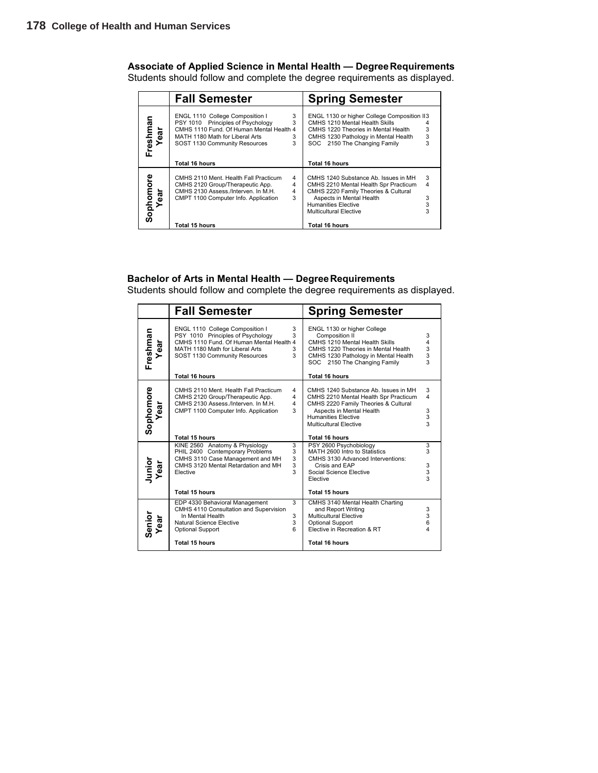## **Associate of Applied Science in Mental Health — Degree Requirements**

Students should follow and complete the degree requirements as displayed.

|                                    | <b>Fall Semester</b>                                                                                                                                                                                     | <b>Spring Semester</b>                                                                                                                                                                                                               |
|------------------------------------|----------------------------------------------------------------------------------------------------------------------------------------------------------------------------------------------------------|--------------------------------------------------------------------------------------------------------------------------------------------------------------------------------------------------------------------------------------|
| Freshman<br>Year                   | ENGL 1110 College Composition I<br>3<br>PSY 1010 Principles of Psychology<br>3<br>CMHS 1110 Fund. Of Human Mental Health 4<br>MATH 1180 Math for Liberal Arts<br>3<br>3<br>SOST 1130 Community Resources | ENGL 1130 or higher College Composition II3<br>CMHS 1210 Mental Health Skills<br>3<br>CMHS 1220 Theories in Mental Health<br>3<br>CMHS 1230 Pathology in Mental Health<br>SOC 2150 The Changing Family<br>3                          |
|                                    | <b>Total 16 hours</b>                                                                                                                                                                                    | <b>Total 16 hours</b>                                                                                                                                                                                                                |
| Sophomore<br><sup>Vear</sup><br>ēā | CMHS 2110 Ment. Health Fall Practicum<br>4<br>CMHS 2120 Group/Therapeutic App.<br>4<br>CMHS 2130 Assess./Interven. In M.H.<br>4<br>3<br>CMPT 1100 Computer Info. Application                             | 3<br>CMHS 1240 Substance Ab. Issues in MH<br>4<br>CMHS 2210 Mental Health Spr Practicum<br>CMHS 2220 Family Theories & Cultural<br>Aspects in Mental Health<br>3<br>3<br><b>Humanities Elective</b><br><b>Multicultural Elective</b> |
|                                    | Total 15 hours                                                                                                                                                                                           | Total 16 hours                                                                                                                                                                                                                       |

#### **Bachelor of Arts in Mental Health — Degree Requirements**

Students should follow and complete the degree requirements as displayed.

|                   | <b>Fall Semester</b>                                                                                                                                                                                                       | <b>Spring Semester</b>                                                                                                                                                                                                                                                                                |
|-------------------|----------------------------------------------------------------------------------------------------------------------------------------------------------------------------------------------------------------------------|-------------------------------------------------------------------------------------------------------------------------------------------------------------------------------------------------------------------------------------------------------------------------------------------------------|
| Freshman<br>Year  | 3<br>ENGL 1110 College Composition I<br>PSY 1010 Principles of Psychology<br>3<br>CMHS 1110 Fund. Of Human Mental Health 4<br>MATH 1180 Math for Liberal Arts<br>3<br>3<br>SOST 1130 Community Resources<br>Total 16 hours | ENGL 1130 or higher College<br>Composition II<br>3<br>CMHS 1210 Mental Health Skills<br>$\overline{\mathbf{4}}$<br>$\begin{array}{c} 3 \\ 3 \\ 3 \end{array}$<br>CMHS 1220 Theories in Mental Health<br>CMHS 1230 Pathology in Mental Health<br>SOC 2150 The Changing Family<br><b>Total 16 hours</b> |
| Sophomore<br>Year | CMHS 2110 Ment. Health Fall Practicum<br>4<br>4<br>CMHS 2120 Group/Therapeutic App.<br>CMHS 2130 Assess /Interven. In M.H.<br>$\overline{\mathbf{4}}$<br>3<br>CMPT 1100 Computer Info. Application                         | 3<br>CMHS 1240 Substance Ab. Issues in MH<br>$\overline{\mathbf{4}}$<br>CMHS 2210 Mental Health Spr Practicum<br>CMHS 2220 Family Theories & Cultural<br>3<br>Aspects in Mental Health<br>3<br><b>Humanities Elective</b><br>$\overline{3}$<br><b>Multicultural Elective</b>                          |
| Junior<br>Year    | Total 15 hours<br>KINE 2560 Anatomy & Physiology<br>3<br>3<br>PHIL 2400 Contemporary Problems<br>CMHS 3110 Case Management and MH<br>3<br>CMHS 3120 Mental Retardation and MH<br>3<br>3<br>Elective<br>Total 15 hours      | <b>Total 16 hours</b><br>PSY 2600 Psychobiology<br>3<br>MATH 2600 Intro to Statistics<br>3<br>CMHS 3130 Advanced Interventions:<br>3<br>Crisis and EAP<br>3<br>Social Science Elective<br>Elective<br>Total 15 hours                                                                                  |
| Senior<br>Year    | 3<br>EDP 4330 Behavioral Management<br>CMHS 4110 Consultation and Supervision<br>In Mental Health<br>3<br>3<br>Natural Science Elective<br>6<br><b>Optional Support</b><br><b>Total 15 hours</b>                           | CMHS 3140 Mental Health Charting<br>3<br>and Report Writing<br>3<br><b>Multicultural Elective</b><br>6<br>Optional Support<br>4<br>Elective in Recreation & RT<br><b>Total 16 hours</b>                                                                                                               |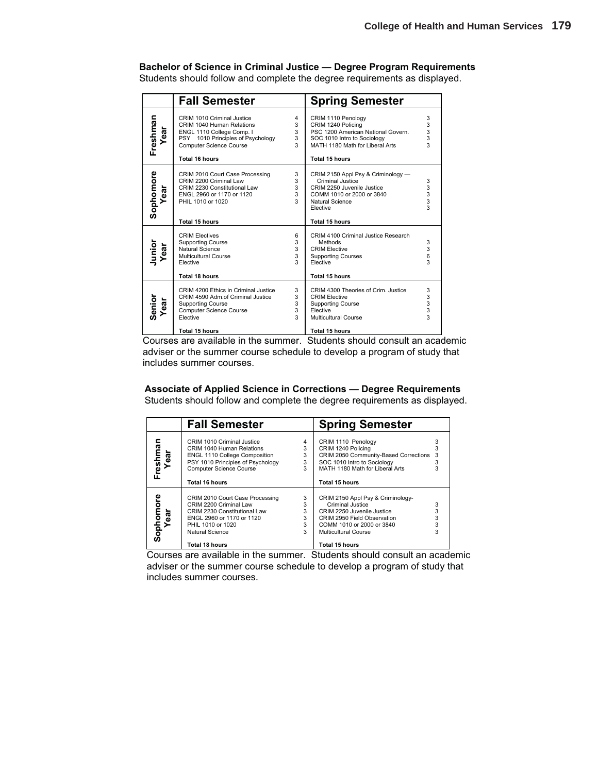#### **Bachelor of Science in Criminal Justice — Degree Program Requirements**

Students should follow and complete the degree requirements as displayed.

|                   | <b>Fall Semester</b>                                                                                                                                                          |                                             | <b>Spring Semester</b>                                                                                                                                                    |                                                 |
|-------------------|-------------------------------------------------------------------------------------------------------------------------------------------------------------------------------|---------------------------------------------|---------------------------------------------------------------------------------------------------------------------------------------------------------------------------|-------------------------------------------------|
| Freshman<br>Year  | CRIM 1010 Criminal Justice<br>CRIM 1040 Human Relations<br>ENGL 1110 College Comp. I<br>PSY 1010 Principles of Psychology<br><b>Computer Science Course</b><br>Total 16 hours | 4<br>3<br>3<br>3<br>$\overline{3}$          | CRIM 1110 Penology<br>CRIM 1240 Policing<br>PSC 1200 American National Govern.<br>SOC 1010 Intro to Sociology<br>MATH 1180 Math for Liberal Arts<br>Total 15 hours        | 3<br>$\begin{array}{c} 3 \\ 3 \\ 3 \end{array}$ |
| Sophomore<br>Year | CRIM 2010 Court Case Processing<br>CRIM 2200 Criminal Law<br>CRIM 2230 Constitutional Law<br>ENGL 2960 or 1170 or 1120<br>PHIL 1010 or 1020<br><b>Total 15 hours</b>          | 3<br>3<br>3<br>3<br>3                       | CRIM 2150 Appl Psy & Criminology -<br>Criminal Justice<br>CRIM 2250 Juvenile Justice<br>COMM 1010 or 2000 or 3840<br>Natural Science<br>Elective<br><b>Total 15 hours</b> | 3<br>3<br>$\frac{3}{3}$<br>3                    |
| Junior<br>Year    | <b>CRIM Electives</b><br><b>Supporting Course</b><br>Natural Science<br>Multicultural Course<br>Elective<br><b>Total 18 hours</b>                                             | 6<br>3<br>3<br>3<br>$\overline{\mathbf{3}}$ | CRIM 4100 Criminal Justice Research<br>Methods<br><b>CRIM Elective</b><br><b>Supporting Courses</b><br>Elective<br><b>Total 15 hours</b>                                  | 3<br>3<br>6<br>3                                |
| Senior<br>Year    | CRIM 4200 Ethics in Criminal Justice<br>CRIM 4590 Adm.of Criminal Justice<br><b>Supporting Course</b><br><b>Computer Science Course</b><br>Elective<br><b>Total 15 hours</b>  | 3<br>3<br>3<br>3<br>$\overline{3}$          | CRIM 4300 Theories of Crim. Justice<br><b>CRIM Elective</b><br><b>Supporting Course</b><br>Elective<br><b>Multicultural Course</b><br><b>Total 15 hours</b>               | 3<br>3<br>3<br>3<br>3                           |

Courses are available in the summer. Students should consult an academic adviser or the summer course schedule to develop a program of study that includes summer courses.

#### **Associate of Applied Science in Corrections — Degree Requirements**

Students should follow and complete the degree requirements as displayed.

|                   | <b>Fall Semester</b>                                                                                                                                                                     |                            | <b>Spring Semester</b>                                                                                                                                                                    |                  |
|-------------------|------------------------------------------------------------------------------------------------------------------------------------------------------------------------------------------|----------------------------|-------------------------------------------------------------------------------------------------------------------------------------------------------------------------------------------|------------------|
| Freshman<br>Year  | CRIM 1010 Criminal Justice<br>CRIM 1040 Human Relations<br><b>ENGL 1110 College Composition</b><br>PSY 1010 Principles of Psychology<br><b>Computer Science Course</b><br>Total 16 hours | 4<br>3<br>3<br>3<br>3      | CRIM 1110 Penology<br>CRIM 1240 Policing<br>CRIM 2050 Community-Based Corrections<br>SOC 1010 Intro to Sociology<br>MATH 1180 Math for Liberal Arts<br>Total 15 hours                     | 3<br>3           |
| Sophomore<br>Year | CRIM 2010 Court Case Processing<br>CRIM 2200 Criminal Law<br>CRIM 2230 Constitutional Law<br>ENGL 2960 or 1170 or 1120<br>PHIL 1010 or 1020<br>Natural Science<br>Total 18 hours         | 3<br>3<br>3<br>3<br>3<br>3 | CRIM 2150 Appl Psy & Criminology-<br>Criminal Justice<br>CRIM 2250 Juvenile Justice<br>CRIM 2950 Field Observation<br>COMM 1010 or 2000 or 3840<br>Multicultural Course<br>Total 15 hours | 3<br>3<br>3<br>3 |

Courses are available in the summer. Students should consult an academic adviser or the summer course schedule to develop a program of study that includes summer courses.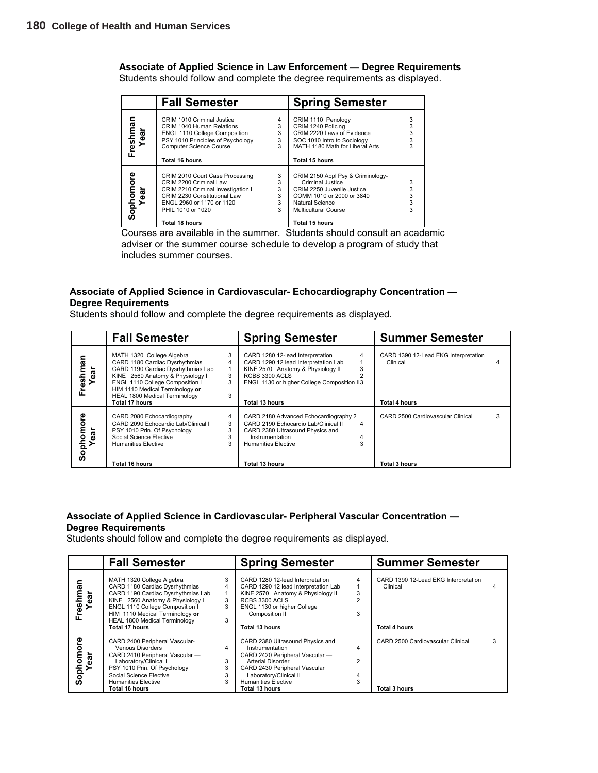**Associate of Applied Science in Law Enforcement — Degree Requirements**

Students should follow and complete the degree requirements as displayed.

|                   | <b>Fall Semester</b>                                                                                                                                                                                |                                         | <b>Spring Semester</b>                                                                                                                                                               |                       |
|-------------------|-----------------------------------------------------------------------------------------------------------------------------------------------------------------------------------------------------|-----------------------------------------|--------------------------------------------------------------------------------------------------------------------------------------------------------------------------------------|-----------------------|
| Freshma<br>Year   | CRIM 1010 Criminal Justice<br>CRIM 1040 Human Relations<br><b>ENGL 1110 College Composition</b><br>PSY 1010 Principles of Psychology<br><b>Computer Science Course</b><br>Total 16 hours            | 4<br>3<br>3<br>3<br>3                   | CRIM 1110 Penology<br>CRIM 1240 Policing<br>CRIM 2220 Laws of Evidence<br>SOC 1010 Intro to Sociology<br>MATH 1180 Math for Liberal Arts<br>Total 15 hours                           | 3<br>3<br>3<br>3<br>3 |
| Sophomore<br>Year | CRIM 2010 Court Case Processing<br>CRIM 2200 Criminal Law<br>CRIM 2210 Criminal Investigation I<br>CRIM 2230 Constitutional Law<br>ENGL 2960 or 1170 or 1120<br>PHIL 1010 or 1020<br>Total 18 hours | 3<br>3<br>3<br>$\overline{3}$<br>3<br>3 | CRIM 2150 Appl Psy & Criminology-<br>Criminal Justice<br>CRIM 2250 Juvenile Justice<br>COMM 1010 or 2000 or 3840<br>Natural Science<br><b>Multicultural Course</b><br>Total 15 hours | 3<br>3<br>3<br>3<br>3 |

Courses are available in the summer. Students should consult an academic adviser or the summer course schedule to develop a program of study that includes summer courses.

#### **Associate of Applied Science in Cardiovascular- Echocardiography Concentration — Degree Requirements**

Students should follow and complete the degree requirements as displayed.

|                         | <b>Fall Semester</b>                                                                                                                                                                                                                                                  |                       | <b>Spring Semester</b>                                                                                                                                                                           |             | <b>Summer Semester</b>                                                   |   |
|-------------------------|-----------------------------------------------------------------------------------------------------------------------------------------------------------------------------------------------------------------------------------------------------------------------|-----------------------|--------------------------------------------------------------------------------------------------------------------------------------------------------------------------------------------------|-------------|--------------------------------------------------------------------------|---|
| ಸ<br>reshma<br>ear<br>正 | MATH 1320 College Algebra<br>CARD 1180 Cardiac Dysrhythmias<br>CARD 1190 Cardiac Dysrhythmias Lab<br>KINE 2560 Anatomy & Physiology I<br>ENGL 1110 College Composition I<br>HIM 1110 Medical Terminology or<br>HEAL 1800 Medical Terminology<br><b>Total 17 hours</b> | 3<br>4<br>3<br>3<br>3 | CARD 1280 12-lead Interpretation<br>CARD 1290 12 lead Interpretation Lab<br>KINE 2570 Anatomy & Physiology II<br>RCBS 3300 ACLS<br>ENGL 1130 or higher College Composition II3<br>Total 13 hours | 4           | CARD 1390 12-Lead EKG Interpretation<br>Clinical<br><b>Total 4 hours</b> |   |
| ၑ<br>ō<br>Sophom<br>ទី  | CARD 2080 Echocardiography<br>CARD 2090 Echocardio Lab/Clinical I<br>PSY 1010 Prin. Of Psychology<br>Social Science Elective<br><b>Humanities Elective</b><br>Total 16 hours                                                                                          | 4<br>3<br>3<br>3<br>3 | CARD 2180 Advanced Echocardiography 2<br>CARD 2190 Echocardio Lab/Clinical II<br>CARD 2380 Ultrasound Physics and<br>Instrumentation<br><b>Humanities Elective</b><br><b>Total 13 hours</b>      | 4<br>4<br>3 | CARD 2500 Cardiovascular Clinical<br><b>Total 3 hours</b>                | 3 |

#### **Associate of Applied Science in Cardiovascular- Peripheral Vascular Concentration — Degree Requirements**

Students should follow and complete the degree requirements as displayed.

|                                  | <b>Fall Semester</b>                                                                                                                                                                                                                                                         |                       | <b>Spring Semester</b>                                                                                                                                                                                                        |                               | <b>Summer Semester</b>                                            |  |
|----------------------------------|------------------------------------------------------------------------------------------------------------------------------------------------------------------------------------------------------------------------------------------------------------------------------|-----------------------|-------------------------------------------------------------------------------------------------------------------------------------------------------------------------------------------------------------------------------|-------------------------------|-------------------------------------------------------------------|--|
| ទ្ធ<br>Freshm<br>ar              | MATH 1320 College Algebra<br>CARD 1180 Cardiac Dysrhythmias<br>CARD 1190 Cardiac Dysrhythmias Lab<br>KINE 2560 Anatomy & Physiology I<br>ENGL 1110 College Composition I<br>HIM 1110 Medical Terminology or<br><b>HEAL 1800 Medical Terminology</b><br><b>Total 17 hours</b> | 3<br>4<br>3<br>3<br>3 | CARD 1280 12-lead Interpretation<br>CARD 1290 12 lead Interpretation Lab<br>KINE 2570 Anatomy & Physiology II<br>RCBS 3300 ACLS<br>ENGL 1130 or higher College<br>Composition II<br>Total 13 hours                            | 4<br>3<br>$\mathfrak{p}$<br>3 | CARD 1390 12-Lead EKG Interpretation<br>Clinical<br>Total 4 hours |  |
| ិច<br>ophom<br>Year<br>Tea<br>ທັ | CARD 2400 Peripheral Vascular-<br><b>Venous Disorders</b><br>CARD 2410 Peripheral Vascular -<br>Laboratory/Clinical I<br>PSY 1010 Prin. Of Psychology<br>Social Science Elective<br><b>Humanities Elective</b><br>Total 16 hours                                             | 4<br>3<br>3<br>3<br>3 | CARD 2380 Ultrasound Physics and<br>Instrumentation<br>CARD 2420 Peripheral Vascular -<br><b>Arterial Disorder</b><br>CARD 2430 Peripheral Vascular<br>Laboratory/Clinical II<br><b>Humanities Elective</b><br>Total 13 hours | 4<br>2<br>4<br>3              | CARD 2500 Cardiovascular Clinical<br>Total 3 hours                |  |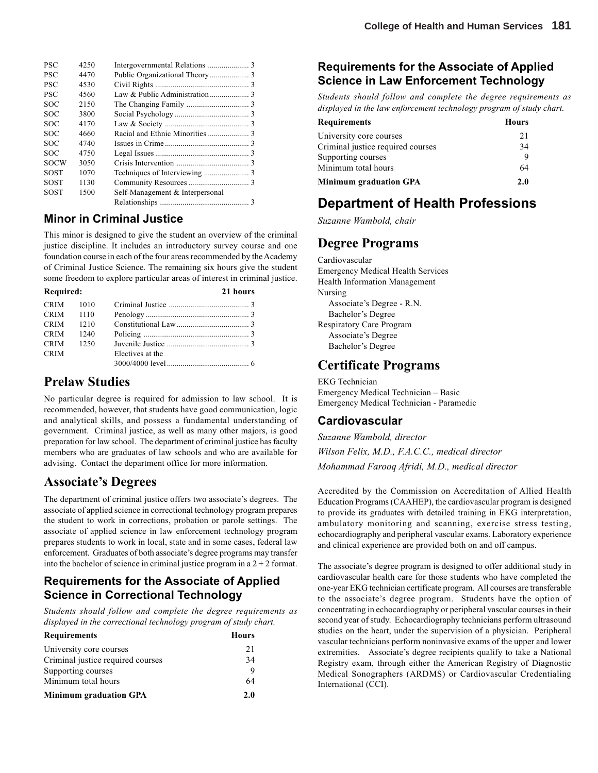| <b>PSC</b>  | 4250 |                                 |
|-------------|------|---------------------------------|
| <b>PSC</b>  | 4470 |                                 |
| <b>PSC</b>  | 4530 |                                 |
| <b>PSC</b>  | 4560 |                                 |
| <b>SOC</b>  | 2150 |                                 |
| <b>SOC</b>  | 3800 |                                 |
| <b>SOC</b>  | 4170 |                                 |
| <b>SOC</b>  | 4660 |                                 |
| <b>SOC</b>  | 4740 |                                 |
| <b>SOC</b>  | 4750 |                                 |
| <b>SOCW</b> | 3050 |                                 |
| <b>SOST</b> | 1070 |                                 |
| <b>SOST</b> | 1130 |                                 |
| <b>SOST</b> | 1500 | Self-Management & Interpersonal |
|             |      |                                 |

### **Minor in Criminal Justice**

This minor is designed to give the student an overview of the criminal justice discipline. It includes an introductory survey course and one foundation course in each of the four areas recommended by the Academy of Criminal Justice Science. The remaining six hours give the student some freedom to explore particular areas of interest in criminal justice.

| Required:   |      |                  | 21 hours |
|-------------|------|------------------|----------|
| <b>CRIM</b> | 1010 |                  |          |
| $CRIM$ 1110 |      |                  |          |
| <b>CRIM</b> | 1210 |                  |          |
| <b>CRIM</b> | 1240 |                  |          |
| <b>CRIM</b> | 1250 |                  |          |
| <b>CRIM</b> |      | Electives at the |          |
|             |      |                  |          |

## **Prelaw Studies**

No particular degree is required for admission to law school. It is recommended, however, that students have good communication, logic and analytical skills, and possess a fundamental understanding of government. Criminal justice, as well as many other majors, is good preparation for law school. The department of criminal justice has faculty members who are graduates of law schools and who are available for advising. Contact the department office for more information.

## **Associate's Degrees**

The department of criminal justice offers two associate's degrees. The associate of applied science in correctional technology program prepares the student to work in corrections, probation or parole settings. The associate of applied science in law enforcement technology program prepares students to work in local, state and in some cases, federal law enforcement. Graduates of both associate's degree programs may transfer into the bachelor of science in criminal justice program in a  $2 + 2$  format.

## **Requirements for the Associate of Applied Science in Correctional Technology**

*Students should follow and complete the degree requirements as displayed in the correctional technology program of study chart.*

| <b>Requirements</b>               | Hours |
|-----------------------------------|-------|
| University core courses           | 21    |
| Criminal justice required courses | 34    |
| Supporting courses                | 9     |
| Minimum total hours               | 64    |
| <b>Minimum graduation GPA</b>     | 2.0   |

## **Requirements for the Associate of Applied Science in Law Enforcement Technology**

*Students should follow and complete the degree requirements as displayed in the law enforcement technology program of study chart.*

| Requirements                      | <b>Hours</b> |
|-----------------------------------|--------------|
| University core courses           | 21           |
| Criminal justice required courses | 34           |
| Supporting courses                | Q            |
| Minimum total hours               | 64           |
| <b>Minimum graduation GPA</b>     | 2.0          |

## **Department of Health Professions**

*Suzanne Wambold, chair*

## **Degree Programs**

Cardiovascular Emergency Medical Health Services Health Information Management Nursing Associate's Degree - R.N. Bachelor's Degree Respiratory Care Program Associate's Degree Bachelor's Degree

## **Certificate Programs**

EKG Technician Emergency Medical Technician – Basic Emergency Medical Technician - Paramedic

### **Cardiovascular**

*Suzanne Wambold, director Wilson Felix, M.D., F.A.C.C., medical director Mohammad Farooq Afridi, M.D., medical director*

Accredited by the Commission on Accreditation of Allied Health Education Programs (CAAHEP), the cardiovascular program is designed to provide its graduates with detailed training in EKG interpretation, ambulatory monitoring and scanning, exercise stress testing, echocardiography and peripheral vascular exams. Laboratory experience and clinical experience are provided both on and off campus.

The associate's degree program is designed to offer additional study in cardiovascular health care for those students who have completed the one-year EKG technician certificate program. All courses are transferable to the associate's degree program. Students have the option of concentrating in echocardiography or peripheral vascular courses in their second year of study. Echocardiography technicians perform ultrasound studies on the heart, under the supervision of a physician. Peripheral vascular technicians perform noninvasive exams of the upper and lower extremities. Associate's degree recipients qualify to take a National Registry exam, through either the American Registry of Diagnostic Medical Sonographers (ARDMS) or Cardiovascular Credentialing International (CCI).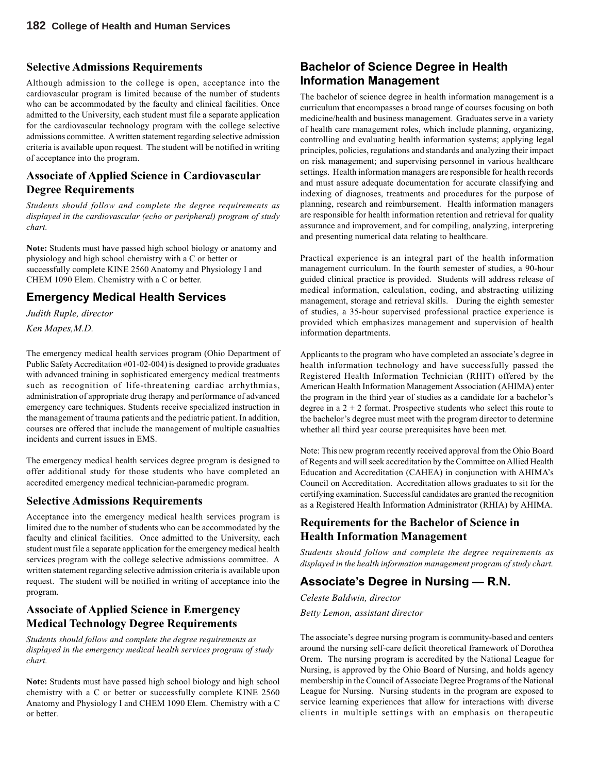#### **Selective Admissions Requirements**

Although admission to the college is open, acceptance into the cardiovascular program is limited because of the number of students who can be accommodated by the faculty and clinical facilities. Once admitted to the University, each student must file a separate application for the cardiovascular technology program with the college selective admissions committee. A written statement regarding selective admission criteria is available upon request. The student will be notified in writing of acceptance into the program.

## **Associate of Applied Science in Cardiovascular Degree Requirements**

*Students should follow and complete the degree requirements as displayed in the cardiovascular (echo or peripheral) program of study chart.*

**Note:** Students must have passed high school biology or anatomy and physiology and high school chemistry with a C or better or successfully complete KINE 2560 Anatomy and Physiology I and CHEM 1090 Elem. Chemistry with a C or better.

## **Emergency Medical Health Services**

*Judith Ruple, director*

*Ken Mapes,M.D.*

The emergency medical health services program (Ohio Department of Public Safety Accreditation #01-02-004) is designed to provide graduates with advanced training in sophisticated emergency medical treatments such as recognition of life-threatening cardiac arrhythmias, administration of appropriate drug therapy and performance of advanced emergency care techniques. Students receive specialized instruction in the management of trauma patients and the pediatric patient. In addition, courses are offered that include the management of multiple casualties incidents and current issues in EMS.

The emergency medical health services degree program is designed to offer additional study for those students who have completed an accredited emergency medical technician-paramedic program.

### **Selective Admissions Requirements**

Acceptance into the emergency medical health services program is limited due to the number of students who can be accommodated by the faculty and clinical facilities. Once admitted to the University, each student must file a separate application for the emergency medical health services program with the college selective admissions committee. A written statement regarding selective admission criteria is available upon request. The student will be notified in writing of acceptance into the program.

### **Associate of Applied Science in Emergency Medical Technology Degree Requirements**

*Students should follow and complete the degree requirements as displayed in the emergency medical health services program of study chart.*

**Note:** Students must have passed high school biology and high school chemistry with a C or better or successfully complete KINE 2560 Anatomy and Physiology I and CHEM 1090 Elem. Chemistry with a C or better.

## **Bachelor of Science Degree in Health Information Management**

The bachelor of science degree in health information management is a curriculum that encompasses a broad range of courses focusing on both medicine/health and business management. Graduates serve in a variety of health care management roles, which include planning, organizing, controlling and evaluating health information systems; applying legal principles, policies, regulations and standards and analyzing their impact on risk management; and supervising personnel in various healthcare settings. Health information managers are responsible for health records and must assure adequate documentation for accurate classifying and indexing of diagnoses, treatments and procedures for the purpose of planning, research and reimbursement. Health information managers are responsible for health information retention and retrieval for quality assurance and improvement, and for compiling, analyzing, interpreting and presenting numerical data relating to healthcare.

Practical experience is an integral part of the health information management curriculum. In the fourth semester of studies, a 90-hour guided clinical practice is provided. Students will address release of medical information, calculation, coding, and abstracting utilizing management, storage and retrieval skills. During the eighth semester of studies, a 35-hour supervised professional practice experience is provided which emphasizes management and supervision of health information departments.

Applicants to the program who have completed an associate's degree in health information technology and have successfully passed the Registered Health Information Technician (RHIT) offered by the American Health Information Management Association (AHIMA) enter the program in the third year of studies as a candidate for a bachelor's degree in a  $2 + 2$  format. Prospective students who select this route to the bachelor's degree must meet with the program director to determine whether all third year course prerequisites have been met.

Note: This new program recently received approval from the Ohio Board of Regents and will seek accreditation by the Committee on Allied Health Education and Accreditation (CAHEA) in conjunction with AHIMA's Council on Accreditation. Accreditation allows graduates to sit for the certifying examination. Successful candidates are granted the recognition as a Registered Health Information Administrator (RHIA) by AHIMA.

### **Requirements for the Bachelor of Science in Health Information Management**

*Students should follow and complete the degree requirements as displayed in the health information management program of study chart.*

## **Associate's Degree in Nursing — R.N.**

*Celeste Baldwin, director Betty Lemon, assistant director*

The associate's degree nursing program is community-based and centers around the nursing self-care deficit theoretical framework of Dorothea Orem. The nursing program is accredited by the National League for Nursing, is approved by the Ohio Board of Nursing, and holds agency membership in the Council of Associate Degree Programs of the National League for Nursing. Nursing students in the program are exposed to service learning experiences that allow for interactions with diverse clients in multiple settings with an emphasis on therapeutic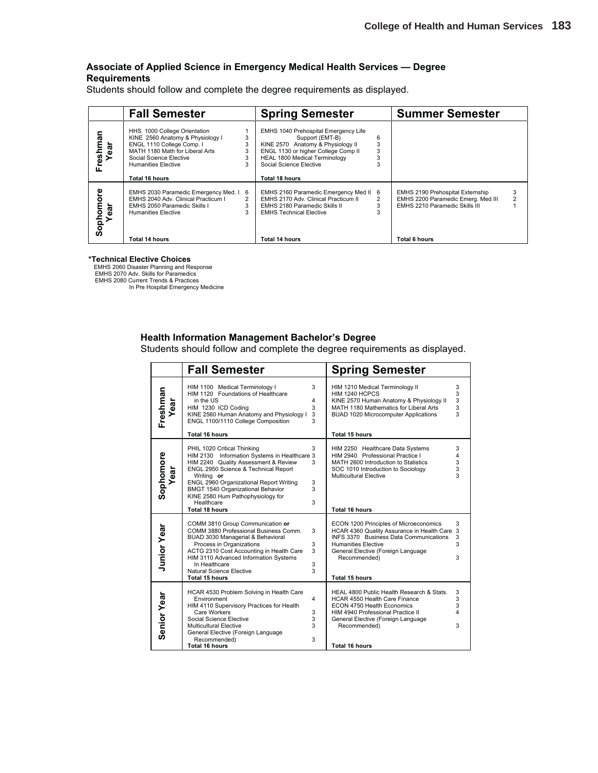#### **Associate of Applied Science in Emergency Medical Health Services — Degree Requirements**

Students should follow and complete the degree requirements as displayed.

|                              | <b>Fall Semester</b>                                                                                                                                                                                        |                  | <b>Spring Semester</b>                                                                                                                                                                                                   |                  | <b>Summer Semester</b>                                                                                                           |   |
|------------------------------|-------------------------------------------------------------------------------------------------------------------------------------------------------------------------------------------------------------|------------------|--------------------------------------------------------------------------------------------------------------------------------------------------------------------------------------------------------------------------|------------------|----------------------------------------------------------------------------------------------------------------------------------|---|
| Freshman<br>Year             | HHS 1000 College Orientation<br>KINE 2560 Anatomy & Physiology I<br>ENGL 1110 College Comp. I<br>MATH 1180 Math for Liberal Arts<br>Social Science Elective<br><b>Humanities Elective</b><br>Total 16 hours | 3<br>3<br>3<br>3 | <b>EMHS 1040 Prehospital Emergency Life</b><br>Support (EMT-B)<br>KINE 2570 Anatomy & Physiology II<br>ENGL 1130 or higher College Comp II<br>HEAL 1800 Medical Terminology<br>Social Science Elective<br>Total 18 hours | 6<br>3<br>3<br>3 |                                                                                                                                  |   |
| င်္<br>Sophomo<br>Year<br>ēā | EMHS 2030 Paramedic Emergency Med. I<br>EMHS 2040 Adv. Clinical Practicum I<br>EMHS 2050 Paramedic Skills I<br><b>Humanities Elective</b><br>Total 14 hours                                                 | 6<br>3<br>3      | EMHS 2160 Paramedic Emergency Med II<br>EMHS 2170 Adv. Clinical Practicum II<br>EMHS 2180 Paramedic Skills II<br><b>EMHS Technical Elective</b><br>Total 14 hours                                                        | -6<br>2<br>3     | <b>EMHS 2190 Prehospital Externship</b><br>EMHS 2200 Paramedic Emerg. Med III<br>EMHS 2210 Paramedic Skills III<br>Total 6 hours | 3 |

#### **\*Technical Elective Choices**

EMHS 2060 Disaster Planning and Response EMHS 2070 Adv. Skills for Paramedics EMHS 2080 Current Trends & Practices

In Pre Hospital Emergency Medicine

#### **Health Information Management Bachelor's Degree**

Students should follow and complete the degree requirements as displayed.

|                    | <b>Fall Semester</b>                                                                                                                                                                                                                                                                                                                  |                                             | <b>Spring Semester</b>                                                                                                                                                                                                                               |                       |
|--------------------|---------------------------------------------------------------------------------------------------------------------------------------------------------------------------------------------------------------------------------------------------------------------------------------------------------------------------------------|---------------------------------------------|------------------------------------------------------------------------------------------------------------------------------------------------------------------------------------------------------------------------------------------------------|-----------------------|
| Freshman<br>đ      | HIM 1100 Medical Terminology I<br>HIM 1120 Foundations of Healthcare<br>in the US<br>HIM 1230 ICD Coding<br>KINE 2560 Human Anatomy and Physiology I<br>ENGL 1100/1110 College Composition                                                                                                                                            | 3<br>4<br>3<br>3<br>3                       | HIM 1210 Medical Terminology II<br>HIM 1240 HCPCS<br>KINE 2570 Human Anatomy & Physiology II<br>MATH 1180 Mathematics for Liberal Arts<br><b>BUAD 1020 Microcomputer Applications</b>                                                                | 3<br>3<br>3<br>3<br>3 |
|                    | <b>Total 16 hours</b>                                                                                                                                                                                                                                                                                                                 |                                             | <b>Total 15 hours</b>                                                                                                                                                                                                                                |                       |
| Sophomore<br>តូ    | PHIL 1020 Critical Thinking<br>HIM 2130 Information Systems in Healthcare 3<br>HIM 2240 Quality Assessment & Review<br>ENGL 2950 Science & Technical Report<br>Writing or<br>ENGL 2960 Organizational Report Writing<br>BMGT 1540 Organizational Behavior<br>KINE 2580 Hum Pathophysiology for<br>Healthcare<br><b>Total 18 hours</b> | 3<br>3<br>3<br>3<br>3                       | HIM 2250 Healthcare Data Systems<br>HIM 2940 Professional Practice I<br>MATH 2600 Introduction to Statistics<br>SOC 1010 Introduction to Sociology<br>Multicultural Elective<br><b>Total 16 hours</b>                                                | 3<br>4<br>3<br>3<br>3 |
| <b>Junior Year</b> | COMM 3810 Group Communication or<br>COMM 3880 Professional Business Comm.<br>BUAD 3030 Managerial & Behavioral<br>Process in Organizations<br>ACTG 2310 Cost Accounting in Health Care<br>HIM 3110 Advanced Information Systems<br>In Healthcare<br><b>Natural Science Elective</b><br><b>Total 15 hours</b>                          | 3<br>3<br>3<br>3<br>3                       | ECON 1200 Principles of Microeconomics<br>HCAR 4360 Quality Assurance in Health Care 3<br><b>INFS 3370 Business Data Communications</b><br><b>Humanities Elective</b><br>General Elective (Foreign Language<br>Recommended)<br><b>Total 15 hours</b> | 3<br>3<br>3<br>3      |
| Senior Year        | HCAR 4530 Problem Solving in Health Care<br>Environment<br>HIM 4110 Supervisory Practices for Health<br>Care Workers<br>Social Science Elective<br><b>Multicultural Elective</b><br>General Elective (Foreign Language<br>Recommended)<br><b>Total 16 hours</b>                                                                       | $\overline{\mathbf{4}}$<br>3<br>3<br>3<br>3 | HEAL 4800 Public Health Research & Stats.<br><b>HCAR 4550 Health Care Finance</b><br>ECON 4750 Health Economics<br>HIM 4940 Professional Practice II<br>General Elective (Foreign Language<br>Recommended)<br><b>Total 16 hours</b>                  | 3<br>3<br>3<br>4<br>3 |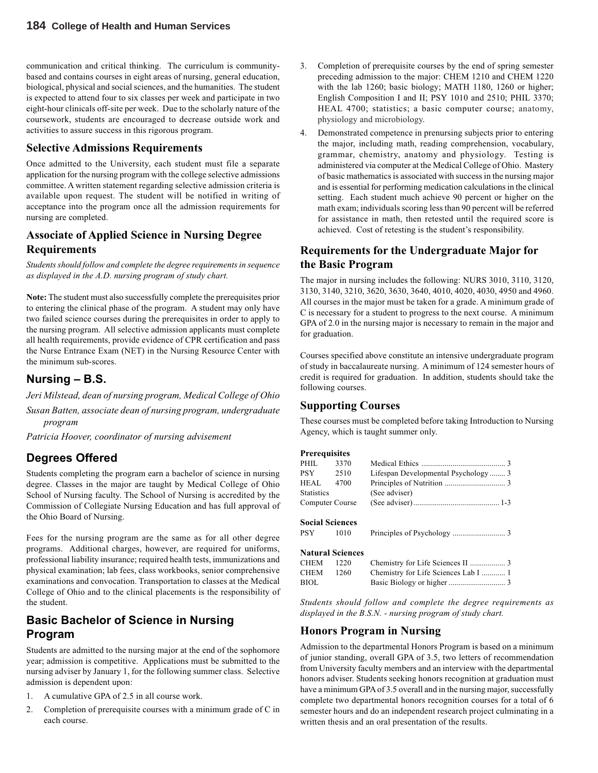communication and critical thinking. The curriculum is communitybased and contains courses in eight areas of nursing, general education, biological, physical and social sciences, and the humanities. The student is expected to attend four to six classes per week and participate in two eight-hour clinicals off-site per week. Due to the scholarly nature of the coursework, students are encouraged to decrease outside work and activities to assure success in this rigorous program.

#### **Selective Admissions Requirements**

Once admitted to the University, each student must file a separate application for the nursing program with the college selective admissions committee. A written statement regarding selective admission criteria is available upon request. The student will be notified in writing of acceptance into the program once all the admission requirements for nursing are completed.

### **Associate of Applied Science in Nursing Degree Requirements**

*Students should follow and complete the degree requirements in sequence as displayed in the A.D. nursing program of study chart.*

**Note:** The student must also successfully complete the prerequisites prior to entering the clinical phase of the program. A student may only have two failed science courses during the prerequisites in order to apply to the nursing program. All selective admission applicants must complete all health requirements, provide evidence of CPR certification and pass the Nurse Entrance Exam (NET) in the Nursing Resource Center with the minimum sub-scores.

## **Nursing – B.S.**

*Jeri Milstead, dean of nursing program, Medical College of Ohio*

*Susan Batten, associate dean of nursing program, undergraduate program*

*Patricia Hoover, coordinator of nursing advisement*

## **Degrees Offered**

Students completing the program earn a bachelor of science in nursing degree. Classes in the major are taught by Medical College of Ohio School of Nursing faculty. The School of Nursing is accredited by the Commission of Collegiate Nursing Education and has full approval of the Ohio Board of Nursing.

Fees for the nursing program are the same as for all other degree programs. Additional charges, however, are required for uniforms, professional liability insurance; required health tests, immunizations and physical examination; lab fees, class workbooks, senior comprehensive examinations and convocation. Transportation to classes at the Medical College of Ohio and to the clinical placements is the responsibility of the student.

## **Basic Bachelor of Science in Nursing Program**

Students are admitted to the nursing major at the end of the sophomore year; admission is competitive. Applications must be submitted to the nursing adviser by January 1, for the following summer class. Selective admission is dependent upon:

- 1. A cumulative GPA of 2.5 in all course work.
- 2. Completion of prerequisite courses with a minimum grade of C in each course.
- 3. Completion of prerequisite courses by the end of spring semester preceding admission to the major: CHEM 1210 and CHEM 1220 with the lab 1260; basic biology; MATH 1180, 1260 or higher; English Composition I and II; PSY 1010 and 2510; PHIL 3370; HEAL 4700; statistics; a basic computer course; anatomy, physiology and microbiology.
- 4. Demonstrated competence in prenursing subjects prior to entering the major, including math, reading comprehension, vocabulary, grammar, chemistry, anatomy and physiology. Testing is administered via computer at the Medical College of Ohio. Mastery of basic mathematics is associated with success in the nursing major and is essential for performing medication calculations in the clinical setting. Each student much achieve 90 percent or higher on the math exam; individuals scoring less than 90 percent will be referred for assistance in math, then retested until the required score is achieved. Cost of retesting is the student's responsibility.

### **Requirements for the Undergraduate Major for the Basic Program**

The major in nursing includes the following: NURS 3010, 3110, 3120, 3130, 3140, 3210, 3620, 3630, 3640, 4010, 4020, 4030, 4950 and 4960. All courses in the major must be taken for a grade. A minimum grade of C is necessary for a student to progress to the next course. A minimum GPA of 2.0 in the nursing major is necessary to remain in the major and for graduation.

Courses specified above constitute an intensive undergraduate program of study in baccalaureate nursing. A minimum of 124 semester hours of credit is required for graduation. In addition, students should take the following courses.

#### **Supporting Courses**

These courses must be completed before taking Introduction to Nursing Agency, which is taught summer only.

#### **Prerequisites**

| PHIL       | 3370                    |                                      |  |
|------------|-------------------------|--------------------------------------|--|
| PSY 2510   |                         | Lifespan Developmental Psychology 3  |  |
| HEAL.      | 4700                    |                                      |  |
| Statistics |                         | (See adviser)                        |  |
|            | Computer Course         |                                      |  |
|            | <b>Social Sciences</b>  |                                      |  |
| PSY 1010   |                         |                                      |  |
|            | <b>Natural Sciences</b> |                                      |  |
| CHEM       | 1220                    | Chemistry for Life Sciences II  3    |  |
| CHEM       | 1260                    | Chemistry for Life Sciences Lab I  1 |  |
| BIOL       |                         |                                      |  |
|            |                         |                                      |  |

*Students should follow and complete the degree requirements as displayed in the B.S.N. - nursing program of study chart.*

### **Honors Program in Nursing**

Admission to the departmental Honors Program is based on a minimum of junior standing, overall GPA of 3.5, two letters of recommendation from University faculty members and an interview with the departmental honors adviser. Students seeking honors recognition at graduation must have a minimum GPA of 3.5 overall and in the nursing major, successfully complete two departmental honors recognition courses for a total of 6 semester hours and do an independent research project culminating in a written thesis and an oral presentation of the results.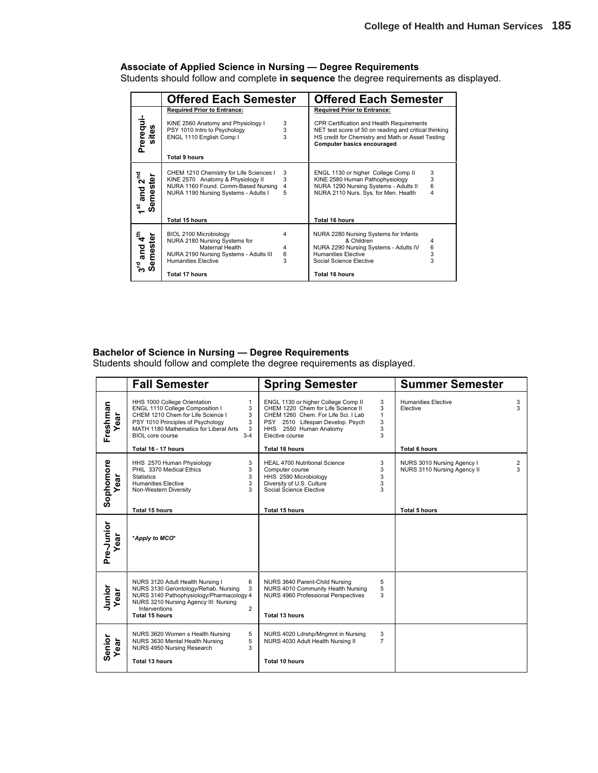### **Associate of Applied Science in Nursing — Degree Requirements**

Students should follow and complete **in sequence** the degree requirements as displayed.

|                                       | <b>Offered Each Semester</b>                                             |                         | <b>Offered Each Semester</b>                                                                                                                    |        |
|---------------------------------------|--------------------------------------------------------------------------|-------------------------|-------------------------------------------------------------------------------------------------------------------------------------------------|--------|
|                                       | <b>Required Prior to Entrance:</b><br>KINE 2560 Anatomy and Physiology I | $\frac{3}{3}$           | <b>Required Prior to Entrance:</b><br>CPR Certification and Health Requirements                                                                 |        |
| Prerequi-<br>sites                    | PSY 1010 Intro to Psychology<br>ENGL 1110 English Comp I                 | $\overline{\mathbf{3}}$ | NET test score of 50 on reading and critical thinking<br>HS credit for Chemistry and Math or Asset Testing<br><b>Computer basics encouraged</b> |        |
|                                       | <b>Total 9 hours</b>                                                     |                         |                                                                                                                                                 |        |
|                                       | CHEM 1210 Chemistry for Life Sciences I                                  | 3                       | ENGL 1130 or higher College Comp II                                                                                                             | 3      |
|                                       | KINE 2570 Anatomy & Physiology II                                        | 3                       | KINE 2580 Human Pathophysiology                                                                                                                 | 3      |
|                                       | NURA 1160 Found. Comm-Based Nursing                                      | 4                       | NURA 1290 Nursing Systems - Adults II                                                                                                           | 6      |
| and 2 <sup>nd</sup><br>Semester<br>£, | NURA 1190 Nursing Systems - Adults I                                     | 5                       | NURA 2110 Nurs. Sys. for Men. Health                                                                                                            | 4      |
|                                       | Total 15 hours                                                           |                         | Total 16 hours                                                                                                                                  |        |
|                                       | BIOL 2100 Microbiology                                                   | 4                       | NURA 2280 Nursing Systems for Infants                                                                                                           |        |
|                                       | NURA 2180 Nursing Systems for                                            |                         | & Children                                                                                                                                      | 4      |
|                                       | Maternal Health                                                          | 4                       | NURA 2290 Nursing Systems - Adults IV                                                                                                           | 6<br>3 |
| and 4 <sup>th</sup><br>mester         | NURA 2190 Nursing Systems - Adults III                                   | 6                       | <b>Humanities Elective</b>                                                                                                                      |        |
| eme<br>$\mathbf{r}^{\mathbf{d}}$<br>ທ | <b>Humanities Elective</b>                                               | 3                       | Social Science Elective                                                                                                                         | 3      |
|                                       | <b>Total 17 hours</b>                                                    |                         | Total 16 hours                                                                                                                                  |        |

#### **Bachelor of Science in Nursing — Degree Requirements**

Students should follow and complete the degree requirements as displayed.

|                   | <b>Fall Semester</b>                                                                                                                                                                                                                                          | <b>Spring Semester</b>                                                                                                                                                                            |                                       | <b>Summer Semester</b>                                    |        |
|-------------------|---------------------------------------------------------------------------------------------------------------------------------------------------------------------------------------------------------------------------------------------------------------|---------------------------------------------------------------------------------------------------------------------------------------------------------------------------------------------------|---------------------------------------|-----------------------------------------------------------|--------|
| Freshman          | HHS 1000 College Orientation<br>$\mathbf{1}$<br>ENGL 1110 College Composition I<br>3<br>CHEM 1210 Chem for Life Science I<br>3<br>3<br>PSY 1010 Principles of Psychology<br>MATH 1180 Mathematics for Liberal Arts<br>3<br>$3 - 4$<br><b>BIOL</b> core course | ENGL 1130 or higher College Comp II<br>CHEM 1220 Chem for Life Science II<br>CHEM 1260 Chem. For Life Sci. I Lab<br>PSY 2510 Lifespan Develop. Psych<br>HHS 2550 Human Anatomy<br>Elective course | 3<br>3<br>$\mathbf{1}$<br>3<br>3<br>3 | <b>Humanities Elective</b><br>Elective                    | 3<br>3 |
|                   | Total 16 - 17 hours                                                                                                                                                                                                                                           | <b>Total 16 hours</b>                                                                                                                                                                             |                                       | <b>Total 6 hours</b>                                      |        |
| Sophomore<br>ear  | 3<br>HHS 2570 Human Physiology<br>PHIL 3370 Medical Ethics<br>3<br><b>Statistics</b><br>3<br>3<br><b>Humanities Elective</b><br>3<br>Non-Western Diversity                                                                                                    | <b>HEAL 4700 Nutritional Science</b><br>Computer course<br>HHS 2590 Microbiology<br>Diversity of U.S. Culture<br>Social Science Elective                                                          | 3<br>3<br>3<br>3<br>3                 | NURS 3010 Nursing Agency I<br>NURS 3110 Nursing Agency II | 2<br>3 |
|                   | <b>Total 15 hours</b>                                                                                                                                                                                                                                         | <b>Total 15 hours</b>                                                                                                                                                                             |                                       | <b>Total 5 hours</b>                                      |        |
| Pre-Junior<br>ear | *Apply to MCO*                                                                                                                                                                                                                                                |                                                                                                                                                                                                   |                                       |                                                           |        |
| Junior<br>Year    | 6<br>NURS 3120 Adult Health Nursing I<br>3<br>NURS 3130 Gerontology/Rehab. Nursing<br>NURS 3140 Pathophysiology/Pharmacology 4<br>NURS 3210 Nursing Agency III: Nursing<br>$\overline{2}$<br>Interventions<br><b>Total 15 hours</b>                           | NURS 3640 Parent-Child Nursing<br>NURS 4010 Community Health Nursing<br>NURS 4960 Professional Perspectives<br>Total 13 hours                                                                     | 5<br>5<br>3                           |                                                           |        |
| Senior<br>Year    | 5<br>NURS 3620 Women s Health Nursing<br>5<br>NURS 3630 Mental Health Nursing<br>NURS 4950 Nursing Research<br>3<br><b>Total 13 hours</b>                                                                                                                     | NURS 4020 Ldrshp/Mngmnt in Nursing<br>NURS 4030 Adult Health Nursing II<br><b>Total 10 hours</b>                                                                                                  | 3<br>$\overline{7}$                   |                                                           |        |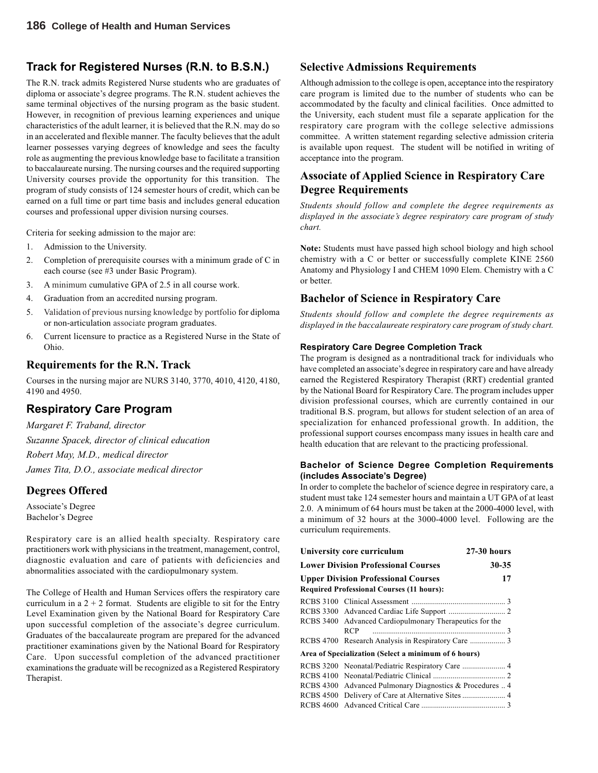### **Track for Registered Nurses (R.N. to B.S.N.)**

The R.N. track admits Registered Nurse students who are graduates of diploma or associate's degree programs. The R.N. student achieves the same terminal objectives of the nursing program as the basic student. However, in recognition of previous learning experiences and unique characteristics of the adult learner, it is believed that the R.N. may do so in an accelerated and flexible manner. The faculty believes that the adult learner possesses varying degrees of knowledge and sees the faculty role as augmenting the previous knowledge base to facilitate a transition to baccalaureate nursing. The nursing courses and the required supporting University courses provide the opportunity for this transition. The program of study consists of 124 semester hours of credit, which can be earned on a full time or part time basis and includes general education courses and professional upper division nursing courses.

Criteria for seeking admission to the major are:

- 1. Admission to the University.
- 2. Completion of prerequisite courses with a minimum grade of C in each course (see #3 under Basic Program).
- 3. A minimum cumulative GPA of 2.5 in all course work.
- 4. Graduation from an accredited nursing program.
- 5. Validation of previous nursing knowledge by portfolio for diploma or non-articulation associate program graduates.
- 6. Current licensure to practice as a Registered Nurse in the State of Ohio.

#### **Requirements for the R.N. Track**

Courses in the nursing major are NURS 3140, 3770, 4010, 4120, 4180, 4190 and 4950.

## **Respiratory Care Program**

*Margaret F. Traband, director Suzanne Spacek, director of clinical education Robert May, M.D., medical director James Tita, D.O., associate medical director*

### **Degrees Offered**

Associate's Degree Bachelor's Degree

Respiratory care is an allied health specialty. Respiratory care practitioners work with physicians in the treatment, management, control, diagnostic evaluation and care of patients with deficiencies and abnormalities associated with the cardiopulmonary system.

The College of Health and Human Services offers the respiratory care curriculum in a  $2 + 2$  format. Students are eligible to sit for the Entry Level Examination given by the National Board for Respiratory Care upon successful completion of the associate's degree curriculum. Graduates of the baccalaureate program are prepared for the advanced practitioner examinations given by the National Board for Respiratory Care. Upon successful completion of the advanced practitioner examinations the graduate will be recognized as a Registered Respiratory Therapist.

#### **Selective Admissions Requirements**

Although admission to the college is open, acceptance into the respiratory care program is limited due to the number of students who can be accommodated by the faculty and clinical facilities. Once admitted to the University, each student must file a separate application for the respiratory care program with the college selective admissions committee. A written statement regarding selective admission criteria is available upon request. The student will be notified in writing of acceptance into the program.

## **Associate of Applied Science in Respiratory Care Degree Requirements**

*Students should follow and complete the degree requirements as displayed in the associate's degree respiratory care program of study chart.*

**Note:** Students must have passed high school biology and high school chemistry with a C or better or successfully complete KINE 2560 Anatomy and Physiology I and CHEM 1090 Elem. Chemistry with a C or better.

### **Bachelor of Science in Respiratory Care**

*Students should follow and complete the degree requirements as displayed in the baccalaureate respiratory care program of study chart.*

#### **Respiratory Care Degree Completion Track**

The program is designed as a nontraditional track for individuals who have completed an associate's degree in respiratory care and have already earned the Registered Respiratory Therapist (RRT) credential granted by the National Board for Respiratory Care. The program includes upper division professional courses, which are currently contained in our traditional B.S. program, but allows for student selection of an area of specialization for enhanced professional growth. In addition, the professional support courses encompass many issues in health care and health education that are relevant to the practicing professional.

#### **Bachelor of Science Degree Completion Requirements (includes Associate's Degree)**

In order to complete the bachelor of science degree in respiratory care, a student must take 124 semester hours and maintain a UT GPA of at least 2.0. A minimum of 64 hours must be taken at the 2000-4000 level, with a minimum of 32 hours at the 3000-4000 level. Following are the curriculum requirements.

| University core curriculum                                                                     | <b>27-30 hours</b> |
|------------------------------------------------------------------------------------------------|--------------------|
| <b>Lower Division Professional Courses</b>                                                     | 30-35              |
| <b>Upper Division Professional Courses</b><br><b>Required Professional Courses (11 hours):</b> | 17                 |
|                                                                                                |                    |
|                                                                                                |                    |
| RCBS 3400 Advanced Cardiopulmonary Therapeutics for the                                        |                    |
| <b>RCP</b>                                                                                     |                    |
|                                                                                                |                    |
| Area of Specialization (Select a minimum of 6 hours)                                           |                    |
|                                                                                                |                    |
|                                                                                                |                    |
| RCBS 4300 Advanced Pulmonary Diagnostics & Procedures  4                                       |                    |
|                                                                                                |                    |
|                                                                                                |                    |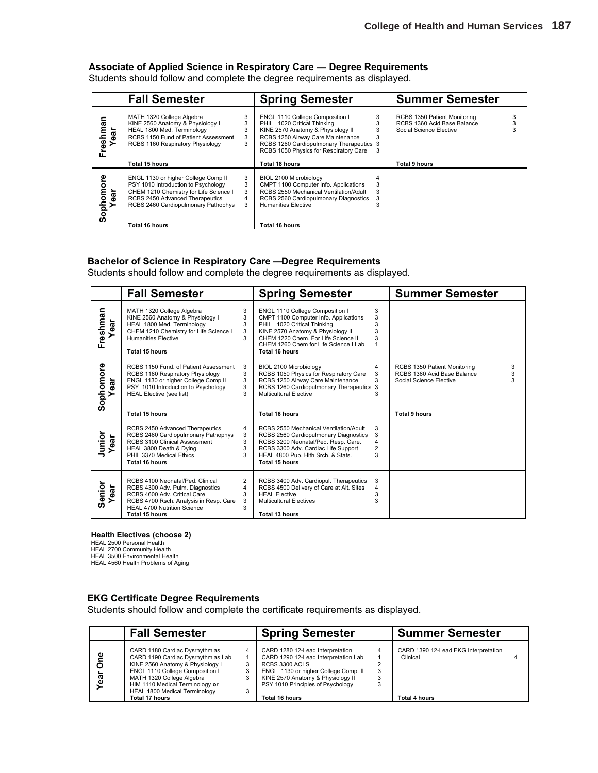#### **Associate of Applied Science in Respiratory Care — Degree Requirements**

Students should follow and complete the degree requirements as displayed.

|                         | <b>Fall Semester</b>                                                                                                                                                                           |                       | <b>Spring Semester</b>                                                                                                                                                                                                         |                  | <b>Summer Semester</b>                                                                 |   |
|-------------------------|------------------------------------------------------------------------------------------------------------------------------------------------------------------------------------------------|-----------------------|--------------------------------------------------------------------------------------------------------------------------------------------------------------------------------------------------------------------------------|------------------|----------------------------------------------------------------------------------------|---|
| Freshman<br>đ           | MATH 1320 College Algebra<br>KINE 2560 Anatomy & Physiology I<br>HEAL 1800 Med. Terminology<br>RCBS 1150 Fund of Patient Assessment<br>RCBS 1160 Respiratory Physiology                        | 3<br>3<br>3<br>3<br>3 | ENGL 1110 College Composition I<br>PHIL 1020 Critical Thinking<br>KINE 2570 Anatomy & Physiology II<br>RCBS 1250 Airway Care Maintenance<br>RCBS 1260 Cardiopulmonary Therapeutics 3<br>RCBS 1050 Physics for Respiratory Care | 3<br>3<br>3<br>3 | RCBS 1350 Patient Monitoring<br>RCBS 1360 Acid Base Balance<br>Social Science Elective | 3 |
|                         | Total 15 hours                                                                                                                                                                                 |                       | Total 18 hours                                                                                                                                                                                                                 |                  | Total 9 hours                                                                          |   |
| ڥ<br>ក<br>Sophomo<br>ar | ENGL 1130 or higher College Comp II<br>PSY 1010 Introduction to Psychology<br>CHEM 1210 Chemistry for Life Science I<br>RCBS 2450 Advanced Therapeutics<br>RCBS 2460 Cardiopulmonary Pathophys | 3<br>3<br>3<br>4<br>3 | BIOL 2100 Microbiology<br>CMPT 1100 Computer Info. Applications<br>RCBS 2550 Mechanical Ventilation/Adult<br>RCBS 2560 Cardiopulmonary Diagnostics<br><b>Humanities Elective</b>                                               | 3<br>3           |                                                                                        |   |
|                         | Total 16 hours                                                                                                                                                                                 |                       | Total 16 hours                                                                                                                                                                                                                 |                  |                                                                                        |   |

#### **Bachelor of Science in Respiratory Care — Degree Requirements**

Students should follow and complete the degree requirements as displayed.

|                   | <b>Fall Semester</b>                                                                                                                                                                                                |                                                 | <b>Spring Semester</b>                                                                                                                                                                                                                         |                                    | <b>Summer Semester</b>                                                                                                   |
|-------------------|---------------------------------------------------------------------------------------------------------------------------------------------------------------------------------------------------------------------|-------------------------------------------------|------------------------------------------------------------------------------------------------------------------------------------------------------------------------------------------------------------------------------------------------|------------------------------------|--------------------------------------------------------------------------------------------------------------------------|
| Freshman<br>ear   | MATH 1320 College Algebra<br>KINE 2560 Anatomy & Physiology I<br>HEAL 1800 Med. Terminology<br>CHEM 1210 Chemistry for Life Science I<br><b>Humanities Elective</b><br>Total 15 hours                               | 3<br>3<br>3<br>3<br>$\mathbf{3}$                | ENGL 1110 College Composition I<br>CMPT 1100 Computer Info. Applications<br>PHIL 1020 Critical Thinking<br>KINE 2570 Anatomy & Physiology II<br>CHEM 1220 Chem. For Life Science II<br>CHEM 1260 Chem for Life Science I Lab<br>Total 16 hours | 3<br>3<br>3<br>3<br>3              |                                                                                                                          |
| Sophomore<br>Year | RCBS 1150 Fund, of Patient Assessment<br>RCBS 1160 Respiratory Physiology<br>ENGL 1130 or higher College Comp II<br>PSY 1010 Introduction to Psychology<br><b>HEAL Elective (see list)</b><br><b>Total 15 hours</b> | 3<br>3<br>3<br>3<br>3                           | <b>BIOL 2100 Microbiology</b><br>RCBS 1050 Physics for Respiratory Care<br>RCBS 1250 Airway Care Maintenance<br>RCBS 1260 Cardiopulmonary Therapeutics 3<br>Multicultural Elective<br><b>Total 16 hours</b>                                    | 4<br>3<br>3<br>3                   | 3<br>RCBS 1350 Patient Monitoring<br>3<br>RCBS 1360 Acid Base Balance<br>Social Science Elective<br><b>Total 9 hours</b> |
| Junior<br>ear     | RCBS 2450 Advanced Therapeutics<br>RCBS 2460 Cardiopulmonary Pathophys<br>RCBS 3100 Clinical Assessment<br>HEAL 3800 Death & Dying<br>PHIL 3370 Medical Ethics<br>Total 16 hours                                    | $\overline{4}$<br>3<br>3<br>3<br>$\mathbf{3}$   | RCBS 2550 Mechanical Ventilation/Adult<br>RCBS 2560 Cardiopulmonary Diagnostics<br>RCBS 3200 Neonatal/Ped. Resp. Care.<br>RCBS 3300 Adv. Cardiac Life Support<br>HEAL 4800 Pub. Hith Srch. & Stats.<br>Total 15 hours                          | 3<br>3<br>4<br>$\overline{c}$<br>3 |                                                                                                                          |
| Senior<br>ear     | RCBS 4100 Neonatal/Ped. Clinical<br>RCBS 4300 Adv. Pulm. Diagnostics<br>RCBS 4600 Adv. Critical Care<br>RCBS 4700 Rsch. Analysis in Resp. Care<br><b>HEAL 4700 Nutrition Science</b><br>Total 15 hours              | $\overline{2}$<br>$\overline{4}$<br>3<br>3<br>3 | RCBS 3400 Adv. Cardiopul. Therapeutics<br>RCBS 4500 Delivery of Care at Alt. Sites<br><b>HEAL Elective</b><br><b>Multicultural Electives</b><br>Total 13 hours                                                                                 | 3<br>4<br>3<br>3                   |                                                                                                                          |

#### **Health Electives (choose 2)**

HEAL 2500 Personal Health HEAL 2700 Community Health

HEAL 3500 Environmental Health HEAL 4560 Health Problems of Aging

#### **EKG Certificate Degree Requirements**

Students should follow and complete the certificate requirements as displayed.

|         | <b>Fall Semester</b>                                                                                                                                                                                                                                           | <b>Spring Semester</b>                                                                                                                                                                                                         |   | <b>Summer Semester</b>                                            |  |
|---------|----------------------------------------------------------------------------------------------------------------------------------------------------------------------------------------------------------------------------------------------------------------|--------------------------------------------------------------------------------------------------------------------------------------------------------------------------------------------------------------------------------|---|-------------------------------------------------------------------|--|
| Φ<br>డై | CARD 1180 Cardiac Dysrhythmias<br>CARD 1190 Cardiac Dysrhythmias Lab<br>KINE 2560 Anatomy & Physiology I<br>ENGL 1110 College Composition I<br>MATH 1320 College Algebra<br>HIM 1110 Medical Terminology or<br>HEAL 1800 Medical Terminology<br>Total 17 hours | CARD 1280 12-Lead Interpretation<br>CARD 1290 12-Lead Interpretation Lab<br>RCBS 3300 ACLS<br>ENGL 1130 or higher College Comp. II<br>KINE 2570 Anatomy & Physiology II<br>PSY 1010 Principles of Psychology<br>Total 16 hours | 3 | CARD 1390 12-Lead EKG Interpretation<br>Clinical<br>Total 4 hours |  |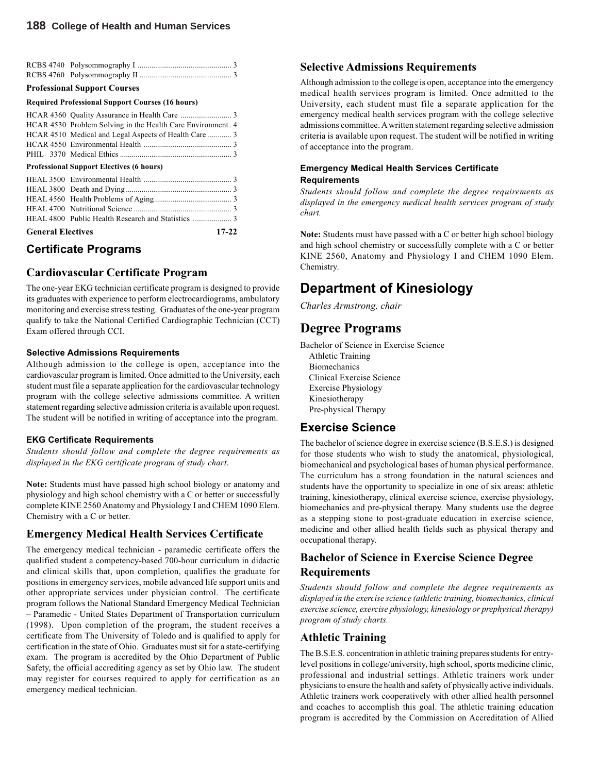#### **Professional Support Courses**

#### **Required Professional Support Courses (16 hours)**

| HCAR 4530 Problem Solving in the Health Care Environment. 4 |  |
|-------------------------------------------------------------|--|
|                                                             |  |
|                                                             |  |
|                                                             |  |

#### **Professional Support Electives (6 hours)**

| <b>General Electives</b> | $17 - 22$ |
|--------------------------|-----------|
|                          |           |
|                          |           |
|                          |           |
|                          |           |
|                          |           |
|                          |           |

## **Certificate Programs**

#### **Cardiovascular Certificate Program**

The one-year EKG technician certificate program is designed to provide its graduates with experience to perform electrocardiograms, ambulatory monitoring and exercise stress testing. Graduates of the one-year program qualify to take the National Certified Cardiographic Technician (CCT) Exam offered through CCI.

#### **Selective Admissions Requirements**

Although admission to the college is open, acceptance into the cardiovascular program is limited. Once admitted to the University, each student must file a separate application for the cardiovascular technology program with the college selective admissions committee. A written statement regarding selective admission criteria is available upon request. The student will be notified in writing of acceptance into the program.

#### **EKG Certificate Requirements**

*Students should follow and complete the degree requirements as displayed in the EKG certificate program of study chart*.

**Note:** Students must have passed high school biology or anatomy and physiology and high school chemistry with a C or better or successfully complete KINE 2560 Anatomy and Physiology I and CHEM 1090 Elem. Chemistry with a C or better.

#### **Emergency Medical Health Services Certificate**

The emergency medical technician - paramedic certificate offers the qualified student a competency-based 700-hour curriculum in didactic and clinical skills that, upon completion, qualifies the graduate for positions in emergency services, mobile advanced life support units and other appropriate services under physician control. The certificate program follows the National Standard Emergency Medical Technician – Paramedic - United States Department of Transportation curriculum (1998). Upon completion of the program, the student receives a certificate from The University of Toledo and is qualified to apply for certification in the state of Ohio. Graduates must sit for a state-certifying exam. The program is accredited by the Ohio Department of Public Safety, the official accrediting agency as set by Ohio law. The student may register for courses required to apply for certification as an emergency medical technician.

#### **Selective Admissions Requirements**

Although admission to the college is open, acceptance into the emergency medical health services program is limited. Once admitted to the University, each student must file a separate application for the emergency medical health services program with the college selective admissions committee. A written statement regarding selective admission criteria is available upon request. The student will be notified in writing of acceptance into the program.

#### **Emergency Medical Health Services Certificate Requirements**

*Students should follow and complete the degree requirements as displayed in the emergency medical health services program of study chart.*

**Note:** Students must have passed with a C or better high school biology and high school chemistry or successfully complete with a C or better KINE 2560, Anatomy and Physiology I and CHEM 1090 Elem. Chemistry.

## **Department of Kinesiology**

*Charles Armstrong, chair*

## **Degree Programs**

Bachelor of Science in Exercise Science Athletic Training Biomechanics Clinical Exercise Science Exercise Physiology Kinesiotherapy Pre-physical Therapy

### **Exercise Science**

The bachelor of science degree in exercise science (B.S.E.S.) is designed for those students who wish to study the anatomical, physiological, biomechanical and psychological bases of human physical performance. The curriculum has a strong foundation in the natural sciences and students have the opportunity to specialize in one of six areas: athletic training, kinesiotherapy, clinical exercise science, exercise physiology, biomechanics and pre-physical therapy. Many students use the degree as a stepping stone to post-graduate education in exercise science, medicine and other allied health fields such as physical therapy and occupational therapy.

## **Bachelor of Science in Exercise Science Degree Requirements**

*Students should follow and complete the degree requirements as displayed in the exercise science (athletic training, biomechanics, clinical exercise science, exercise physiology, kinesiology or prephysical therapy) program of study charts.*

### **Athletic Training**

The B.S.E.S. concentration in athletic training prepares students for entrylevel positions in college/university, high school, sports medicine clinic, professional and industrial settings. Athletic trainers work under physicians to ensure the health and safety of physically active individuals. Athletic trainers work cooperatively with other allied health personnel and coaches to accomplish this goal. The athletic training education program is accredited by the Commission on Accreditation of Allied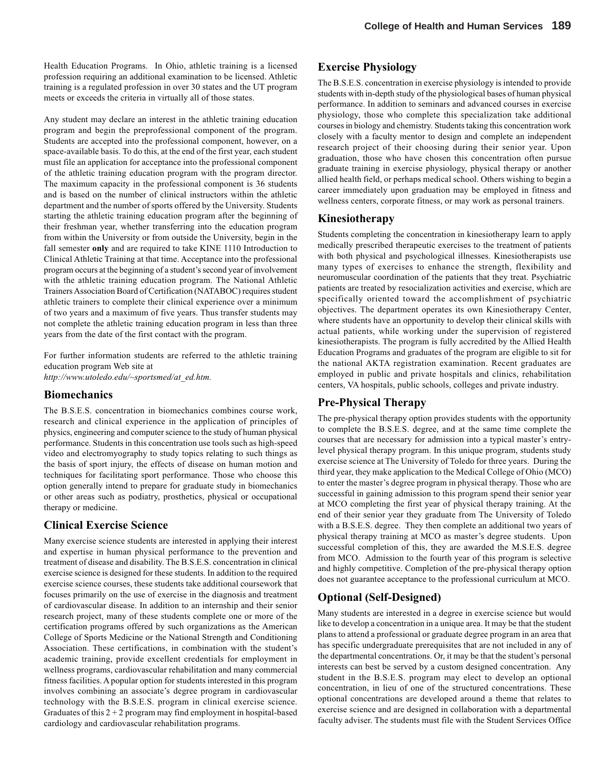Health Education Programs. In Ohio, athletic training is a licensed profession requiring an additional examination to be licensed. Athletic training is a regulated profession in over 30 states and the UT program meets or exceeds the criteria in virtually all of those states.

Any student may declare an interest in the athletic training education program and begin the preprofessional component of the program. Students are accepted into the professional component, however, on a space-available basis. To do this, at the end of the first year, each student must file an application for acceptance into the professional component of the athletic training education program with the program director. The maximum capacity in the professional component is 36 students and is based on the number of clinical instructors within the athletic department and the number of sports offered by the University. Students starting the athletic training education program after the beginning of their freshman year, whether transferring into the education program from within the University or from outside the University, begin in the fall semester **only** and are required to take KINE 1110 Introduction to Clinical Athletic Training at that time. Acceptance into the professional program occurs at the beginning of a student's second year of involvement with the athletic training education program. The National Athletic Trainers Association Board of Certification (NATABOC) requires student athletic trainers to complete their clinical experience over a minimum of two years and a maximum of five years. Thus transfer students may not complete the athletic training education program in less than three years from the date of the first contact with the program.

For further information students are referred to the athletic training education program Web site at *http://www.utoledo.edu/~sportsmed/at\_ed.htm.*

#### **Biomechanics**

The B.S.E.S. concentration in biomechanics combines course work, research and clinical experience in the application of principles of physics, engineering and computer science to the study of human physical performance. Students in this concentration use tools such as high-speed video and electromyography to study topics relating to such things as the basis of sport injury, the effects of disease on human motion and techniques for facilitating sport performance. Those who choose this option generally intend to prepare for graduate study in biomechanics or other areas such as podiatry, prosthetics, physical or occupational therapy or medicine.

#### **Clinical Exercise Science**

Many exercise science students are interested in applying their interest and expertise in human physical performance to the prevention and treatment of disease and disability. The B.S.E.S. concentration in clinical exercise science is designed for these students. In addition to the required exercise science courses, these students take additional coursework that focuses primarily on the use of exercise in the diagnosis and treatment of cardiovascular disease. In addition to an internship and their senior research project, many of these students complete one or more of the certification programs offered by such organizations as the American College of Sports Medicine or the National Strength and Conditioning Association. These certifications, in combination with the student's academic training, provide excellent credentials for employment in wellness programs, cardiovascular rehabilitation and many commercial fitness facilities. A popular option for students interested in this program involves combining an associate's degree program in cardiovascular technology with the B.S.E.S. program in clinical exercise science. Graduates of this  $2 + 2$  program may find employment in hospital-based cardiology and cardiovascular rehabilitation programs.

### **Exercise Physiology**

The B.S.E.S. concentration in exercise physiology is intended to provide students with in-depth study of the physiological bases of human physical performance. In addition to seminars and advanced courses in exercise physiology, those who complete this specialization take additional courses in biology and chemistry. Students taking this concentration work closely with a faculty mentor to design and complete an independent research project of their choosing during their senior year. Upon graduation, those who have chosen this concentration often pursue graduate training in exercise physiology, physical therapy or another allied health field, or perhaps medical school. Others wishing to begin a career immediately upon graduation may be employed in fitness and wellness centers, corporate fitness, or may work as personal trainers.

#### **Kinesiotherapy**

Students completing the concentration in kinesiotherapy learn to apply medically prescribed therapeutic exercises to the treatment of patients with both physical and psychological illnesses. Kinesiotherapists use many types of exercises to enhance the strength, flexibility and neuromuscular coordination of the patients that they treat. Psychiatric patients are treated by resocialization activities and exercise, which are specifically oriented toward the accomplishment of psychiatric objectives. The department operates its own Kinesiotherapy Center, where students have an opportunity to develop their clinical skills with actual patients, while working under the supervision of registered kinesiotherapists. The program is fully accredited by the Allied Health Education Programs and graduates of the program are eligible to sit for the national AKTA registration examination. Recent graduates are employed in public and private hospitals and clinics, rehabilitation centers, VA hospitals, public schools, colleges and private industry.

### **Pre-Physical Therapy**

The pre-physical therapy option provides students with the opportunity to complete the B.S.E.S. degree, and at the same time complete the courses that are necessary for admission into a typical master's entrylevel physical therapy program. In this unique program, students study exercise science at The University of Toledo for three years. During the third year, they make application to the Medical College of Ohio (MCO) to enter the master's degree program in physical therapy. Those who are successful in gaining admission to this program spend their senior year at MCO completing the first year of physical therapy training. At the end of their senior year they graduate from The University of Toledo with a B.S.E.S. degree. They then complete an additional two years of physical therapy training at MCO as master's degree students. Upon successful completion of this, they are awarded the M.S.E.S. degree from MCO. Admission to the fourth year of this program is selective and highly competitive. Completion of the pre-physical therapy option does not guarantee acceptance to the professional curriculum at MCO.

## **Optional (Self-Designed)**

Many students are interested in a degree in exercise science but would like to develop a concentration in a unique area. It may be that the student plans to attend a professional or graduate degree program in an area that has specific undergraduate prerequisites that are not included in any of the departmental concentrations. Or, it may be that the student's personal interests can best be served by a custom designed concentration. Any student in the B.S.E.S. program may elect to develop an optional concentration, in lieu of one of the structured concentrations. These optional concentrations are developed around a theme that relates to exercise science and are designed in collaboration with a departmental faculty adviser. The students must file with the Student Services Office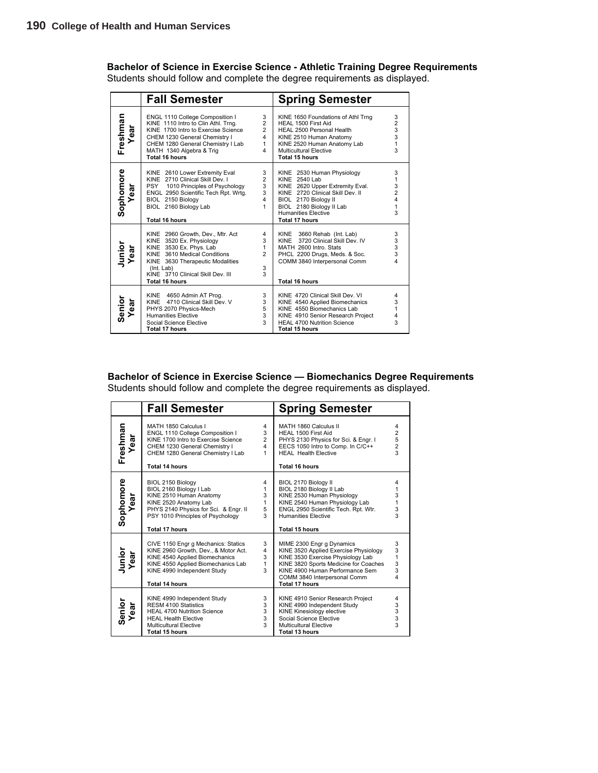**Bachelor of Science in Exercise Science - Athletic Training Degree Requirements**

Students should follow and complete the degree requirements as displayed.

|                   | <b>Fall Semester</b>                                                                                                                                                                                                              |                                                      | <b>Spring Semester</b>                                                                                                                                                                                                        |                                                     |
|-------------------|-----------------------------------------------------------------------------------------------------------------------------------------------------------------------------------------------------------------------------------|------------------------------------------------------|-------------------------------------------------------------------------------------------------------------------------------------------------------------------------------------------------------------------------------|-----------------------------------------------------|
| Freshman<br>Year  | ENGL 1110 College Composition I<br>KINE 1110 Intro to Clin Athl. Trng.<br>KINE 1700 Intro to Exercise Science<br>CHEM 1230 General Chemistry I<br>CHEM 1280 General Chemistry I Lab<br>MATH 1340 Algebra & Trig<br>Total 16 hours | 3<br>$\overline{2}$<br>$\overline{2}$<br>4<br>1<br>4 | KINE 1650 Foundations of Athl Trng<br>HEAL 1500 First Aid<br>HEAL 2500 Personal Health<br>KINE 2510 Human Anatomy<br>KINE 2520 Human Anatomy Lab<br>Multicultural Elective<br>Total 15 hours                                  | $\frac{3}{2}$<br>$\frac{3}{3}$<br>$\mathbf{1}$<br>3 |
| Sophomore<br>Year | KINE 2610 Lower Extremity Eval<br>KINE 2710 Clinical Skill Dev. I<br>PSY 1010 Principles of Psychology<br>ENGL 2950 Scientific Tech Rpt. Wrtg.<br>BIOL 2150 Biology<br>BIOL 2160 Biology Lab<br><b>Total 16 hours</b>             | 3<br>$\overline{2}$<br>3<br>3<br>4<br>1              | KINE 2530 Human Physiology<br>KINE 2540 Lab<br>KINE 2620 Upper Extremity Eval.<br>KINE 2720 Clinical Skill Dev. II<br>BIOL 2170 Biology II<br>BIOL 2180 Biology II Lab<br><b>Humanities Elective</b><br><b>Total 17 hours</b> | 3<br>1<br>$\frac{3}{2}$<br>4<br>1<br>3              |
| Junior<br>Year    | KINE 2960 Growth, Dev., Mtr. Act<br>KINE 3520 Ex. Physiology<br>KINE 3530 Ex. Phys. Lab<br>KINE 3610 Medical Conditions<br>KINE 3630 Therapeutic Modalities<br>(Int. Lab)<br>KINE 3710 Clinical Skill Dev. III<br>Total 16 hours  | 4<br>3<br>1<br>$\overline{2}$<br>3<br>3              | 3660 Rehab (Int. Lab)<br>KINE<br>KINF<br>3720 Clinical Skill Dev. IV<br>MATH 2600 Intro. Stats<br>PHCL 2200 Drugs, Meds. & Soc.<br>COMM 3840 Interpersonal Comm<br><b>Total 16 hours</b>                                      | 3<br>$\frac{3}{3}$<br>3<br>4                        |
| Senior<br>Year    | KINE 4650 Admin AT Prog.<br>KINE 4710 Clinical Skill Dev. V<br>PHYS 2070 Physics-Mech<br><b>Humanities Elective</b><br>Social Science Elective<br><b>Total 17 hours</b>                                                           | 3<br>3<br>5<br>3<br>3                                | KINE 4720 Clinical Skill Dev. VI<br>KINE 4540 Applied Biomechanics<br>KINE 4550 Biomechanics Lab<br>KINE 4910 Senior Research Project<br>HEAL 4700 Nutrition Science<br><b>Total 15 hours</b>                                 | 4<br>3<br>1<br>4<br>3                               |

**Bachelor of Science in Exercise Science — Biomechanics Degree Requirements** Students should follow and complete the degree requirements as displayed.

|                   | <b>Fall Semester</b>                                                                                                                                                                                        |                                                 | <b>Spring Semester</b>                                                                                                                                                                                                                       |                                                 |
|-------------------|-------------------------------------------------------------------------------------------------------------------------------------------------------------------------------------------------------------|-------------------------------------------------|----------------------------------------------------------------------------------------------------------------------------------------------------------------------------------------------------------------------------------------------|-------------------------------------------------|
| Freshman<br>Year  | MATH 1850 Calculus I<br>ENGL 1110 College Composition I<br>KINE 1700 Intro to Exercise Science<br>CHEM 1230 General Chemistry I<br>CHEM 1280 General Chemistry I Lab<br><b>Total 14 hours</b>               | 4<br>3<br>$\overline{2}$<br>$\overline{4}$<br>1 | MATH 1860 Calculus II<br>HEAL 1500 First Aid<br>PHYS 2130 Physics for Sci. & Engr. I<br>EECS 1050 Intro to Comp. In C/C++<br><b>HEAL Health Elective</b><br><b>Total 16 hours</b>                                                            | 4<br>$\overline{c}$<br>5<br>$\overline{2}$<br>3 |
| Sophomore<br>Year | BIOL 2150 Biology<br>BIOL 2160 Biology I Lab<br>KINE 2510 Human Anatomy<br>KINE 2520 Anatomy Lab<br>PHYS 2140 Physics for Sci. & Engr. II<br>PSY 1010 Principles of Psychology<br><b>Total 17 hours</b>     | 4<br>$\mathbf{1}$<br>3<br>1<br>5<br>3           | BIOL 2170 Biology II<br>BIOL 2180 Biology II Lab<br>KINE 2530 Human Physiology<br>KINE 2540 Human Physiology Lab<br>ENGL 2950 Scientific Tech. Rpt. Wtr.<br><b>Humanities Elective</b><br><b>Total 15 hours</b>                              | 4<br>1<br>3<br>1<br>3<br>3                      |
| Junior<br>Year    | CIVE 1150 Engr g Mechanics: Statics<br>KINE 2960 Growth, Dev., & Motor Act.<br>KINE 4540 Applied Biomechanics<br>KINE 4550 Applied Biomechanics Lab<br>KINE 4990 Independent Study<br><b>Total 14 hours</b> | 3<br>4<br>3<br>1<br>$\overline{3}$              | MIME 2300 Engr g Dynamics<br>KINE 3520 Applied Exercise Physiology<br>KINE 3530 Exercise Physiology Lab<br>KINE 3820 Sports Medicine for Coaches<br>KINE 4900 Human Performance Sem<br>COMM 3840 Interpersonal Comm<br><b>Total 17 hours</b> | 3<br>3<br>1<br>3<br>3<br>4                      |
| Senior<br>Year    | KINE 4990 Independent Study<br>RESM 4100 Statistics<br><b>HEAL 4700 Nutrition Science</b><br><b>HEAL Health Elective</b><br><b>Multicultural Elective</b><br><b>Total 15 hours</b>                          | 3<br>3<br>3<br>3<br>$\mathcal{R}$               | KINE 4910 Senior Research Project<br>KINE 4990 Independent Study<br>KINE Kinesiology elective<br>Social Science Elective<br>Multicultural Elective<br><b>Total 13 hours</b>                                                                  | 4<br>3<br>3<br>3<br>$\mathbf{3}$                |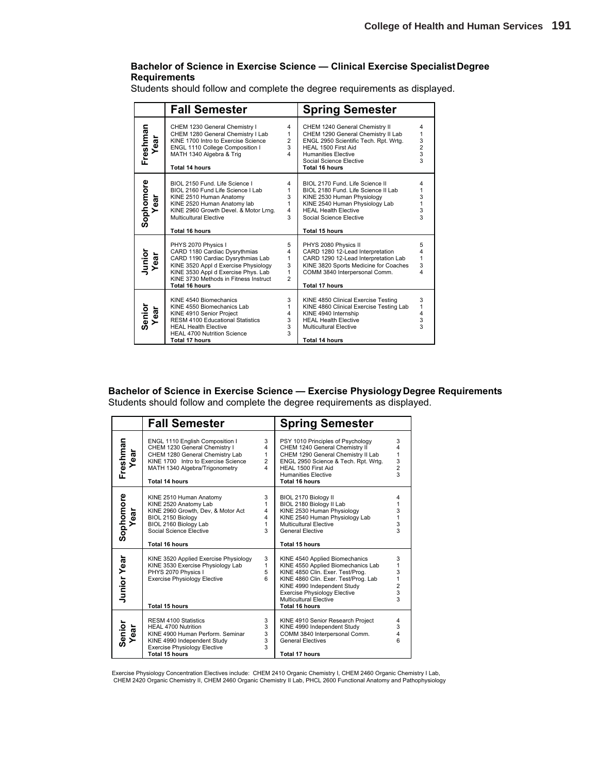#### **Bachelor of Science in Exercise Science — Clinical Exercise Specialist Degree Requirements**

Students should follow and complete the degree requirements as displayed.

|                  | <b>Fall Semester</b>                                                                                                                                                                                                                |                                                  | <b>Spring Semester</b>                                                                                                                                                                                                    |                                                           |
|------------------|-------------------------------------------------------------------------------------------------------------------------------------------------------------------------------------------------------------------------------------|--------------------------------------------------|---------------------------------------------------------------------------------------------------------------------------------------------------------------------------------------------------------------------------|-----------------------------------------------------------|
| Freshman<br>Year | CHEM 1230 General Chemistry I<br>CHEM 1280 General Chemistry I Lab<br>KINE 1700 Intro to Exercise Science<br>ENGL 1110 College Composition I<br>MATH 1340 Algebra & Trig<br><b>Total 14 hours</b>                                   | 4<br>1<br>$\overline{2}$<br>3<br>4               | CHEM 1240 General Chemistry II<br>CHEM 1290 General Chemistry II Lab<br>ENGL 2950 Scientific Tech. Rpt. Wrtg.<br>HEAL 1500 First Aid<br><b>Humanities Elective</b><br>Social Science Elective<br>Total 16 hours           | 4<br>1<br>$\begin{array}{c} 3 \\ 2 \\ 3 \end{array}$<br>3 |
| Sophomore<br>ear | BIOL 2150 Fund. Life Science I<br>BIOL 2160 Fund Life Science I Lab<br>KINE 2510 Human Anatomy<br>KINE 2520 Human Anatomy lab<br>KINE 2960 Growth Devel. & Motor Lrng.<br>Multicultural Elective<br><b>Total 16 hours</b>           | 4<br>1<br>3<br>1<br>4<br>3                       | BIOL 2170 Fund. Life Science II<br>BIOL 2180 Fund. Life Science II Lab<br>KINE 2530 Human Physiology<br>KINE 2540 Human Physiology Lab<br><b>HEAL Health Elective</b><br>Social Science Elective<br><b>Total 15 hours</b> | 4<br>1<br>3<br>1<br>3<br>3                                |
| Junior<br>Year   | PHYS 2070 Physics I<br>CARD 1180 Cardiac Dysrythmias<br>CARD 1190 Cardiac Dysrythmias Lab<br>KINE 3520 Appl d Exercise Physiology<br>KINE 3530 Appl d Exercise Phys. Lab<br>KINE 3730 Methods in Fitness Instruct<br>Total 16 hours | 5<br>4<br>1<br>3<br>1<br>$\mathfrak{p}$          | PHYS 2080 Physics II<br>CARD 1280 12-Lead Interpretation<br>CARD 1290 12-Lead Interpretation Lab<br>KINE 3820 Sports Medicine for Coaches<br>COMM 3840 Interpersonal Comm.<br><b>Total 17 hours</b>                       | 5<br>4<br>$\mathbf{1}$<br>3<br>4                          |
| Senior<br>Year   | KINE 4540 Biomechanics<br>KINE 4550 Biomechanics Lab<br>KINE 4910 Senior Project<br><b>RESM 4100 Educational Statistics</b><br><b>HEAL Health Elective</b><br><b>HEAL 4700 Nutrition Science</b><br><b>Total 17 hours</b>           | 3<br>1<br>4<br>3<br>3<br>$\overline{\mathbf{3}}$ | KINE 4850 Clinical Exercise Testing<br>KINE 4860 Clinical Exercise Testing Lab<br>KINE 4940 Internship<br><b>HEAL Health Elective</b><br>Multicultural Elective<br><b>Total 14 hours</b>                                  | 3<br>$\mathbf{1}$<br>4<br>3<br>3                          |

#### **Bachelor of Science in Exercise Science — Exercise Physiology Degree Requirements**

Students should follow and complete the degree requirements as displayed.

|                    | <b>Fall Semester</b>                                                                                                                                                                                  |                                         | <b>Spring Semester</b>                                                                                                                                                                                                                                             |                                              |
|--------------------|-------------------------------------------------------------------------------------------------------------------------------------------------------------------------------------------------------|-----------------------------------------|--------------------------------------------------------------------------------------------------------------------------------------------------------------------------------------------------------------------------------------------------------------------|----------------------------------------------|
| Freshman<br>Year   | ENGL 1110 English Composition I<br>CHEM 1230 General Chemistry I<br>CHEM 1280 General Chemistry Lab<br>KINE 1700 Intro to Exercise Science<br>MATH 1340 Algebra/Trigonometry<br><b>Total 14 hours</b> | 3<br>4<br>1<br>$\overline{2}$<br>4      | PSY 1010 Principles of Psychology<br>CHEM 1240 General Chemistry II<br>CHEM 1290 General Chemistry II Lab<br>ENGL 2950 Science & Tech. Rpt. Wrtg.<br>HEAL 1500 First Aid<br><b>Humanities Elective</b><br><b>Total 16 hours</b>                                    | 3<br>4<br>1<br>3<br>$\overline{2}$<br>3      |
| Sophomore<br>Year  | KINE 2510 Human Anatomy<br>KINE 2520 Anatomy Lab<br>KINE 2960 Growth, Dev, & Motor Act<br>BIOL 2150 Biology<br>BIOL 2160 Biology Lab<br>Social Science Elective<br><b>Total 16 hours</b>              | 3<br>1<br>$\overline{4}$<br>4<br>1<br>3 | BIOL 2170 Biology II<br>BIOL 2180 Biology II Lab<br>KINE 2530 Human Physiology<br>KINE 2540 Human Physiology Lab<br>Multicultural Elective<br><b>General Elective</b><br><b>Total 15 hours</b>                                                                     | 4<br>1<br>3<br>1<br>3<br>3                   |
| <b>Junior Year</b> | KINE 3520 Applied Exercise Physiology<br>KINE 3530 Exercise Physiology Lab<br>PHYS 2070 Physics I<br><b>Exercise Physiology Elective</b><br><b>Total 15 hours</b>                                     | 3<br>1<br>5<br>6                        | KINE 4540 Applied Biomechanics<br>KINE 4550 Applied Biomechanics Lab<br>KINE 4850 Clin. Exer. Test/Prog.<br>KINE 4860 Clin. Exer. Test/Prog. Lab<br>KINE 4990 Independent Study<br><b>Exercise Physiology Elective</b><br>Multicultural Elective<br>Total 16 hours | 3<br>1<br>3<br>1<br>$\overline{2}$<br>3<br>3 |
| Senior<br>ear<br>≻ | RESM 4100 Statistics<br>HEAL 4700 Nutrition<br>KINE 4900 Human Perform, Seminar<br>KINE 4990 Independent Study<br><b>Exercise Physiology Elective</b><br>Total 15 hours                               | 3<br>3<br>3<br>3<br>3                   | KINE 4910 Senior Research Project<br>KINE 4990 Independent Study<br>COMM 3840 Interpersonal Comm.<br><b>General Electives</b><br>Total 17 hours                                                                                                                    | 4<br>3<br>4<br>ĥ                             |

Exercise Physiology Concentration Electives include: CHEM 2410 Organic Chemistry I, CHEM 2460 Organic Chemistry I Lab,<br> CHEM 2420 Organic Chemistry II, CHEM 2460 Organic Chemistry II Lab, PHCL 2600 Functional Anatomy and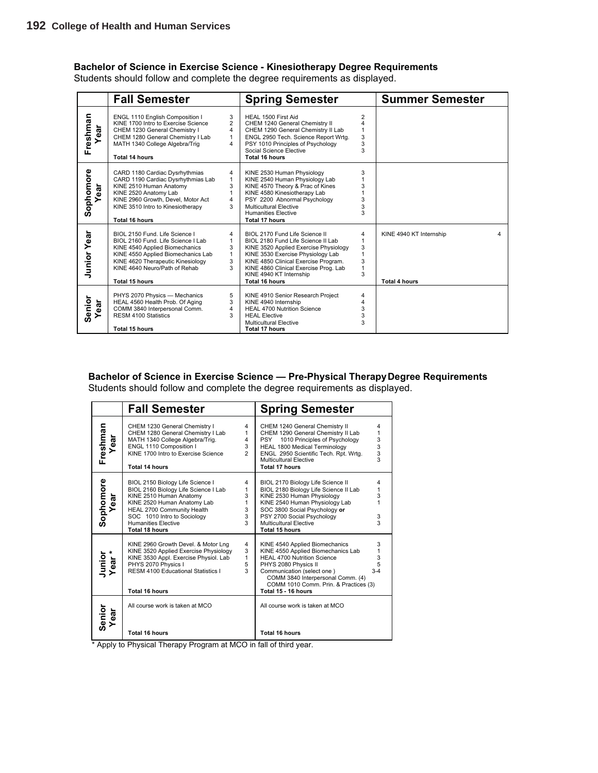#### **Bachelor of Science in Exercise Science - Kinesiotherapy Degree Requirements**

Students should follow and complete the degree requirements as displayed.

|                    | <b>Fall Semester</b>                                                                                                                                                                                                                        |                                                  | <b>Spring Semester</b>                                                                                                                                                                                                                                                                  |                                            | <b>Summer Semester</b>                               |
|--------------------|---------------------------------------------------------------------------------------------------------------------------------------------------------------------------------------------------------------------------------------------|--------------------------------------------------|-----------------------------------------------------------------------------------------------------------------------------------------------------------------------------------------------------------------------------------------------------------------------------------------|--------------------------------------------|------------------------------------------------------|
| Freshman<br>ear    | ENGL 1110 English Composition I<br>KINE 1700 Intro to Exercise Science<br>CHEM 1230 General Chemistry I<br>CHEM 1280 General Chemistry I Lab<br>MATH 1340 College Algebra/Trig<br><b>Total 14 hours</b>                                     | 3<br>$\overline{2}$<br>4<br>$\mathbf{1}$<br>4    | HEAL 1500 First Aid<br>CHEM 1240 General Chemistry II<br>CHEM 1290 General Chemistry II Lab<br>ENGL 2950 Tech. Science Report Wrtg.<br>PSY 1010 Principles of Psychology<br>Social Science Elective<br><b>Total 16 hours</b>                                                            | $\overline{2}$<br>$\lambda$<br>3<br>3<br>3 |                                                      |
| Sophomore<br>ar    | CARD 1180 Cardiac Dysrhythmias<br>CARD 1190 Cardiac Dysrhythmias Lab<br>KINE 2510 Human Anatomy<br>KINE 2520 Anatomy Lab<br>KINE 2960 Growth, Devel, Motor Act<br>KINE 3510 Intro to Kinesiotherapy<br><b>Total 16 hours</b>                | 4<br>$\mathbf{1}$<br>3<br>$\mathbf{1}$<br>4<br>3 | KINE 2530 Human Physiology<br>KINE 2540 Human Physiology Lab<br>KINE 4570 Theory & Prac of Kines<br>KINE 4580 Kinesiotherapy Lab<br>PSY 2200 Abnormal Psychology<br>Multicultural Elective<br><b>Humanities Elective</b><br><b>Total 17 hours</b>                                       | 3<br>3<br>3<br>3                           |                                                      |
| <b>Junior Year</b> | BIOL 2150 Fund. Life Science I<br>BIOL 2160 Fund. Life Science I Lab<br>KINE 4540 Applied Biomechanics<br>KINE 4550 Applied Biomechanics Lab<br>KINE 4620 Therapeutic Kinesiology<br>KINE 4640 Neuro/Path of Rehab<br><b>Total 15 hours</b> | 4<br>1<br>3<br>$\mathbf{1}$<br>3<br>3            | BIOL 2170 Fund Life Science II<br>BIOL 2180 Fund Life Science II Lab<br>KINE 3520 Applied Exercise Physiology<br>KINE 3530 Exercise Physiology Lab<br>KINE 4850 Clinical Exercise Program.<br>KINE 4860 Clinical Exercise Prog. Lab<br>KINE 4940 KT Internship<br><b>Total 16 hours</b> | 4<br>3<br>3<br>1<br>3                      | KINE 4940 KT Internship<br>4<br><b>Total 4 hours</b> |
| Senior<br>ear      | PHYS 2070 Physics - Mechanics<br>HEAL 4560 Health Prob. Of Aging<br>COMM 3840 Interpersonal Comm.<br>RESM 4100 Statistics<br>Total 15 hours                                                                                                 | 5<br>3<br>4<br>3                                 | KINE 4910 Senior Research Project<br>KINE 4940 Internship<br><b>HEAL 4700 Nutrition Science</b><br><b>HEAL Elective</b><br>Multicultural Elective<br><b>Total 17 hours</b>                                                                                                              | 4<br>$\boldsymbol{\Delta}$<br>3<br>3<br>3  |                                                      |

**Bachelor of Science in Exercise Science — Pre-Physical Therapy Degree Requirements** Students should follow and complete the degree requirements as displayed.

|                  | <b>Fall Semester</b>                                                                                                                                                                                                                            |                                    | <b>Spring Semester</b>                                                                                                                                                                                                                                                |                                                      |
|------------------|-------------------------------------------------------------------------------------------------------------------------------------------------------------------------------------------------------------------------------------------------|------------------------------------|-----------------------------------------------------------------------------------------------------------------------------------------------------------------------------------------------------------------------------------------------------------------------|------------------------------------------------------|
| Freshman<br>Year | CHEM 1230 General Chemistry I<br>CHEM 1280 General Chemistry I Lab<br>MATH 1340 College Algebra/Trig.<br>ENGL 1110 Composition I<br>KINE 1700 Intro to Exercise Science<br><b>Total 14 hours</b>                                                | 4<br>1<br>4<br>3<br>$\overline{2}$ | CHEM 1240 General Chemistry II<br>CHEM 1290 General Chemistry II Lab<br>1010 Principles of Psychology<br><b>PSY</b><br><b>HEAL 1800 Medical Terminology</b><br>ENGL 2950 Scientific Tech. Rpt. Wrtg.<br><b>Multicultural Elective</b><br><b>Total 17 hours</b>        | 4<br>1<br>$\begin{array}{c} 3 \\ 3 \\ 3 \end{array}$ |
| Sophomore<br>ear | BIOL 2150 Biology Life Science I<br>BIOL 2160 Biology Life Science I Lab<br>KINE 2510 Human Anatomy<br>KINE 2520 Human Anatomy Lab<br>HEAL 2700 Community Health<br>SOC 1010 Intro to Sociology<br><b>Humanities Elective</b><br>Total 18 hours | 4<br>1<br>3<br>1<br>3<br>3<br>3    | BIOL 2170 Biology Life Science II<br>BIOL 2180 Biology Life Science II Lab<br>KINE 2530 Human Physiology<br>KINE 2540 Human Physiology Lab<br>SOC 3800 Social Psychology or<br>PSY 2700 Social Psychology<br>Multicultural Elective<br>Total 15 hours                 | 4<br>1<br>3<br>3<br>3                                |
| Junior<br>Year*  | KINE 2960 Growth Devel, & Motor Lng<br>KINE 3520 Applied Exercise Physiology<br>KINE 3530 Appl. Exercise Physiol. Lab<br>PHYS 2070 Physics I<br><b>RESM 4100 Educational Statistics I</b><br><b>Total 16 hours</b>                              | 4<br>3<br>$\mathbf{1}$<br>5<br>3   | KINE 4540 Applied Biomechanics<br>KINE 4550 Applied Biomechanics Lab<br><b>HEAL 4700 Nutrition Science</b><br>PHYS 2080 Physics II<br>Communication (select one)<br>COMM 3840 Interpersonal Comm. (4)<br>COMM 1010 Comm. Prin. & Practices (3)<br>Total 15 - 16 hours | 3<br>1<br>3<br>5<br>$3 - 4$                          |
| Senior<br>Year   | All course work is taken at MCO<br><b>Total 16 hours</b>                                                                                                                                                                                        |                                    | All course work is taken at MCO<br><b>Total 16 hours</b>                                                                                                                                                                                                              |                                                      |

\* Apply to Physical Therapy Program at MCO in fall of third year.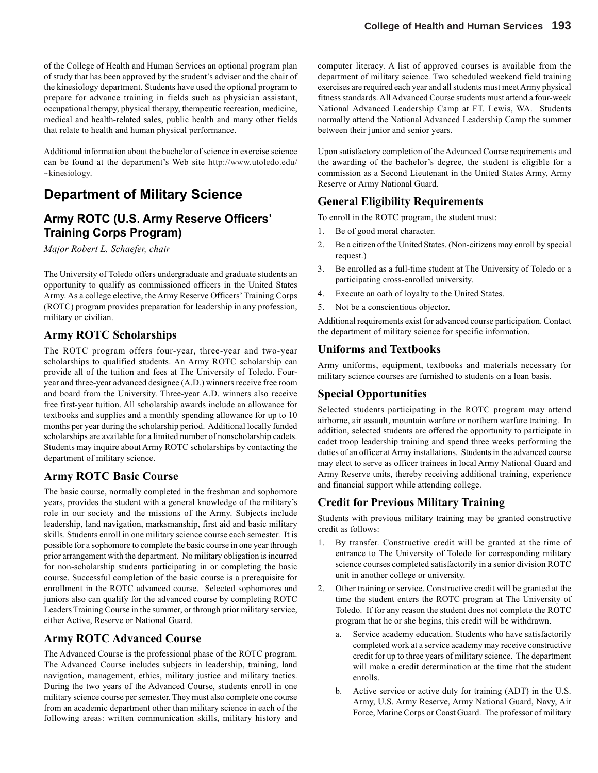of the College of Health and Human Services an optional program plan of study that has been approved by the student's adviser and the chair of the kinesiology department. Students have used the optional program to prepare for advance training in fields such as physician assistant, occupational therapy, physical therapy, therapeutic recreation, medicine, medical and health-related sales, public health and many other fields that relate to health and human physical performance.

Additional information about the bachelor of science in exercise science can be found at the department's Web site http://www.utoledo.edu/ ~kinesiology.

## **Department of Military Science**

## **Army ROTC (U.S. Army Reserve Officers' Training Corps Program)**

*Major Robert L. Schaefer, chair*

The University of Toledo offers undergraduate and graduate students an opportunity to qualify as commissioned officers in the United States Army. As a college elective, the Army Reserve Officers' Training Corps (ROTC) program provides preparation for leadership in any profession, military or civilian.

### **Army ROTC Scholarships**

The ROTC program offers four-year, three-year and two-year scholarships to qualified students. An Army ROTC scholarship can provide all of the tuition and fees at The University of Toledo. Fouryear and three-year advanced designee (A.D.) winners receive free room and board from the University. Three-year A.D. winners also receive free first-year tuition. All scholarship awards include an allowance for textbooks and supplies and a monthly spending allowance for up to 10 months per year during the scholarship period. Additional locally funded scholarships are available for a limited number of nonscholarship cadets. Students may inquire about Army ROTC scholarships by contacting the department of military science.

### **Army ROTC Basic Course**

The basic course, normally completed in the freshman and sophomore years, provides the student with a general knowledge of the military's role in our society and the missions of the Army. Subjects include leadership, land navigation, marksmanship, first aid and basic military skills. Students enroll in one military science course each semester. It is possible for a sophomore to complete the basic course in one year through prior arrangement with the department. No military obligation is incurred for non-scholarship students participating in or completing the basic course. Successful completion of the basic course is a prerequisite for enrollment in the ROTC advanced course. Selected sophomores and juniors also can qualify for the advanced course by completing ROTC Leaders Training Course in the summer, or through prior military service, either Active, Reserve or National Guard.

### **Army ROTC Advanced Course**

The Advanced Course is the professional phase of the ROTC program. The Advanced Course includes subjects in leadership, training, land navigation, management, ethics, military justice and military tactics. During the two years of the Advanced Course, students enroll in one military science course per semester. They must also complete one course from an academic department other than military science in each of the following areas: written communication skills, military history and computer literacy. A list of approved courses is available from the department of military science. Two scheduled weekend field training exercises are required each year and all students must meet Army physical fitness standards. All Advanced Course students must attend a four-week National Advanced Leadership Camp at FT. Lewis, WA. Students normally attend the National Advanced Leadership Camp the summer between their junior and senior years.

Upon satisfactory completion of the Advanced Course requirements and the awarding of the bachelor's degree, the student is eligible for a commission as a Second Lieutenant in the United States Army, Army Reserve or Army National Guard.

## **General Eligibility Requirements**

To enroll in the ROTC program, the student must:

- 1. Be of good moral character.
- 2. Be a citizen of the United States. (Non-citizens may enroll by special request.)
- 3. Be enrolled as a full-time student at The University of Toledo or a participating cross-enrolled university.
- 4. Execute an oath of loyalty to the United States.
- 5. Not be a conscientious objector.

Additional requirements exist for advanced course participation. Contact the department of military science for specific information.

#### **Uniforms and Textbooks**

Army uniforms, equipment, textbooks and materials necessary for military science courses are furnished to students on a loan basis.

### **Special Opportunities**

Selected students participating in the ROTC program may attend airborne, air assault, mountain warfare or northern warfare training. In addition, selected students are offered the opportunity to participate in cadet troop leadership training and spend three weeks performing the duties of an officer at Army installations. Students in the advanced course may elect to serve as officer trainees in local Army National Guard and Army Reserve units, thereby receiving additional training, experience and financial support while attending college.

### **Credit for Previous Military Training**

Students with previous military training may be granted constructive credit as follows:

- 1. By transfer. Constructive credit will be granted at the time of entrance to The University of Toledo for corresponding military science courses completed satisfactorily in a senior division ROTC unit in another college or university.
- 2. Other training or service. Constructive credit will be granted at the time the student enters the ROTC program at The University of Toledo. If for any reason the student does not complete the ROTC program that he or she begins, this credit will be withdrawn.
	- a. Service academy education. Students who have satisfactorily completed work at a service academy may receive constructive credit for up to three years of military science. The department will make a credit determination at the time that the student enrolls.
	- b. Active service or active duty for training (ADT) in the U.S. Army, U.S. Army Reserve, Army National Guard, Navy, Air Force, Marine Corps or Coast Guard. The professor of military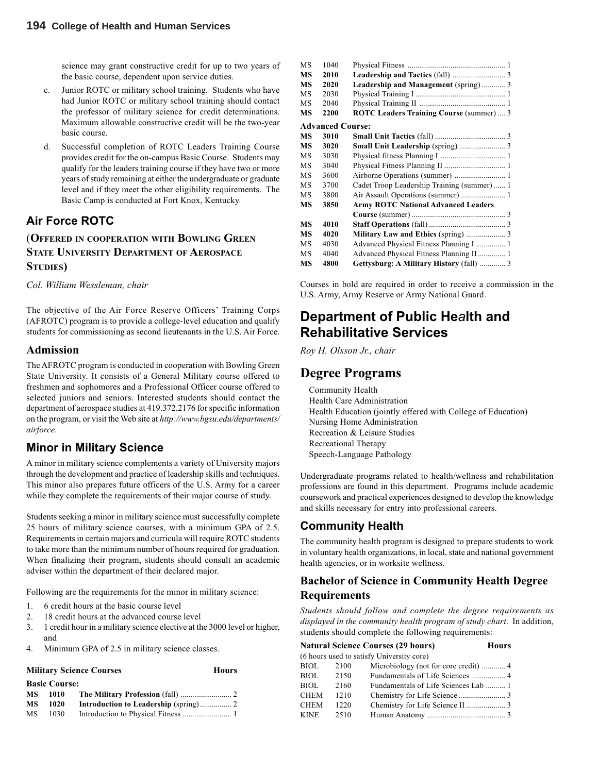science may grant constructive credit for up to two years of the basic course, dependent upon service duties.

- c. Junior ROTC or military school training. Students who have had Junior ROTC or military school training should contact the professor of military science for credit determinations. Maximum allowable constructive credit will be the two-year basic course.
- d. Successful completion of ROTC Leaders Training Course provides credit for the on-campus Basic Course. Students may qualify for the leaders training course if they have two or more years of study remaining at either the undergraduate or graduate level and if they meet the other eligibility requirements. The Basic Camp is conducted at Fort Knox, Kentucky.

### **Air Force ROTC**

#### (**OFFERED IN COOPERATION WITH BOWLING GREEN STATE UNIVERSITY DEPARTMENT OF AEROSPACE STUDIES)**

*Col. William Wessleman, chair*

The objective of the Air Force Reserve Officers' Training Corps (AFROTC) program is to provide a college-level education and qualify students for commissioning as second lieutenants in the U.S. Air Force.

#### **Admission**

The AFROTC program is conducted in cooperation with Bowling Green State University. It consists of a General Military course offered to freshmen and sophomores and a Professional Officer course offered to selected juniors and seniors. Interested students should contact the department of aerospace studies at 419.372.2176 for specific information on the program, or visit the Web site at *http://www.bgsu.edu/departments/ airforce*.

### **Minor in Military Science**

A minor in military science complements a variety of University majors through the development and practice of leadership skills and techniques. This minor also prepares future officers of the U.S. Army for a career while they complete the requirements of their major course of study.

Students seeking a minor in military science must successfully complete 25 hours of military science courses, with a minimum GPA of 2.5. Requirements in certain majors and curricula will require ROTC students to take more than the minimum number of hours required for graduation. When finalizing their program, students should consult an academic adviser within the department of their declared major.

Following are the requirements for the minor in military science:

- 1. 6 credit hours at the basic course level
- 2. 18 credit hours at the advanced course level
- 3. 1 credit hour in a military science elective at the 3000 level or higher, and
- 4. Minimum GPA of 2.5 in military science classes.

#### **Military Science Courses Hours**

|           | <b>Basic Course:</b> |  |
|-----------|----------------------|--|
|           |                      |  |
| <b>MS</b> | - 1020               |  |
| МS        | 1030                 |  |

| MS | 1040                    |                                            |  |
|----|-------------------------|--------------------------------------------|--|
| MS | 2010                    |                                            |  |
| MS | 2020                    | Leadership and Management (spring) 3       |  |
| MS | 2030                    |                                            |  |
| MS | 2040                    |                                            |  |
| MS | 2200                    | ROTC Leaders Training Course (summer)  3   |  |
|    | <b>Advanced Course:</b> |                                            |  |
| MS | 3010                    |                                            |  |
| MS | 3020                    | Small Unit Leadership (spring)  3          |  |
| MS | 3030                    |                                            |  |
| MS | 3040                    |                                            |  |
| MS | 3600                    |                                            |  |
| MS | 3700                    | Cadet Troop Leadership Training (summer) 1 |  |
| MS | 3800                    |                                            |  |
| MS | 3850                    | <b>Army ROTC National Advanced Leaders</b> |  |
|    |                         |                                            |  |
| MS | 4010                    |                                            |  |
| MS | 4020                    | Military Law and Ethics (spring)  3        |  |
| MS | 4030                    | Advanced Physical Fitness Planning I  1    |  |
| MS | 4040                    | Advanced Physical Fitness Planning II 1    |  |
| MS | 4800                    | Gettysburg: A Military History (fall)  3   |  |

Courses in bold are required in order to receive a commission in the U.S. Army, Army Reserve or Army National Guard.

## **Department of Public He***a***lth and Rehabilitative Services**

*Roy H. Olsson Jr., chair*

## **Degree Programs**

Community Health Health Care Administration Health Education (jointly offered with College of Education) Nursing Home Administration Recreation & Leisure Studies Recreational Therapy Speech-Language Pathology

Undergraduate programs related to health/wellness and rehabilitation professions are found in this department. Programs include academic coursework and practical experiences designed to develop the knowledge and skills necessary for entry into professional careers.

### **Community Health**

The community health program is designed to prepare students to work in voluntary health organizations, in local, state and national government health agencies, or in worksite wellness.

### **Bachelor of Science in Community Health Degree Requirements**

*Students should follow and complete the degree requirements as displayed in the community health program of study chart*. In addition, students should complete the following requirements:

|             |                                           | <b>Natural Science Courses (29 hours)</b><br><b>Hours</b> |  |  |  |  |  |
|-------------|-------------------------------------------|-----------------------------------------------------------|--|--|--|--|--|
|             | (6 hours used to satisfy University core) |                                                           |  |  |  |  |  |
| BIOL        | 2100                                      |                                                           |  |  |  |  |  |
| BIOL        | 2150                                      |                                                           |  |  |  |  |  |
| <b>BIOL</b> | 2160                                      | Fundamentals of Life Sciences Lab  1                      |  |  |  |  |  |
| <b>CHEM</b> | 1210                                      |                                                           |  |  |  |  |  |
| <b>CHEM</b> | 1220                                      |                                                           |  |  |  |  |  |
| <b>KINE</b> | 2510                                      |                                                           |  |  |  |  |  |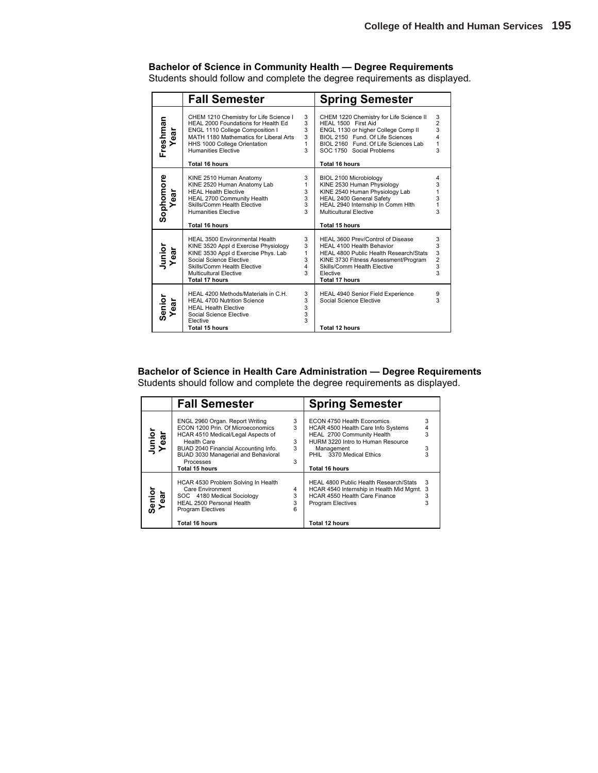### **Bachelor of Science in Community Health — Degree Requirements**

Students should follow and complete the degree requirements as displayed.

|                   | <b>Fall Semester</b>                                                                                                                                                                                                                              |                                                             | <b>Spring Semester</b>                                                                                                                                                                                                                 |                                                    |
|-------------------|---------------------------------------------------------------------------------------------------------------------------------------------------------------------------------------------------------------------------------------------------|-------------------------------------------------------------|----------------------------------------------------------------------------------------------------------------------------------------------------------------------------------------------------------------------------------------|----------------------------------------------------|
| Freshman<br>Year  | CHEM 1210 Chemistry for Life Science I<br>HEAL 2000 Foundations for Health Ed<br>ENGL 1110 College Composition I<br>MATH 1180 Mathematics for Liberal Arts<br>HHS 1000 College Orientation<br><b>Humanities Elective</b><br><b>Total 16 hours</b> | 3<br>3<br>3<br>3<br>1<br>3                                  | CHEM 1220 Chemistry for Life Science II<br>HEAL 1500 First Aid<br>ENGL 1130 or higher College Comp II<br>BIOL 2150 Fund. Of Life Sciences<br>BIOL 2160 Fund. Of Life Sciences Lab<br>SOC 1750 Social Problems<br><b>Total 16 hours</b> | 3<br>$\overline{2}$<br>3<br>4<br>$\mathbf{1}$<br>3 |
| Sophomore<br>Year | KINE 2510 Human Anatomy<br>KINE 2520 Human Anatomy Lab<br><b>HEAL Health Elective</b><br>HEAL 2700 Community Health<br>Skills/Comm Health Elective<br><b>Humanities Elective</b><br><b>Total 16 hours</b>                                         | 3<br>$\mathbf{1}$<br>3<br>3<br>3<br>$\mathbf{3}$            | BIOL 2100 Microbiology<br>KINE 2530 Human Physiology<br>KINE 2540 Human Physiology Lab<br>HEAL 2400 General Safety<br>HEAL 2940 Internship In Comm HIth<br>Multicultural Elective<br><b>Total 15 hours</b>                             | 4<br>3<br>1<br>$\frac{3}{1}$<br>3                  |
| Junior<br>Year    | <b>HEAL 3500 Environmental Health</b><br>KINE 3520 Appl d Exercise Physiology<br>KINE 3530 Appl d Exercise Phys. Lab<br>Social Science Elective<br>Skills/Comm Health Elective<br>Multicultural Elective<br><b>Total 17 hours</b>                 | 3<br>3<br>$\mathbf{1}$<br>3<br>$\overline{\mathbf{4}}$<br>3 | HEAL 3600 Prev/Control of Disease<br>HEAL 4100 Health Behavior<br>HEAL 4800 Public Health Research/Stats<br>KINE 3730 Fitness Assessment/Program<br>Skills/Comm Health Elective<br>Elective<br><b>Total 17 hours</b>                   | 3<br>3<br>3<br>$\frac{2}{3}$<br>3                  |
| Senior<br>ear     | HEAL 4200 Methods/Materials in C.H.<br><b>HEAL 4700 Nutrition Science</b><br><b>HEAL Health Elective</b><br>Social Science Elective<br>Elective<br>Total 15 hours                                                                                 | 3<br>3<br>3<br>3<br>3                                       | <b>HEAL 4940 Senior Field Experience</b><br>Social Science Elective<br><b>Total 12 hours</b>                                                                                                                                           | 9<br>3                                             |

**Bachelor of Science in Health Care Administration — Degree Requirements** Students should follow and complete the degree requirements as displayed.

|                | <b>Fall Semester</b>                                                                                                                                                                                                                                         |                       | <b>Spring Semester</b>                                                                                                                                                                          |                  |
|----------------|--------------------------------------------------------------------------------------------------------------------------------------------------------------------------------------------------------------------------------------------------------------|-----------------------|-------------------------------------------------------------------------------------------------------------------------------------------------------------------------------------------------|------------------|
| Junior<br>Year | ENGL 2960 Organ. Report Writing<br>ECON 1200 Prin. Of Microeconomics<br>HCAR 4510 Medical/Legal Aspects of<br><b>Health Care</b><br>BUAD 2040 Financial Accounting Info.<br>BUAD 3030 Managerial and Behavioral<br><b>Processes</b><br><b>Total 15 hours</b> | 3<br>3<br>3<br>3<br>3 | ECON 4750 Health Economics<br>HCAR 4500 Health Care Info Systems<br>HEAL 2700 Community Health<br>HURM 3220 Intro to Human Resource<br>Management<br>PHIL 3370 Medical Ethics<br>Total 16 hours | 3<br>4<br>3<br>3 |
| Senior<br>Year | HCAR 4530 Problem Solving In Health<br>Care Environment<br>SOC 4180 Medical Sociology<br>HEAL 2500 Personal Health<br><b>Program Electives</b><br>Total 16 hours                                                                                             | 4<br>3<br>3<br>6      | HEAL 4800 Public Health Research/Stats<br>HCAR 4540 Internship in Health Mid Mgmt. 3<br><b>HCAR 4550 Health Care Finance</b><br><b>Program Electives</b><br>Total 12 hours                      | 3<br>3           |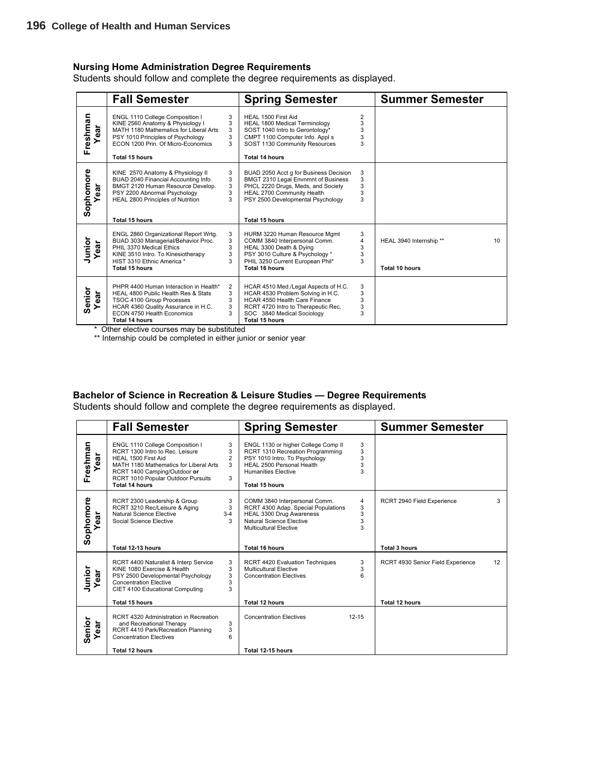#### **Nursing Home Administration Degree Requirements**

Students should follow and complete the degree requirements as displayed.

|                    | <b>Fall Semester</b>                                                                                                                                                                                              |                                    | <b>Spring Semester</b>                                                                                                                                                                                          |                       | <b>Summer Semester</b>                           |    |
|--------------------|-------------------------------------------------------------------------------------------------------------------------------------------------------------------------------------------------------------------|------------------------------------|-----------------------------------------------------------------------------------------------------------------------------------------------------------------------------------------------------------------|-----------------------|--------------------------------------------------|----|
| Freshman<br>ă<br>٥ | ENGL 1110 College Composition I<br>KINE 2560 Anatomy & Physiology I<br>MATH 1180 Mathematics for Liberal Arts<br>PSY 1010 Principles of Psychology<br>ECON 1200 Prin, Of Micro-Economics<br><b>Total 15 hours</b> | 3<br>3<br>3<br>3<br>3              | HEAL 1500 First Aid<br>HEAL 1800 Medical Terminology<br>SOST 1040 Intro to Gerontology*<br>CMPT 1100 Computer Info. Appl s<br>SOST 1130 Community Resources<br><b>Total 14 hours</b>                            | 2<br>3<br>3<br>3      |                                                  |    |
| Sophomore<br>ఔ     | KINE 2570 Anatomy & Physiology II<br>BUAD 2040 Financial Accounting Info.<br>BMGT 2120 Human Resource Develop.<br>PSY 2200 Abnormal Psychology<br>HEAL 2800 Principles of Nutrition<br><b>Total 15 hours</b>      | 3<br>3<br>3<br>3<br>3              | BUAD 2050 Acct g for Business Decision<br>BMGT 2310 Legal Envnmnt of Business<br>PHCL 2220 Drugs, Meds, and Society<br>HEAL 2700 Community Health<br>PSY 2500 Developmental Psychology<br><b>Total 15 hours</b> | 3<br>3<br>3<br>3<br>3 |                                                  |    |
| Junior<br>ear      | ENGL 2860 Organizational Report Wrtg.<br>BUAD 3030 Managerial/Behavior Proc.<br>PHIL 3370 Medical Ethics<br>KINE 3510 Intro. To Kinesiotherapy<br>HIST 3310 Ethnic America *<br>Total 15 hours                    | 3<br>3<br>3<br>3<br>3              | HURM 3220 Human Resource Mgmt<br>COMM 3840 Interpersonal Comm.<br>HEAL 3300 Death & Dying<br>PSY 3010 Culture & Psychology *<br>PHIL 3250 Current European Phil*<br>Total 16 hours                              | 3<br>4<br>3<br>3<br>3 | HEAL 3940 Internship **<br><b>Total 10 hours</b> | 10 |
| Senior<br>ear      | PHPR 4400 Human Interaction in Health*<br>HEAL 4800 Public Health Res & Stats<br>TSOC 4100 Group Processes<br>HCAR 4360 Quality Assurance in H.C.<br>ECON 4750 Health Economics<br>Total 14 hours                 | $\overline{2}$<br>3<br>3<br>3<br>3 | HCAR 4510 Med./Legal Aspects of H.C.<br>HCAR 4530 Problem Solving in H.C.<br>HCAR 4550 Health Care Finance<br>RCRT 4720 Intro to Therapeutic Rec.<br>SOC 3840 Medical Sociology<br><b>Total 15 hours</b>        | 3<br>3<br>3<br>3<br>3 |                                                  |    |

\* Other elective courses may be substituted

\*\* Internship could be completed in either junior or senior year

#### **Bachelor of Science in Recreation & Leisure Studies — Degree Requirements**

Students should follow and complete the degree requirements as displayed.

|                       | <b>Fall Semester</b>                                                                                                                                                                                                                                              | <b>Spring Semester</b>                                                                                                                                                                                                | <b>Summer Semester</b>                                                            |
|-----------------------|-------------------------------------------------------------------------------------------------------------------------------------------------------------------------------------------------------------------------------------------------------------------|-----------------------------------------------------------------------------------------------------------------------------------------------------------------------------------------------------------------------|-----------------------------------------------------------------------------------|
| Freshman<br>►<br>ēā   | ENGL 1110 College Composition I<br>3<br>RCRT 1300 Intro to Rec. Leisure<br>3<br>$\overline{2}$<br>HEAL 1500 First Aid<br>3<br>MATH 1180 Mathematics for Liberal Arts<br>RCRT 1400 Camping/Outdoor or<br>3<br>RCRT 1010 Popular Outdoor Pursuits<br>Total 14 hours | ENGL 1130 or higher College Comp II<br>3<br>3<br>RCRT 1310 Recreation Programming<br>3<br>PSY 1010 Intro. To Psychology<br>3<br>HEAL 2500 Personal Health<br>3<br><b>Humanities Elective</b><br><b>Total 15 hours</b> |                                                                                   |
| Sophomore<br>ear      | 3<br>RCRT 2300 Leadership & Group<br>RCRT 3210 Rec/Leisure & Aging<br>3<br>Natural Science Elective<br>$3 - 4$<br>Social Science Elective<br>3                                                                                                                    | 4<br>COMM 3840 Interpersonal Comm.<br>3<br>RCRT 4300 Adap. Special Populations<br>3<br>HEAL 3300 Drug Awareness<br>3<br>Natural Science Elective<br>3<br>Multicultural Elective                                       | RCRT 2940 Field Experience<br>3                                                   |
| Junior<br>Year<br>ear | Total 12-13 hours<br>3<br>RCRT 4400 Naturalist & Interp Service<br>KINE 1080 Exercise & Health<br>3<br>3<br>PSY 2500 Developmental Psychology<br>3<br><b>Concentration Elective</b><br>3<br>CIET 4100 Educational Computing<br><b>Total 15 hours</b>              | <b>Total 16 hours</b><br>3<br><b>RCRT 4420 Evaluation Techniques</b><br>3<br>Multicultural Elective<br>ĥ<br><b>Concentration Electives</b><br><b>Total 12 hours</b>                                                   | <b>Total 3 hours</b><br>RCRT 4930 Senior Field Experience<br>12<br>Total 12 hours |
| Senior<br>ear         | RCRT 4320 Administration in Recreation<br>3<br>and Recreational Therapy<br>RCRT 4410 Park/Recreation Planning<br>3<br><b>Concentration Electives</b><br>6<br>Total 12 hours                                                                                       | <b>Concentration Electives</b><br>$12 - 15$<br>Total 12-15 hours                                                                                                                                                      |                                                                                   |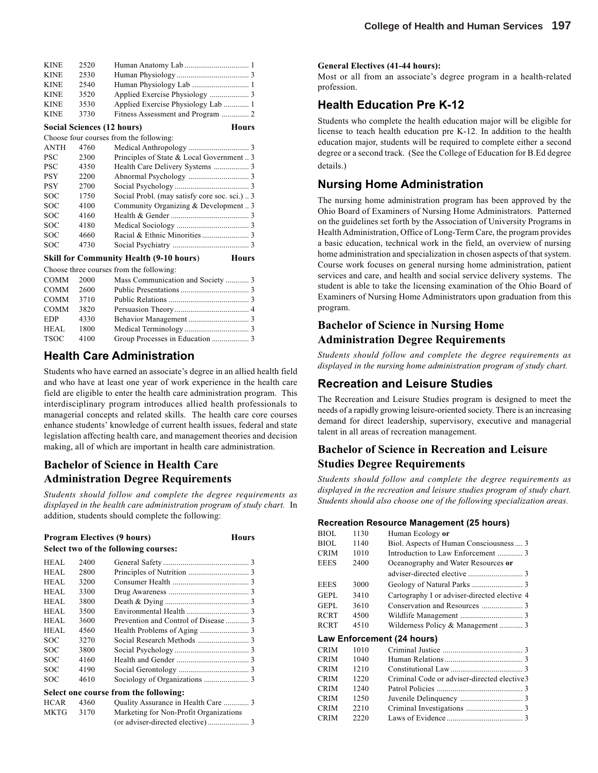| 2520 |                                              |
|------|----------------------------------------------|
| 2530 |                                              |
| 2540 | Human Physiology Lab  1                      |
| 3520 |                                              |
| 3530 | Applied Exercise Physiology Lab  1           |
| 3730 | Fitness Assessment and Program  2            |
|      | <b>Hours</b><br>Social Sciences (12 hours)   |
|      | Choose four courses from the following:      |
| 4760 |                                              |
| 2300 | Principles of State & Local Government  3    |
| 4350 |                                              |
| 2200 |                                              |
| 2700 |                                              |
| 1750 | Social Probl. (may satisfy core soc. sci.) 3 |
| 4100 | Community Organizing & Development  3        |
| 4160 |                                              |
| 4180 |                                              |
| 4660 |                                              |
| 4730 |                                              |
|      |                                              |

#### **Skill for Community Health (9-10 hours) Hours**

#### Choose three courses from the following:

| COMM 2000   |      | Mass Communication and Society 3 |  |
|-------------|------|----------------------------------|--|
| COMM 2600   |      |                                  |  |
| COMM 3710   |      |                                  |  |
| COMM 3820   |      |                                  |  |
| <b>EDP</b>  | 4330 |                                  |  |
| <b>HEAL</b> | 1800 |                                  |  |
| TSOC        | 4100 |                                  |  |
|             |      |                                  |  |

#### **Health Care Administration**

Students who have earned an associate's degree in an allied health field and who have at least one year of work experience in the health care field are eligible to enter the health care administration program. This interdisciplinary program introduces allied health professionals to managerial concepts and related skills. The health care core courses enhance students' knowledge of current health issues, federal and state legislation affecting health care, and management theories and decision making, all of which are important in health care administration.

### **Bachelor of Science in Health Care Administration Degree Requirements**

*Students should follow and complete the degree requirements as displayed in the health care administration program of study chart.* In addition, students should complete the following:

|                                       |      | <b>Program Electives (9 hours)</b><br>Hours |  |  |  |
|---------------------------------------|------|---------------------------------------------|--|--|--|
| Select two of the following courses:  |      |                                             |  |  |  |
| HEAL                                  | 2400 |                                             |  |  |  |
| HEAL                                  | 2800 |                                             |  |  |  |
| <b>HEAL</b>                           | 3200 |                                             |  |  |  |
| HEAL                                  | 3300 |                                             |  |  |  |
| HEAL                                  | 3800 |                                             |  |  |  |
| <b>HEAL</b>                           | 3500 |                                             |  |  |  |
| HEAL                                  | 3600 |                                             |  |  |  |
| HEAL                                  | 4560 |                                             |  |  |  |
| SOC                                   | 3270 |                                             |  |  |  |
| SOC                                   | 3800 |                                             |  |  |  |
| SOC                                   | 4160 |                                             |  |  |  |
| SOC                                   | 4190 |                                             |  |  |  |
| SOC                                   | 4610 |                                             |  |  |  |
| Select one course from the following: |      |                                             |  |  |  |
| <b>HCAR</b>                           | 4360 | Quality Assurance in Health Care  3         |  |  |  |
| MKTG                                  | 3170 | Marketing for Non-Profit Organizations      |  |  |  |
|                                       |      | (or adviser-directed elective)  3           |  |  |  |

#### **General Electives (41-44 hours):**

Most or all from an associate's degree program in a health-related profession.

#### **Health Education Pre K-12**

Students who complete the health education major will be eligible for license to teach health education pre K-12. In addition to the health education major, students will be required to complete either a second degree or a second track. (See the College of Education for B.Ed degree details.)

#### **Nursing Home Administration**

The nursing home administration program has been approved by the Ohio Board of Examiners of Nursing Home Administrators. Patterned on the guidelines set forth by the Association of University Programs in Health Administration, Office of Long-Term Care, the program provides a basic education, technical work in the field, an overview of nursing home administration and specialization in chosen aspects of that system. Course work focuses on general nursing home administration, patient services and care, and health and social service delivery systems. The student is able to take the licensing examination of the Ohio Board of Examiners of Nursing Home Administrators upon graduation from this program.

#### **Bachelor of Science in Nursing Home Administration Degree Requirements**

*Students should follow and complete the degree requirements as displayed in the nursing home administration program of study chart.*

#### **Recreation and Leisure Studies**

The Recreation and Leisure Studies program is designed to meet the needs of a rapidly growing leisure-oriented society. There is an increasing demand for direct leadership, supervisory, executive and managerial talent in all areas of recreation management.

### **Bachelor of Science in Recreation and Leisure Studies Degree Requirements**

*Students should follow and complete the degree requirements as displayed in the recreation and leisure studies program of study chart. Students should also choose one of the following specialization areas.*

#### **Recreation Resource Management (25 hours)**

| BIOL        | 1130 | Human Ecology or                             |  |
|-------------|------|----------------------------------------------|--|
| BIOL        | 1140 | Biol. Aspects of Human Consciousness  3      |  |
| CRIM        | 1010 | Introduction to Law Enforcement  3           |  |
| EEES        | 2400 | Oceanography and Water Resources or          |  |
|             |      |                                              |  |
| EEES        | 3000 |                                              |  |
| GEPL        | 3410 | Cartography I or adviser-directed elective 4 |  |
| GEPL        | 3610 |                                              |  |
| <b>RCRT</b> | 4500 |                                              |  |
| RCRT        | 4510 | Wilderness Policy & Management  3            |  |
|             |      |                                              |  |
|             |      | Law Enforcement (24 hours)                   |  |
| CRIM        | 1010 |                                              |  |
| CRIM        | 1040 |                                              |  |
| CRIM        | 1210 |                                              |  |
| CRIM        | 1220 | Criminal Code or adviser-directed elective 3 |  |
| CRIM        | 1240 |                                              |  |
| <b>CRIM</b> | 1250 |                                              |  |
| <b>CRIM</b> | 2210 |                                              |  |
| CRIM        | 2220 |                                              |  |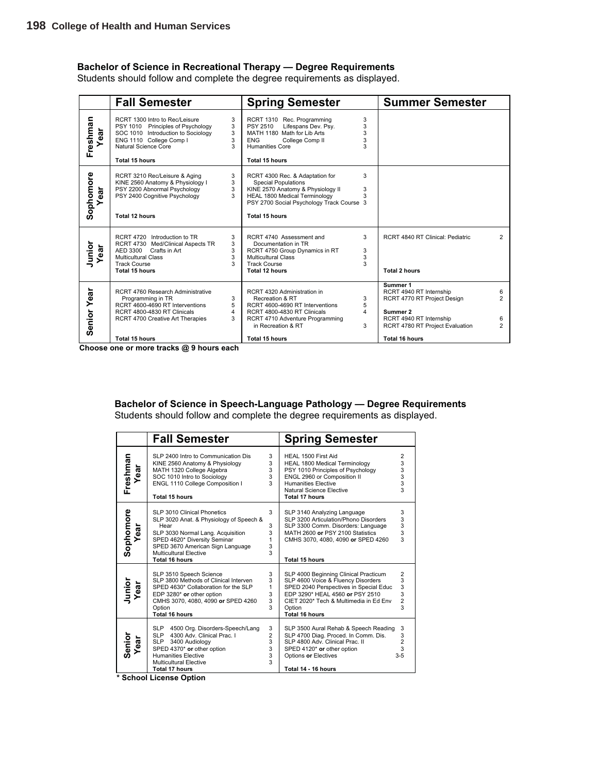#### **Bachelor of Science in Recreational Therapy — Degree Requirements**

Students should follow and complete the degree requirements as displayed.

|                    | <b>Fall Semester</b>                                                                                                                                                                  |                       | <b>Spring Semester</b>                                                                                                                                                                                    |                       | <b>Summer Semester</b>                                                                                                                       |                                            |
|--------------------|---------------------------------------------------------------------------------------------------------------------------------------------------------------------------------------|-----------------------|-----------------------------------------------------------------------------------------------------------------------------------------------------------------------------------------------------------|-----------------------|----------------------------------------------------------------------------------------------------------------------------------------------|--------------------------------------------|
| Freshman<br>ă<br>ه | RCRT 1300 Intro to Rec/Leisure<br>PSY 1010 Principles of Psychology<br>SOC 1010 Introduction to Sociology<br>ENG 1110 College Comp I<br>Natural Science Core<br><b>Total 15 hours</b> | 3<br>3<br>3<br>3<br>3 | RCRT 1310 Rec. Programming<br>Lifespans Dev. Psy.<br>PSY 2510<br>MATH 1180 Math for Lib Arts<br><b>ENG</b><br>College Comp II<br>Humanities Core<br><b>Total 15 hours</b>                                 | 3<br>3<br>3<br>3<br>3 |                                                                                                                                              |                                            |
| Sophomore<br>ar    | RCRT 3210 Rec/Leisure & Aging<br>KINE 2560 Anatomy & Physiology I<br>PSY 2200 Abnormal Psychology<br>PSY 2400 Cognitive Psychology<br><b>Total 12 hours</b>                           | 3<br>3<br>3<br>3      | RCRT 4300 Rec. & Adaptation for<br><b>Special Populations</b><br>KINE 2570 Anatomy & Physiology II<br>HEAL 1800 Medical Terminology<br>PSY 2700 Social Psychology Track Course 3<br><b>Total 15 hours</b> | 3<br>3<br>3           |                                                                                                                                              |                                            |
| Junior<br>ear      | RCRT 4720 Introduction to TR<br>RCRT 4730 Med/Clinical Aspects TR<br>AED 3300 Crafts in Art<br><b>Multicultural Class</b><br><b>Track Course</b><br>Total 15 hours                    | 3<br>3<br>3<br>3<br>3 | RCRT 4740 Assessment and<br>Documentation in TR<br>RCRT 4750 Group Dynamics in RT<br><b>Multicultural Class</b><br><b>Track Course</b><br>Total 12 hours                                                  | 3<br>3<br>3<br>3      | RCRT 4840 RT Clinical: Pediatric<br><b>Total 2 hours</b>                                                                                     | $\overline{2}$                             |
| <b>Senior Year</b> | RCRT 4760 Research Administrative<br>Programming in TR<br>RCRT 4600-4690 RT Interventions<br>RCRT 4800-4830 RT Clinicals<br>RCRT 4700 Creative Art Therapies                          | 3<br>5<br>4<br>3      | RCRT 4320 Administration in<br>Recreation & RT<br>RCRT 4600-4690 RT Interventions<br>RCRT 4800-4830 RT Clinicals<br>RCRT 4710 Adventure Programming<br>in Recreation & RT                                 | 3<br>5<br>4<br>3      | Summer 1<br>RCRT 4940 RT Internship<br>RCRT 4770 RT Project Design<br>Summer 2<br>RCRT 4940 RT Internship<br>RCRT 4780 RT Project Evaluation | 6<br>$\mathfrak{p}$<br>6<br>$\overline{2}$ |
|                    | Total 15 hours                                                                                                                                                                        |                       | <b>Total 15 hours</b>                                                                                                                                                                                     |                       | <b>Total 16 hours</b>                                                                                                                        |                                            |

**Choose one or more tracks @ 9 hours each**

## **Bachelor of Science in Speech-Language Pathology — Degree Requirements**

| Students should follow and complete the degree requirements as displayed. |
|---------------------------------------------------------------------------|
|---------------------------------------------------------------------------|

|                  | <b>Fall Semester</b>                                                                                                                                                                                                                       |                                         | <b>Spring Semester</b>                                                                                                                                                                                                                |                                          |
|------------------|--------------------------------------------------------------------------------------------------------------------------------------------------------------------------------------------------------------------------------------------|-----------------------------------------|---------------------------------------------------------------------------------------------------------------------------------------------------------------------------------------------------------------------------------------|------------------------------------------|
| Freshman<br>ear  | SLP 2400 Intro to Communication Dis<br>KINE 2560 Anatomy & Physiology<br>MATH 1320 College Algebra<br>SOC 1010 Intro to Sociology<br>ENGL 1110 College Composition I<br><b>Total 15 hours</b>                                              | 3<br>3<br>3<br>3<br>3                   | HEAL 1500 First Aid<br>HEAL 1800 Medical Terminology<br>PSY 1010 Principles of Psychology<br>ENGL 2960 or Composition II<br><b>Humanities Elective</b><br>Natural Science Elective<br><b>Total 17 hours</b>                           | $\overline{2}$<br>3<br>3<br>3<br>3<br>3  |
| Sophomore<br>ear | SLP 3010 Clinical Phonetics<br>SLP 3020 Anat. & Physiology of Speech &<br>Hear<br>SLP 3030 Normal Lang. Acquisition<br>SPED 4620* Diversity Seminar<br>SPED 3670 American Sign Language<br>Multicultural Elective<br><b>Total 16 hours</b> | 3<br>3<br>3<br>1<br>3<br>3              | SLP 3140 Analyzing Language<br>SLP 3200 Articulation/Phono Disorders<br>SLP 3300 Comm. Disorders: Language<br>MATH 2600 or PSY 2100 Statistics<br>CMHS 3070, 4080, 4090 or SPED 4260<br><b>Total 15 hours</b>                         | 3<br>3<br>3<br>3<br>$\overline{3}$       |
| Junior<br>Year   | SLP 3510 Speech Science<br>SLP 3800 Methods of Clinical Interven<br>SPED 4630* Collaboration for the SLP<br>EDP $3280*$ or other option<br>CMHS 3070, 4080, 4090 or SPED 4260<br>Option<br><b>Total 16 hours</b>                           | 3<br>3<br>1<br>3<br>3<br>3              | SLP 4000 Beginning Clinical Practicum<br>SLP 4600 Voice & Fluency Disorders<br>SPED 2040 Perspectives in Special Educ<br>EDP 3290* HEAL 4560 or PSY 2510<br>CIET 2020* Tech & Multimedia in Ed Env<br>Option<br><b>Total 16 hours</b> | 2<br>3<br>3<br>3<br>$\overline{2}$<br>3  |
| Senior<br>Year   | SLP 4500 Org. Disorders-Speech/Lang<br>SLP 4300 Adv. Clinical Prac. I<br>SLP 3400 Audiology<br>SPED 4370* or other option<br><b>Humanities Elective</b><br><b>Multicultural Elective</b><br><b>Total 17 hours</b>                          | 3<br>$\overline{2}$<br>3<br>3<br>3<br>3 | SLP 3500 Aural Rehab & Speech Reading<br>SLP 4700 Diag. Proced. In Comm. Dis.<br>SLP 4800 Adv. Clinical Prac. II<br>SPED 4120* or other option<br>Options or Electives<br>Total 14 - 16 hours                                         | 3<br>3<br>$\overline{2}$<br>3<br>$3 - 5$ |

**\* School License Option**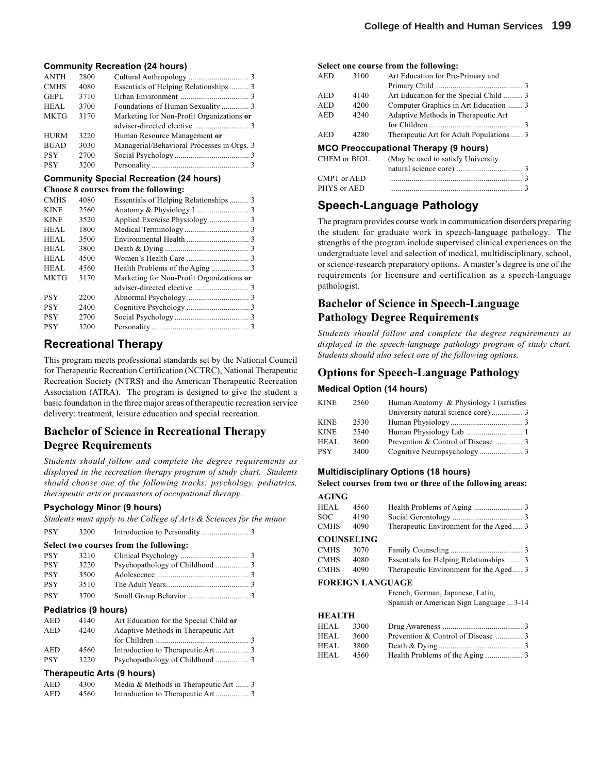#### **Community Recreation (24 hours)**

| Essentials of Helping Relationships 3      |
|--------------------------------------------|
|                                            |
|                                            |
| Marketing for Non-Profit Organizations or  |
|                                            |
|                                            |
| Managerial/Behavioral Processes in Orgs. 3 |
|                                            |
|                                            |
|                                            |

#### **Community Special Recreation (24 hours) Choose 8 courses from the following:**

| <b>CMHS</b> | 4080 | Essentials of Helping Relationships 3     |  |
|-------------|------|-------------------------------------------|--|
| <b>KINE</b> | 2560 |                                           |  |
| <b>KINE</b> | 3520 |                                           |  |
| HEAL        | 1800 |                                           |  |
| HEAL        | 3500 |                                           |  |
| HEAL        | 3800 |                                           |  |
| HEAL        | 4500 |                                           |  |
| <b>HEAL</b> | 4560 |                                           |  |
| <b>MKTG</b> | 3170 | Marketing for Non-Profit Organizations or |  |
|             |      |                                           |  |
| <b>PSY</b>  | 2200 |                                           |  |
| <b>PSY</b>  | 2400 |                                           |  |
| <b>PSY</b>  | 2700 |                                           |  |
| <b>PSY</b>  | 3200 |                                           |  |

## **Recreational Therapy**

This program meets professional standards set by the National Council for Therapeutic Recreation Certification (NCTRC), National Therapeutic Recreation Society (NTRS) and the American Therapeutic Recreation Association (ATRA). The program is designed to give the student a basic foundation in the three major areas of therapeutic recreation service delivery: treatment, leisure education and special recreation.

### **Bachelor of Science in Recreational Therapy Degree Requirements**

*Students should follow and complete the degree requirements as displayed in the recreation therapy program of study chart. Students should choose one of the following tracks: psychology, pediatrics, therapeutic arts or premasters of occupational therapy*.

#### **Psychology Minor (9 hours)**

*Students must apply to the College of Arts & Sciences for the minor.*

| <b>PSY</b>                 | 3200 |                                        |  |  |  |  |
|----------------------------|------|----------------------------------------|--|--|--|--|
|                            |      | Select two courses from the following: |  |  |  |  |
| <b>PSY</b>                 | 3210 |                                        |  |  |  |  |
| <b>PSY</b>                 | 3220 |                                        |  |  |  |  |
| <b>PSY</b>                 | 3500 |                                        |  |  |  |  |
| <b>PSY</b>                 | 3510 |                                        |  |  |  |  |
| <b>PSY</b>                 | 3700 |                                        |  |  |  |  |
| Pediatrics (9 hours)       |      |                                        |  |  |  |  |
| <b>AED</b>                 | 4140 | Art Education for the Special Child or |  |  |  |  |
| <b>AED</b>                 | 4240 | Adaptive Methods in Therapeutic Art    |  |  |  |  |
|                            |      |                                        |  |  |  |  |
| <b>AED</b>                 | 4560 |                                        |  |  |  |  |
| <b>PSY</b>                 | 3220 |                                        |  |  |  |  |
| Therapeutic Arts (9 hours) |      |                                        |  |  |  |  |
| AED                        | 4300 | Media & Methods in Therapeutic Art  3  |  |  |  |  |
| AED                        | 4560 |                                        |  |  |  |  |

#### **Select one course from the following:**

| 3100                                         | Art Education for Pre-Primary and        |  |  |  |  |
|----------------------------------------------|------------------------------------------|--|--|--|--|
|                                              |                                          |  |  |  |  |
| 4140                                         | Art Education for the Special Child  3   |  |  |  |  |
| 4200                                         | Computer Graphics in Art Education  3    |  |  |  |  |
| 4240                                         | Adaptive Methods in Therapeutic Art      |  |  |  |  |
|                                              |                                          |  |  |  |  |
| 4280                                         | Therapeutic Art for Adult Populations  3 |  |  |  |  |
| <b>MCO Preoccupational Therapy (9 hours)</b> |                                          |  |  |  |  |
| CHEM or BIOL                                 | (May be used to satisfy University)      |  |  |  |  |
|                                              |                                          |  |  |  |  |

## **Speech-Language Pathology**

The program provides course work in communication disorders preparing the student for graduate work in speech-language pathology. The strengths of the program include supervised clinical experiences on the undergraduate level and selection of medical, multidisciplinary, school, or science-research preparatory options. A master's degree is one of the requirements for licensure and certification as a speech-language pathologist.

### **Bachelor of Science in Speech-Language Pathology Degree Requirements**

*Students should follow and complete the degree requirements as displayed in the speech-language pathology program of study chart. Students should also select one of the following options.*

#### **Options for Speech-Language Pathology**

#### **Medical Option (14 hours)**

| KINE        | 2560 | Human Anatomy & Physiology I (satisfies |  |
|-------------|------|-----------------------------------------|--|
|             |      |                                         |  |
| <b>KINE</b> | 2530 |                                         |  |
| <b>KINE</b> | 2540 |                                         |  |
| HEAL.       | 3600 |                                         |  |
| PSY         | 3400 |                                         |  |

#### **Multidisciplinary Options (18 hours)**

#### **Select courses from two or three of the following areas: AGING**

| AGING       |                  |                                         |
|-------------|------------------|-----------------------------------------|
| HEAL        | 4560             |                                         |
| SOC         | 4190             |                                         |
| <b>CMHS</b> | 4090             | Therapeutic Environment for the Aged 3  |
|             | COUNSELING       |                                         |
| CMHS        | 3070             |                                         |
| CMHS        | 4080             | Essentials for Helping Relationships  3 |
| <b>CMHS</b> | 4090             | Therapeutic Environment for the Aged 3  |
|             | FOREIGN LANGUAGE |                                         |
|             |                  | French, German, Japanese, Latin,        |
|             |                  | Spanish or American Sign Language  3-14 |
| HEALTH      |                  |                                         |
| HEAL.       | 3300             |                                         |
| HEAL        | 3600             |                                         |
| HEAL        | 3800             |                                         |
| HEAL        | 4560             |                                         |
|             |                  |                                         |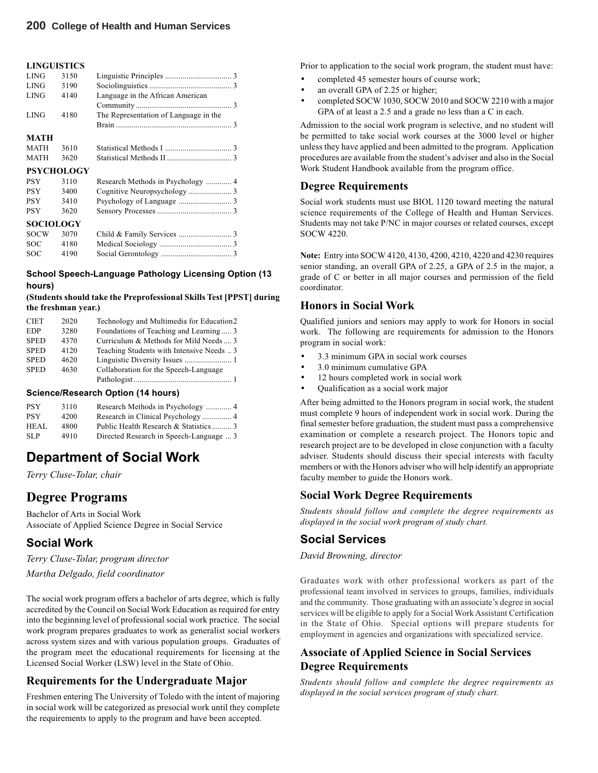#### **LINGUISTICS**

| <b>LING</b><br>3190<br><b>LING</b><br>Language in the African American<br>4140<br><b>LING</b><br>4180<br>The Representation of Language in the<br><b>MATH</b><br>3610<br><b>MATH</b><br><b>MATH</b><br>3620<br><b>PSYCHOLOGY</b><br><b>PSY</b><br>3110<br><b>PSY</b> | 3150 |  |
|----------------------------------------------------------------------------------------------------------------------------------------------------------------------------------------------------------------------------------------------------------------------|------|--|
|                                                                                                                                                                                                                                                                      |      |  |
|                                                                                                                                                                                                                                                                      |      |  |
|                                                                                                                                                                                                                                                                      |      |  |
|                                                                                                                                                                                                                                                                      |      |  |
|                                                                                                                                                                                                                                                                      |      |  |
|                                                                                                                                                                                                                                                                      |      |  |
|                                                                                                                                                                                                                                                                      |      |  |
|                                                                                                                                                                                                                                                                      |      |  |
|                                                                                                                                                                                                                                                                      |      |  |
|                                                                                                                                                                                                                                                                      |      |  |
|                                                                                                                                                                                                                                                                      | 3400 |  |
| <b>PSY</b><br>3410                                                                                                                                                                                                                                                   |      |  |
|                                                                                                                                                                                                                                                                      |      |  |

#### **SOCIOLOGY**

| <b>SOCIOLOGY</b> |      |  |
|------------------|------|--|
| SOCW 3070        |      |  |
| SOC.             | 4180 |  |
| SOC.             | 4190 |  |

PSY 3620 Sensory Processes ...................................... 3

#### **School Speech-Language Pathology Licensing Option (13 hours)**

#### **(Students should take the Preprofessional Skills Test [PPST] during the freshman year.)**

| <b>CIET</b> | 2020 | Technology and Multimedia for Education2  |
|-------------|------|-------------------------------------------|
| <b>EDP</b>  | 3280 | Foundations of Teaching and Learning 3    |
| <b>SPED</b> | 4370 | Curriculum & Methods for Mild Needs  3    |
| <b>SPED</b> | 4120 | Teaching Students with Intensive Needs  3 |
| <b>SPED</b> | 4620 |                                           |
| <b>SPED</b> | 4630 | Collaboration for the Speech-Language     |
|             |      |                                           |

#### **Science/Research Option (14 hours)**

| <b>PSY</b> | 3110 |                                         |
|------------|------|-----------------------------------------|
| <b>PSY</b> | 4200 |                                         |
| HEAL       | 4800 | Public Health Research & Statistics 3   |
| SLP.       | 4910 | Directed Research in Speech-Language  3 |

## **Department of Social Work**

*Terry Cluse-Tolar, chair*

## **Degree Programs**

Bachelor of Arts in Social Work Associate of Applied Science Degree in Social Service

### **Social Work**

*Terry Cluse-Tolar, program director Martha Delgado, field coordinator*

The social work program offers a bachelor of arts degree, which is fully accredited by the Council on Social Work Education as required for entry into the beginning level of professional social work practice. The social work program prepares graduates to work as generalist social workers across system sizes and with various population groups. Graduates of the program meet the educational requirements for licensing at the Licensed Social Worker (LSW) level in the State of Ohio.

### **Requirements for the Undergraduate Major**

Freshmen entering The University of Toledo with the intent of majoring in social work will be categorized as presocial work until they complete the requirements to apply to the program and have been accepted.

Prior to application to the social work program, the student must have:

- completed 45 semester hours of course work;
- an overall GPA of 2.25 or higher;
- completed SOCW 1030, SOCW 2010 and SOCW 2210 with a major GPA of at least a 2.5 and a grade no less than a C in each.

Admission to the social work program is selective, and no student will be permitted to take social work courses at the 3000 level or higher unless they have applied and been admitted to the program. Application procedures are available from the student's adviser and also in the Social Work Student Handbook available from the program office.

#### **Degree Requirements**

Social work students must use BIOL 1120 toward meeting the natural science requirements of the College of Health and Human Services. Students may not take P/NC in major courses or related courses, except SOCW 4220.

**Note:** Entry into SOCW 4120, 4130, 4200, 4210, 4220 and 4230 requires senior standing, an overall GPA of 2.25, a GPA of 2.5 in the major, a grade of C or better in all major courses and permission of the field coordinator.

#### **Honors in Social Work**

Qualified juniors and seniors may apply to work for Honors in social work. The following are requirements for admission to the Honors program in social work:

- 3.3 minimum GPA in social work courses
- 3.0 minimum cumulative GPA
- 12 hours completed work in social work
- Qualification as a social work major

After being admitted to the Honors program in social work, the student must complete 9 hours of independent work in social work. During the final semester before graduation, the student must pass a comprehensive examination or complete a research project. The Honors topic and research project are to be developed in close conjunction with a faculty adviser. Students should discuss their special interests with faculty members or with the Honors adviser who will help identify an appropriate faculty member to guide the Honors work.

#### **Social Work Degree Requirements**

*Students should follow and complete the degree requirements as displayed in the social work program of study chart.*

### **Social Services**

*David Browning, director*

Graduates work with other professional workers as part of the professional team involved in services to groups, families, individuals and the community. Those graduating with an associate's degree in social services will be eligible to apply for a Social Work Assistant Certification in the State of Ohio. Special options will prepare students for employment in agencies and organizations with specialized service.

### **Associate of Applied Science in Social Services Degree Requirements**

*Students should follow and complete the degree requirements as displayed in the social services program of study chart.*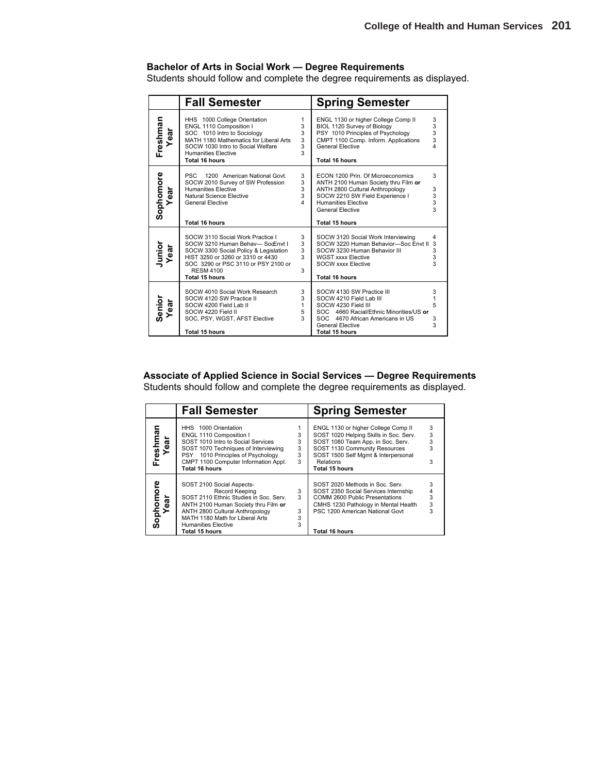#### **Bachelor of Arts in Social Work — Degree Requirements**

Students should follow and complete the degree requirements as displayed.

|                 | <b>Fall Semester</b>                                                                                                                                                                                                                  |                                             | <b>Spring Semester</b>                                                                                                                                                                                                            |                              |
|-----------------|---------------------------------------------------------------------------------------------------------------------------------------------------------------------------------------------------------------------------------------|---------------------------------------------|-----------------------------------------------------------------------------------------------------------------------------------------------------------------------------------------------------------------------------------|------------------------------|
| Freshman<br>ear | HHS 1000 College Orientation<br>ENGL 1110 Composition I<br>SOC 1010 Intro to Sociology<br>MATH 1180 Mathematics for Liberal Arts<br>SOCW 1030 Intro to Social Welfare<br><b>Humanities Elective</b><br>Total 16 hours                 | 1<br>3<br>3<br>3<br>3<br>3                  | ENGL 1130 or higher College Comp II<br>BIOL 1120 Survey of Biology<br>PSY 1010 Principles of Psychology<br>CMPT 1100 Comp. Inform. Applications<br><b>General Elective</b><br><b>Total 16 hours</b>                               | 3<br>3<br>3<br>3<br>$\Delta$ |
| Sophomore<br>đ  | <b>PSC</b><br>1200 American National Govt.<br>SOCW 2010 Survey of SW Profession<br><b>Humanities Elective</b><br>Natural Science Elective<br><b>General Elective</b><br><b>Total 16 hours</b>                                         | 3<br>3<br>3<br>3<br>$\overline{\mathbf{A}}$ | ECON 1200 Prin. Of Microeconomics<br>ANTH 2100 Human Society thru Film or<br>ANTH 2800 Cultural Anthropology<br>SOCW 2210 SW Field Experience I<br><b>Humanities Elective</b><br><b>General Elective</b><br><b>Total 15 hours</b> | 3<br>3<br>$\frac{3}{3}$<br>3 |
| Junior<br>ear   | SOCW 3110 Social Work Practice I<br>SOCW 3210 Human Behav-SocEnvt I<br>SOCW 3300 Social Policy & Legislation<br>HIST 3250 or 3260 or 3310 or 4430<br>SOC 3290 or PSC 3110 or PSY 2100 or<br><b>RESM 4100</b><br><b>Total 15 hours</b> | 3<br>3<br>3<br>3<br>3                       | SOCW 3120 Social Work Interviewing<br>SOCW 3220 Human Behavior-Soc Envt II<br>SOCW 3230 Human Behavior III<br><b>WGST xxxx Elective</b><br><b>SOCW xxxx Elective</b><br><b>Total 16 hours</b>                                     | 4<br>3<br>3<br>3<br>3        |
| Senior<br>ear   | SOCW 4010 Social Work Research<br>SOCW 4120 SW Practice II<br>SOCW 4200 Field Lab II<br>SOCW 4220 Field II<br>SOC, PSY, WGST, AFST Elective<br>Total 15 hours                                                                         | 3<br>3<br>$\mathbf{1}$<br>5<br>$\mathbf{3}$ | SOCW 4130 SW Practice III<br>SOCW 4210 Field Lab III<br>SOCW 4230 Field III<br>SOC 4660 Racial/Ethnic Minorities/US or<br>SOC 4670 African Americans in US<br><b>General Elective</b><br><b>Total 15 hours</b>                    | 3<br>1<br>5<br>3<br>3        |

**Associate of Applied Science in Social Services — Degree Requirements** Students should follow and complete the degree requirements as displayed.

|                       | <b>Fall Semester</b>                                                                                                                                                                                                                                       |                       | <b>Spring Semester</b>                                                                                                                                                                                                           |                  |
|-----------------------|------------------------------------------------------------------------------------------------------------------------------------------------------------------------------------------------------------------------------------------------------------|-----------------------|----------------------------------------------------------------------------------------------------------------------------------------------------------------------------------------------------------------------------------|------------------|
| man<br>Year<br>Freshr | HHS 1000 Orientation<br>ENGL 1110 Composition I<br>SOST 1010 Intro to Social Services<br>SOST 1070 Techniques of Interviewing<br>PSY 1010 Principles of Psychology<br>CMPT 1100 Computer Information Appl.<br>Total 16 hours                               | 3<br>3<br>3<br>3<br>3 | ENGL 1130 or higher College Comp II<br>SOST 1020 Helping Skills in Soc. Serv.<br>SOST 1080 Team App. in Soc. Serv.<br>SOST 1130 Community Resources<br>SOST 1500 Self Mgmt & Interpersonal<br>Relations<br><b>Total 15 hours</b> | 3<br>3<br>3<br>3 |
| Sophomore<br>đ        | SOST 2100 Social Aspects-<br>Record Keeping<br>SOST 2110 Ethnic Studies in Soc. Serv.<br>ANTH 2100 Human Society thru Film or<br>ANTH 2800 Cultural Anthropology<br>MATH 1180 Math for Liberal Arts<br><b>Humanities Elective</b><br><b>Total 15 hours</b> | 3<br>3<br>3<br>3<br>3 | SOST 2020 Methods in Soc. Serv.<br>SOST 2350 Social Services Internship<br>COMM 2600 Public Presentations<br>CMHS 1230 Pathology in Mental Health<br>PSC 1200 American National Govt<br>Total 16 hours                           | 3<br>3<br>3      |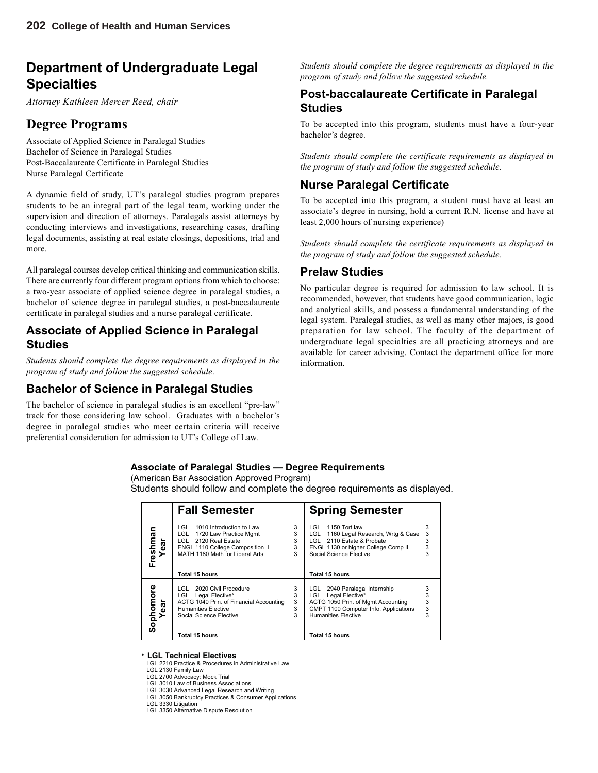## **Department of Undergraduate Legal Specialties**

*Attorney Kathleen Mercer Reed, chair*

## **Degree Programs**

Associate of Applied Science in Paralegal Studies Bachelor of Science in Paralegal Studies Post-Baccalaureate Certificate in Paralegal Studies Nurse Paralegal Certificate

A dynamic field of study, UT's paralegal studies program prepares students to be an integral part of the legal team, working under the supervision and direction of attorneys. Paralegals assist attorneys by conducting interviews and investigations, researching cases, drafting legal documents, assisting at real estate closings, depositions, trial and more.

All paralegal courses develop critical thinking and communication skills. There are currently four different program options from which to choose: a two-year associate of applied science degree in paralegal studies, a bachelor of science degree in paralegal studies, a post-baccalaureate certificate in paralegal studies and a nurse paralegal certificate.

### **Associate of Applied Science in Paralegal Studies**

*Students should complete the degree requirements as displayed in the program of study and follow the suggested schedule*.

## **Bachelor of Science in Paralegal Studies**

The bachelor of science in paralegal studies is an excellent "pre-law" track for those considering law school. Graduates with a bachelor's degree in paralegal studies who meet certain criteria will receive preferential consideration for admission to UT's College of Law.

*Students should complete the degree requirements as displayed in the program of study and follow the suggested schedule.*

### **Post-baccalaureate Certificate in Paralegal Studies**

To be accepted into this program, students must have a four-year bachelor's degree.

*Students should complete the certificate requirements as displayed in the program of study and follow the suggested schedule*.

## **Nurse Paralegal Certificate**

To be accepted into this program, a student must have at least an associate's degree in nursing, hold a current R.N. license and have at least 2,000 hours of nursing experience)

*Students should complete the certificate requirements as displayed in the program of study and follow the suggested schedule.*

## **Prelaw Studies**

No particular degree is required for admission to law school. It is recommended, however, that students have good communication, logic and analytical skills, and possess a fundamental understanding of the legal system. Paralegal studies, as well as many other majors, is good preparation for law school. The faculty of the department of undergraduate legal specialties are all practicing attorneys and are available for career advising. Contact the department office for more information.

#### **Associate of Paralegal Studies — Degree Requirements**

(American Bar Association Approved Program)

Students should follow and complete the degree requirements as displayed.

|                   | <b>Fall Semester</b>                                                                                                                                                                      |                       | <b>Spring Semester</b>                                                                                                                                                                 |                         |
|-------------------|-------------------------------------------------------------------------------------------------------------------------------------------------------------------------------------------|-----------------------|----------------------------------------------------------------------------------------------------------------------------------------------------------------------------------------|-------------------------|
| Freshman<br>Year  | 1010 Introduction to Law<br>LGL.<br>LGL.<br>1720 Law Practice Mgmt<br>LGL 2120 Real Estate<br>ENGL 1110 College Composition 1<br>MATH 1180 Math for Liberal Arts<br><b>Total 15 hours</b> | 3<br>3<br>3<br>3<br>3 | 1150 Tort law<br>LGL<br>1160 Legal Research, Wrtg & Case<br>LGL<br>LGL 2110 Estate & Probate<br>ENGL 1130 or higher College Comp II<br>Social Science Elective<br>Total 15 hours       | 3<br>3<br>3<br>3        |
| Sophomore<br>Year | 2020 Civil Procedure<br>LGL.<br>LGL Legal Elective*<br>ACTG 1040 Prin. of Financial Accounting<br><b>Humanities Elective</b><br>Social Science Elective<br><b>Total 15 hours</b>          | 3<br>3<br>3<br>3<br>3 | 2940 Paralegal Internship<br>LGL<br>LGL Legal Elective*<br>ACTG 1050 Prin. of Mgmt Accounting<br>CMPT 1100 Computer Info. Applications<br><b>Humanities Elective</b><br>Total 15 hours | 3<br>$\frac{3}{3}$<br>3 |

#### **\* LGL Technical Electives**

LGL 2210 Practice & Procedures in Administrative Law

LGL 2130 Family Law

LGL 2700 Advocacy: Mock Trial LGL 3010 Law of Business Associations

- LGL 3030 Advanced Legal Research and Writing
- LGL 3050 Bankruptcy Practices & Consumer Applications

LGL 3330 Litigation

LGL 3350 Alternative Dispute Resolution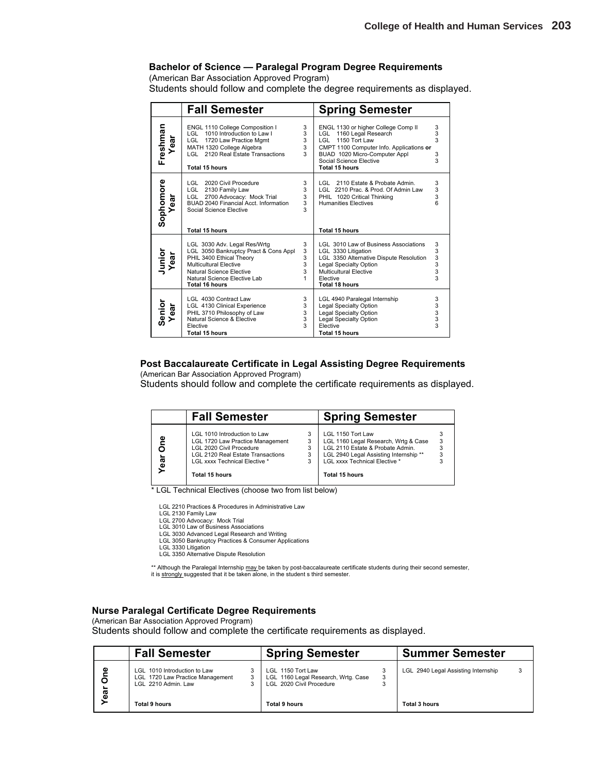#### **Bachelor of Science — Paralegal Program Degree Requirements**

(American Bar Association Approved Program)

Students should follow and complete the degree requirements as displayed.

|                   | <b>Fall Semester</b>                                                                                                                                                                                             |                            | <b>Spring Semester</b>                                                                                                                                                                                        |                                         |
|-------------------|------------------------------------------------------------------------------------------------------------------------------------------------------------------------------------------------------------------|----------------------------|---------------------------------------------------------------------------------------------------------------------------------------------------------------------------------------------------------------|-----------------------------------------|
| Freshman<br>Year  | ENGL 1110 College Composition I<br>LGL 1010 Introduction to Law I<br>LGL 1720 Law Practice Mamt<br>MATH 1320 College Algebra<br>LGL 2120 Real Estate Transactions<br><b>Total 15 hours</b>                       | 3<br>3<br>3<br>3<br>3      | ENGL 1130 or higher College Comp II<br>LGL 1160 Legal Research<br>LGL 1150 Tort Law<br>CMPT 1100 Computer Info. Applications or<br>BUAD 1020 Micro-Computer Appl<br>Social Science Elective<br>Total 15 hours | $\frac{3}{3}$<br>3<br>3<br>$\mathbf{3}$ |
| Sophomore<br>Year | LGL 2020 Civil Procedure<br>LGL 2130 Family Law<br>LGL 2700 Advocacy: Mock Trial<br>BUAD 2040 Financial Acct. Information<br>Social Science Elective<br><b>Total 15 hours</b>                                    | 3<br>3<br>3<br>3<br>3      | 2110 Estate & Probate Admin.<br>LGL<br>LGL 2210 Prac. & Prod. Of Admin Law<br>PHIL 1020 Critical Thinking<br><b>Humanities Electives</b><br>Total 15 hours                                                    | 3<br>3<br>3<br>6                        |
| Junior<br>Year    | LGL 3030 Adv. Legal Res/Wrtg<br>LGL 3050 Bankruptcy Pract & Cons Appl<br>PHIL 3400 Ethical Theory<br>Multicultural Elective<br>Natural Science Elective<br>Natural Science Elective Lab<br><b>Total 16 hours</b> | 3<br>3<br>3<br>3<br>3<br>1 | LGL 3010 Law of Business Associations<br>LGL 3330 Litigation<br>LGL 3350 Alternative Dispute Resolution<br>Legal Specialty Option<br>Multicultural Elective<br>Elective<br><b>Total 18 hours</b>              | 3<br>3<br>3<br>3<br>3<br>3              |
| Senior<br>Year    | LGL 4030 Contract Law<br>LGL 4130 Clinical Experience<br>PHIL 3710 Philosophy of Law<br>Natural Science & Elective<br>Elective<br>Total 15 hours                                                                 | 3<br>3<br>3<br>3<br>3      | LGL 4940 Paralegal Internship<br>Legal Specialty Option<br>Legal Specialty Option<br>Legal Specialty Option<br>Elective<br>Total 15 hours                                                                     | 3<br>3<br>3<br>3<br>3                   |

#### **Post Baccalaureate Certificate in Legal Assisting Degree Requirements**

(American Bar Association Approved Program)

Students should follow and complete the certificate requirements as displayed.

|           | <b>Fall Semester</b>                                                                                                                                                                               |             | <b>Spring Semester</b>                                                                                                                                                                           |        |
|-----------|----------------------------------------------------------------------------------------------------------------------------------------------------------------------------------------------------|-------------|--------------------------------------------------------------------------------------------------------------------------------------------------------------------------------------------------|--------|
| ٥e<br>ear | LGL 1010 Introduction to Law<br>LGL 1720 Law Practice Management<br>LGL 2020 Civil Procedure<br><b>LGL 2120 Real Estate Transactions</b><br>LGL xxxx Technical Elective *<br><b>Total 15 hours</b> | 3<br>3<br>3 | LGL 1150 Tort Law<br>LGL 1160 Legal Research, Wrtg & Case<br>LGL 2110 Estate & Probate Admin.<br>LGL 2940 Legal Assisting Internship**<br>LGL xxxx Technical Elective *<br><b>Total 15 hours</b> | 3<br>3 |

\* LGL Technical Electives (choose two from list below)

LGL 2210 Practices & Procedures in Administrative Law

- LGL 2130 Family Law LGL 2700 Advocacy: Mock Trial
	-
- LGL 3010 Law of Business Associations LGL 3030 Advanced Legal Research and Writing
	- LGL 3050 Bankruptcy Practices & Consumer Applications
	-
- LGL 3330 Litigation LGL 3350 Alternative Dispute Resolution

\*\* Although the Paralegal Internship may be taken by post-baccalaureate certificate students during their second semester, it is strongly suggested that it be taken alone, in the student s third semester.

#### **Nurse Paralegal Certificate Degree Requirements**

(American Bar Association Approved Program)

Students should follow and complete the certificate requirements as displayed.

|             | <b>Fall Semester</b>                                                                    |   | <b>Spring Semester</b>                                                               | <b>Summer Semester</b>              |  |
|-------------|-----------------------------------------------------------------------------------------|---|--------------------------------------------------------------------------------------|-------------------------------------|--|
| Φ<br>O<br>ā | LGL 1010 Introduction to Law<br>LGL 1720 Law Practice Management<br>LGL 2210 Admin. Law | 3 | LGL 1150 Tort Law<br>LGL 1160 Legal Research, Wrtg. Case<br>LGL 2020 Civil Procedure | LGL 2940 Legal Assisting Internship |  |
|             | <b>Total 9 hours</b>                                                                    |   | Total 9 hours                                                                        | Total 3 hours                       |  |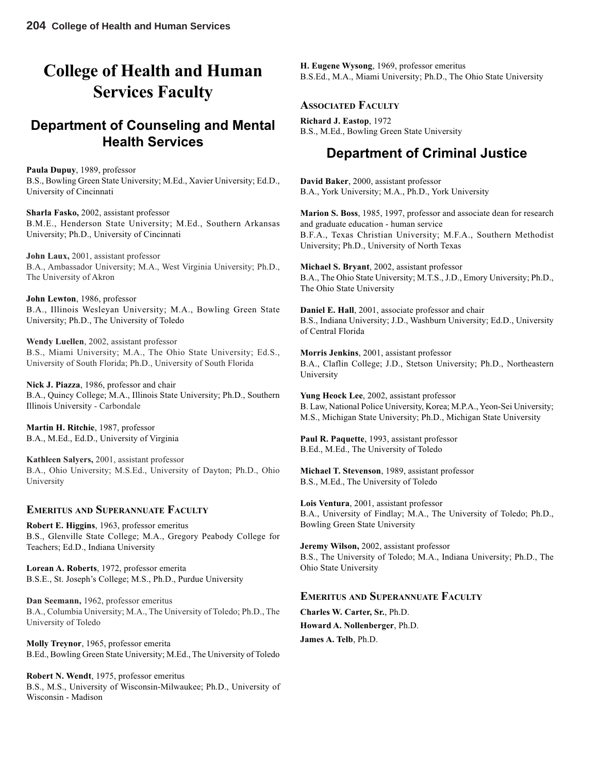# **College of Health and Human Services Faculty**

## **Department of Counseling and Mental Health Services**

**Paula Dupuy**, 1989, professor B.S., Bowling Green State University; M.Ed., Xavier University; Ed.D., University of Cincinnati

**Sharla Fasko,** 2002, assistant professor B.M.E., Henderson State University; M.Ed., Southern Arkansas University; Ph.D., University of Cincinnati

**John Laux,** 2001, assistant professor B.A., Ambassador University; M.A., West Virginia University; Ph.D., The University of Akron

**John Lewton**, 1986, professor B.A., Illinois Wesleyan University; M.A., Bowling Green State University; Ph.D., The University of Toledo

**Wendy Luellen**, 2002, assistant professor B.S., Miami University; M.A., The Ohio State University; Ed.S., University of South Florida; Ph.D., University of South Florida

**Nick J. Piazza**, 1986, professor and chair B.A., Quincy College; M.A., Illinois State University; Ph.D., Southern Illinois University - Carbondale

**Martin H. Ritchie**, 1987, professor B.A., M.Ed., Ed.D., University of Virginia

**Kathleen Salyers,** 2001, assistant professor B.A., Ohio University; M.S.Ed., University of Dayton; Ph.D., Ohio University

#### **EMERITUS AND SUPERANNUATE FACULTY**

**Robert E. Higgins**, 1963, professor emeritus B.S., Glenville State College; M.A., Gregory Peabody College for Teachers; Ed.D., Indiana University

**Lorean A. Roberts**, 1972, professor emerita B.S.E., St. Joseph's College; M.S., Ph.D., Purdue University

**Dan Seemann,** 1962, professor emeritus B.A., Columbia University; M.A., The University of Toledo; Ph.D., The University of Toledo

**Molly Treynor**, 1965, professor emerita B.Ed., Bowling Green State University; M.Ed., The University of Toledo

**Robert N. Wendt**, 1975, professor emeritus B.S., M.S., University of Wisconsin-Milwaukee; Ph.D., University of Wisconsin - Madison

**H. Eugene Wysong**, 1969, professor emeritus B.S.Ed., M.A., Miami University; Ph.D., The Ohio State University

### **ASSOCIATED FACULTY**

**Richard J. Eastop**, 1972 B.S., M.Ed., Bowling Green State University

## **Department of Criminal Justice**

**David Baker**, 2000, assistant professor B.A., York University; M.A., Ph.D., York University

**Marion S. Boss**, 1985, 1997, professor and associate dean for research and graduate education - human service B.F.A., Texas Christian University; M.F.A., Southern Methodist University; Ph.D., University of North Texas

**Michael S. Bryant**, 2002, assistant professor B.A., The Ohio State University; M.T.S., J.D., Emory University; Ph.D., The Ohio State University

**Daniel E. Hall**, 2001, associate professor and chair B.S., Indiana University; J.D., Washburn University; Ed.D., University of Central Florida

**Morris Jenkins**, 2001, assistant professor B.A., Claflin College; J.D., Stetson University; Ph.D., Northeastern University

**Yung Heock Lee**, 2002, assistant professor B. Law, National Police University, Korea; M.P.A., Yeon-Sei University; M.S., Michigan State University; Ph.D., Michigan State University

**Paul R. Paquette**, 1993, assistant professor B.Ed., M.Ed., The University of Toledo

**Michael T. Stevenson**, 1989, assistant professor B.S., M.Ed., The University of Toledo

**Lois Ventura**, 2001, assistant professor B.A., University of Findlay; M.A., The University of Toledo; Ph.D., Bowling Green State University

**Jeremy Wilson,** 2002, assistant professor B.S., The University of Toledo; M.A., Indiana University; Ph.D., The Ohio State University

#### **EMERITUS AND SUPERANNUATE FACULTY**

**Charles W. Carter, Sr.**, Ph.D. **Howard A. Nollenberger**, Ph.D. **James A. Telb**, Ph.D.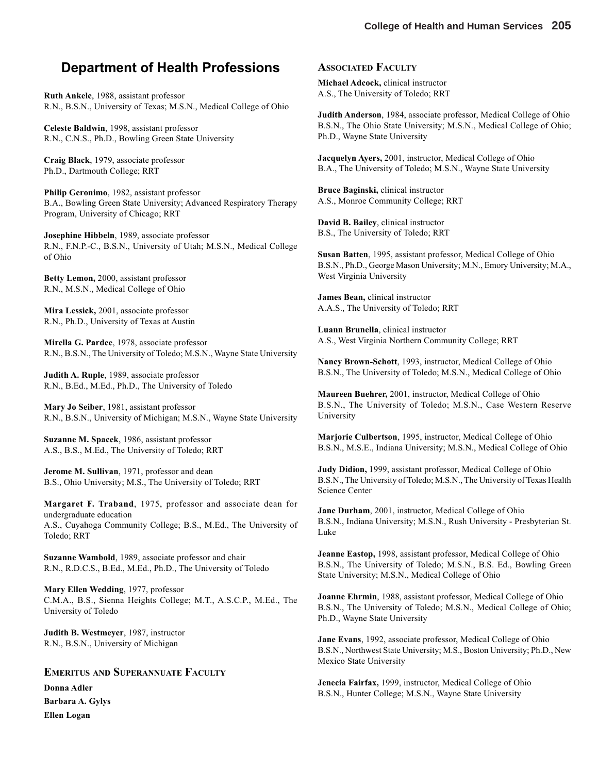## **Department of Health Professions**

**Ruth Ankele**, 1988, assistant professor R.N., B.S.N., University of Texas; M.S.N., Medical College of Ohio

**Celeste Baldwin**, 1998, assistant professor R.N., C.N.S., Ph.D., Bowling Green State University

**Craig Black**, 1979, associate professor Ph.D., Dartmouth College; RRT

**Philip Geronimo**, 1982, assistant professor B.A., Bowling Green State University; Advanced Respiratory Therapy Program, University of Chicago; RRT

**Josephine Hibbeln**, 1989, associate professor R.N., F.N.P.-C., B.S.N., University of Utah; M.S.N., Medical College of Ohio

**Betty Lemon,** 2000, assistant professor R.N., M.S.N., Medical College of Ohio

**Mira Lessick,** 2001, associate professor R.N., Ph.D., University of Texas at Austin

**Mirella G. Pardee**, 1978, associate professor R.N., B.S.N., The University of Toledo; M.S.N., Wayne State University

**Judith A. Ruple**, 1989, associate professor R.N., B.Ed., M.Ed., Ph.D., The University of Toledo

**Mary Jo Seiber**, 1981, assistant professor R.N., B.S.N., University of Michigan; M.S.N., Wayne State University

**Suzanne M. Spacek**, 1986, assistant professor A.S., B.S., M.Ed., The University of Toledo; RRT

**Jerome M. Sullivan**, 1971, professor and dean B.S., Ohio University; M.S., The University of Toledo; RRT

**Margaret F. Traband**, 1975, professor and associate dean for undergraduate education A.S., Cuyahoga Community College; B.S., M.Ed., The University of Toledo; RRT

**Suzanne Wambold**, 1989, associate professor and chair R.N., R.D.C.S., B.Ed., M.Ed., Ph.D., The University of Toledo

**Mary Ellen Wedding**, 1977, professor C.M.A., B.S., Sienna Heights College; M.T., A.S.C.P., M.Ed., The University of Toledo

**Judith B. Westmeyer**, 1987, instructor R.N., B.S.N., University of Michigan

#### **EMERITUS AND SUPERANNUATE FACULTY**

**Donna Adler Barbara A. Gylys Ellen Logan**

#### **ASSOCIATED FACULTY**

**Michael Adcock,** clinical instructor A.S., The University of Toledo; RRT

**Judith Anderson**, 1984, associate professor, Medical College of Ohio B.S.N., The Ohio State University; M.S.N., Medical College of Ohio; Ph.D., Wayne State University

**Jacquelyn Ayers,** 2001, instructor, Medical College of Ohio B.A., The University of Toledo; M.S.N., Wayne State University

**Bruce Baginski,** clinical instructor A.S., Monroe Community College; RRT

**David B. Bailey**, clinical instructor B.S., The University of Toledo; RRT

**Susan Batten**, 1995, assistant professor, Medical College of Ohio B.S.N., Ph.D., George Mason University; M.N., Emory University; M.A., West Virginia University

**James Bean,** clinical instructor A.A.S., The University of Toledo; RRT

**Luann Brunella**, clinical instructor A.S., West Virginia Northern Community College; RRT

**Nancy Brown-Schott**, 1993, instructor, Medical College of Ohio B.S.N., The University of Toledo; M.S.N., Medical College of Ohio

**Maureen Buehrer,** 2001, instructor, Medical College of Ohio B.S.N., The University of Toledo; M.S.N., Case Western Reserve University

**Marjorie Culbertson**, 1995, instructor, Medical College of Ohio B.S.N., M.S.E., Indiana University; M.S.N., Medical College of Ohio

**Judy Didion,** 1999, assistant professor, Medical College of Ohio B.S.N., The University of Toledo; M.S.N., The University of Texas Health Science Center

**Jane Durham**, 2001, instructor, Medical College of Ohio B.S.N., Indiana University; M.S.N., Rush University - Presbyterian St. Luke

**Jeanne Eastop,** 1998, assistant professor, Medical College of Ohio B.S.N., The University of Toledo; M.S.N., B.S. Ed., Bowling Green State University; M.S.N., Medical College of Ohio

**Joanne Ehrmin**, 1988, assistant professor, Medical College of Ohio B.S.N., The University of Toledo; M.S.N., Medical College of Ohio; Ph.D., Wayne State University

**Jane Evans**, 1992, associate professor, Medical College of Ohio B.S.N., Northwest State University; M.S., Boston University; Ph.D., New Mexico State University

**Jenecia Fairfax,** 1999, instructor, Medical College of Ohio B.S.N., Hunter College; M.S.N., Wayne State University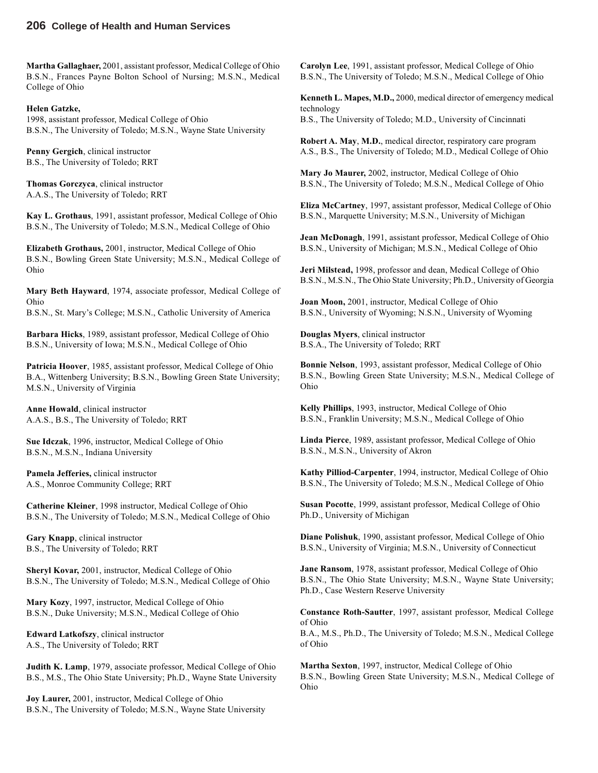**Martha Gallaghaer,** 2001, assistant professor, Medical College of Ohio B.S.N., Frances Payne Bolton School of Nursing; M.S.N., Medical College of Ohio

#### **Helen Gatzke,**

1998, assistant professor, Medical College of Ohio B.S.N., The University of Toledo; M.S.N., Wayne State University

**Penny Gergich**, clinical instructor B.S., The University of Toledo; RRT

**Thomas Gorczyca**, clinical instructor A.A.S., The University of Toledo; RRT

**Kay L. Grothaus**, 1991, assistant professor, Medical College of Ohio B.S.N., The University of Toledo; M.S.N., Medical College of Ohio

**Elizabeth Grothaus,** 2001, instructor, Medical College of Ohio B.S.N., Bowling Green State University; M.S.N., Medical College of Ohio

**Mary Beth Hayward**, 1974, associate professor, Medical College of Ohio

B.S.N., St. Mary's College; M.S.N., Catholic University of America

**Barbara Hicks**, 1989, assistant professor, Medical College of Ohio B.S.N., University of Iowa; M.S.N., Medical College of Ohio

**Patricia Hoover**, 1985, assistant professor, Medical College of Ohio B.A., Wittenberg University; B.S.N., Bowling Green State University; M.S.N., University of Virginia

**Anne Howald**, clinical instructor A.A.S., B.S., The University of Toledo; RRT

**Sue Idczak**, 1996, instructor, Medical College of Ohio B.S.N., M.S.N., Indiana University

**Pamela Jefferies,** clinical instructor A.S., Monroe Community College; RRT

**Catherine Kleiner**, 1998 instructor, Medical College of Ohio B.S.N., The University of Toledo; M.S.N., Medical College of Ohio

**Gary Knapp**, clinical instructor B.S., The University of Toledo; RRT

**Sheryl Kovar,** 2001, instructor, Medical College of Ohio B.S.N., The University of Toledo; M.S.N., Medical College of Ohio

**Mary Kozy**, 1997, instructor, Medical College of Ohio B.S.N., Duke University; M.S.N., Medical College of Ohio

**Edward Latkofszy**, clinical instructor A.S., The University of Toledo; RRT

**Judith K. Lamp**, 1979, associate professor, Medical College of Ohio B.S., M.S., The Ohio State University; Ph.D., Wayne State University

**Joy Laurer,** 2001, instructor, Medical College of Ohio B.S.N., The University of Toledo; M.S.N., Wayne State University **Carolyn Lee**, 1991, assistant professor, Medical College of Ohio B.S.N., The University of Toledo; M.S.N., Medical College of Ohio

**Kenneth L. Mapes, M.D.,** 2000, medical director of emergency medical technology B.S., The University of Toledo; M.D., University of Cincinnati

**Robert A. May**, **M.D.**, medical director, respiratory care program A.S., B.S., The University of Toledo; M.D., Medical College of Ohio

**Mary Jo Maurer,** 2002, instructor, Medical College of Ohio B.S.N., The University of Toledo; M.S.N., Medical College of Ohio

**Eliza McCartney**, 1997, assistant professor, Medical College of Ohio B.S.N., Marquette University; M.S.N., University of Michigan

**Jean McDonagh**, 1991, assistant professor, Medical College of Ohio B.S.N., University of Michigan; M.S.N., Medical College of Ohio

**Jeri Milstead,** 1998, professor and dean, Medical College of Ohio B.S.N., M.S.N., The Ohio State University; Ph.D., University of Georgia

**Joan Moon,** 2001, instructor, Medical College of Ohio B.S.N., University of Wyoming; N.S.N., University of Wyoming

**Douglas Myers**, clinical instructor B.S.A., The University of Toledo; RRT

**Bonnie Nelson**, 1993, assistant professor, Medical College of Ohio B.S.N., Bowling Green State University; M.S.N., Medical College of Ohio

**Kelly Phillips**, 1993, instructor, Medical College of Ohio B.S.N., Franklin University; M.S.N., Medical College of Ohio

**Linda Pierce**, 1989, assistant professor, Medical College of Ohio B.S.N., M.S.N., University of Akron

**Kathy Pilliod-Carpenter**, 1994, instructor, Medical College of Ohio B.S.N., The University of Toledo; M.S.N., Medical College of Ohio

**Susan Pocotte**, 1999, assistant professor, Medical College of Ohio Ph.D., University of Michigan

**Diane Polishuk**, 1990, assistant professor, Medical College of Ohio B.S.N., University of Virginia; M.S.N., University of Connecticut

**Jane Ransom**, 1978, assistant professor, Medical College of Ohio B.S.N., The Ohio State University; M.S.N., Wayne State University; Ph.D., Case Western Reserve University

**Constance Roth-Sautter**, 1997, assistant professor, Medical College of Ohio

B.A., M.S., Ph.D., The University of Toledo; M.S.N., Medical College of Ohio

**Martha Sexton**, 1997, instructor, Medical College of Ohio B.S.N., Bowling Green State University; M.S.N., Medical College of Ohio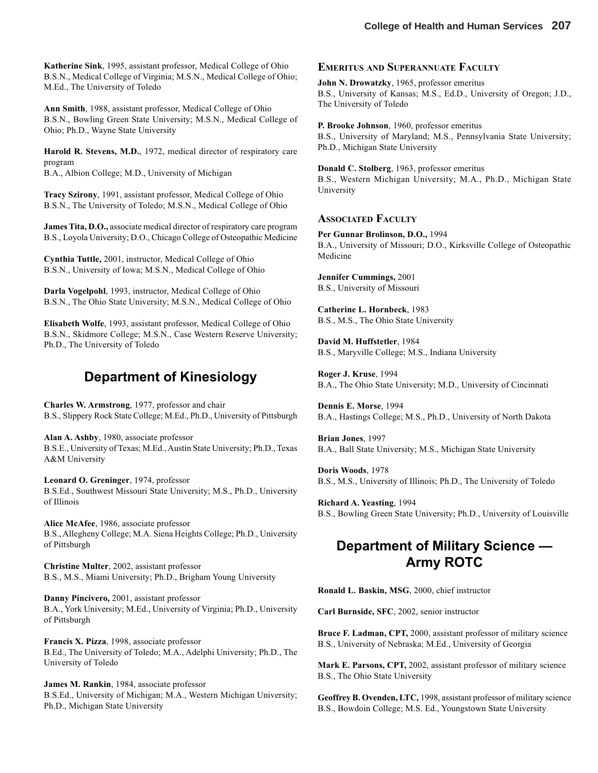**Katherine Sink**, 1995, assistant professor, Medical College of Ohio B.S.N., Medical College of Virginia; M.S.N., Medical College of Ohio; M.Ed., The University of Toledo

**Ann Smith**, 1988, assistant professor, Medical College of Ohio B.S.N., Bowling Green State University; M.S.N., Medical College of Ohio; Ph.D., Wayne State University

**Harold R. Stevens, M.D.**, 1972, medical director of respiratory care program B.A., Albion College; M.D., University of Michigan

**Tracy Szirony**, 1991, assistant professor, Medical College of Ohio B.S.N., The University of Toledo; M.S.N., Medical College of Ohio

**James Tita, D.O.,** associate medical director of respiratory care program B.S., Loyola University; D.O., Chicago College of Osteopathic Medicine

**Cynthia Tuttle,** 2001, instructor, Medical College of Ohio B.S.N., University of Iowa; M.S.N., Medical College of Ohio

**Darla Vogelpohl**, 1993, instructor, Medical College of Ohio B.S.N., The Ohio State University; M.S.N., Medical College of Ohio

**Elisabeth Wolfe**, 1993, assistant professor, Medical College of Ohio B.S.N., Skidmore College; M.S.N., Case Western Reserve University; Ph.D., The University of Toledo

## **Department of Kinesiology**

**Charles W. Armstrong**, 1977, professor and chair B.S., Slippery Rock State College; M.Ed., Ph.D., University of Pittsburgh

**Alan A. Ashby**, 1980, associate professor B.S.E., University of Texas; M.Ed., Austin State University; Ph.D., Texas A&M University

**Leonard O. Greninger**, 1974, professor B.S.Ed., Southwest Missouri State University; M.S., Ph.D., University of Illinois

**Alice McAfee**, 1986, associate professor B.S., Allegheny College; M.A. Siena Heights College; Ph.D., University of Pittsburgh

**Christine Multer**, 2002, assistant professor B.S., M.S., Miami University; Ph.D., Brigham Young University

**Danny Pincivero,** 2001, assistant professor B.A., York University; M.Ed., University of Virginia; Ph.D., University of Pittsburgh

**Francis X. Pizza**, 1998, associate professor B.Ed., The University of Toledo; M.A., Adelphi University; Ph.D., The University of Toledo

**James M. Rankin**, 1984, associate professor B.S.Ed., University of Michigan; M.A., Western Michigan University; Ph.D., Michigan State University

#### **EMERITUS AND SUPERANNUATE FACULTY**

**John N. Drowatzky**, 1965, professor emeritus B.S., University of Kansas; M.S., Ed.D., University of Oregon; J.D., The University of Toledo

**P. Brooke Johnson**, 1960, professor emeritus B.S., University of Maryland; M.S., Pennsylvania State University; Ph.D., Michigan State University

**Donald C. Stolberg**, 1963, professor emeritus B.S., Western Michigan University; M.A., Ph.D., Michigan State University

#### **ASSOCIATED FACULTY**

**Per Gunnar Brolinson, D.O.,** 1994 B.A., University of Missouri; D.O., Kirksville College of Osteopathic Medicine

**Jennifer Cummings,** 2001 B.S., University of Missouri

**Catherine L. Hornbeck**, 1983 B.S., M.S., The Ohio State University

**David M. Huffstetler**, 1984 B.S., Maryville College; M.S., Indiana University

**Roger J. Kruse**, 1994 B.A., The Ohio State University; M.D., University of Cincinnati

**Dennis E. Morse**, 1994 B.A., Hastings College; M.S., Ph.D., University of North Dakota

**Brian Jones**, 1997 B.A., Ball State University; M.S., Michigan State University

**Doris Woods**, 1978 B.S., M.S., University of Illinois; Ph.D., The University of Toledo

**Richard A. Yeasting**, 1994 B.S., Bowling Green State University; Ph.D., University of Louisville

## **Department of Military Science — Army ROTC**

**Ronald L. Baskin, MSG**, 2000, chief instructor

**Carl Burnside, SFC**, 2002, senior instructor

**Bruce F. Ladman, CPT,** 2000, assistant professor of military science B.S., University of Nebraska; M.Ed., University of Georgia

**Mark E. Parsons, CPT,** 2002, assistant professor of military science B.S., The Ohio State University

**Geoffrey B. Ovenden, LTC,** 1998, assistant professor of military science B.S., Bowdoin College; M.S. Ed., Youngstown State University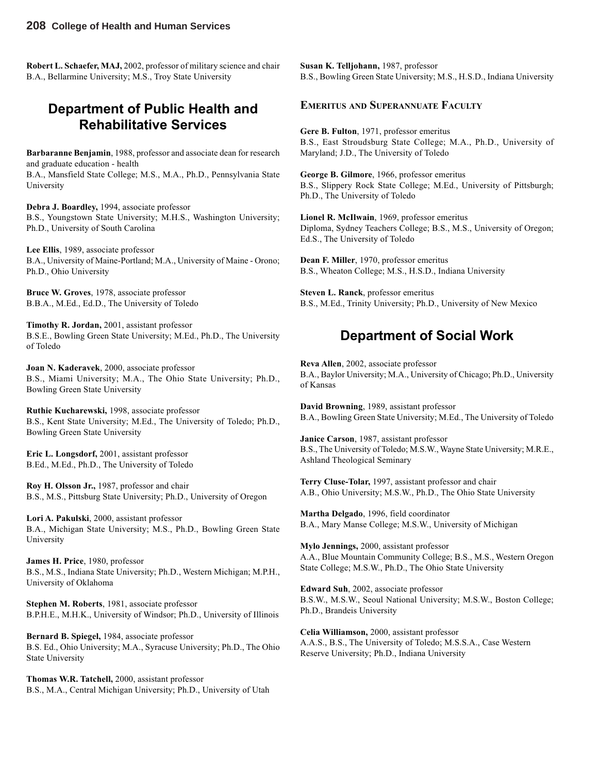**Robert L. Schaefer, MAJ,** 2002, professor of military science and chair B.A., Bellarmine University; M.S., Troy State University

## **Department of Public Health and Rehabilitative Services**

**Barbaranne Benjamin**, 1988, professor and associate dean for research and graduate education - health

B.A., Mansfield State College; M.S., M.A., Ph.D., Pennsylvania State University

**Debra J. Boardley,** 1994, associate professor B.S., Youngstown State University; M.H.S., Washington University; Ph.D., University of South Carolina

**Lee Ellis**, 1989, associate professor B.A., University of Maine-Portland; M.A., University of Maine - Orono; Ph.D., Ohio University

**Bruce W. Groves**, 1978, associate professor B.B.A., M.Ed., Ed.D., The University of Toledo

**Timothy R. Jordan,** 2001, assistant professor B.S.E., Bowling Green State University; M.Ed., Ph.D., The University of Toledo

**Joan N. Kaderavek**, 2000, associate professor B.S., Miami University; M.A., The Ohio State University; Ph.D., Bowling Green State University

**Ruthie Kucharewski,** 1998, associate professor B.S., Kent State University; M.Ed., The University of Toledo; Ph.D., Bowling Green State University

**Eric L. Longsdorf,** 2001, assistant professor B.Ed., M.Ed., Ph.D., The University of Toledo

**Roy H. Olsson Jr.,** 1987, professor and chair B.S., M.S., Pittsburg State University; Ph.D., University of Oregon

**Lori A. Pakulski**, 2000, assistant professor B.A., Michigan State University; M.S., Ph.D., Bowling Green State University

**James H. Price**, 1980, professor B.S., M.S., Indiana State University; Ph.D., Western Michigan; M.P.H., University of Oklahoma

**Stephen M. Roberts**, 1981, associate professor B.P.H.E., M.H.K., University of Windsor; Ph.D., University of Illinois

**Bernard B. Spiegel,** 1984, associate professor B.S. Ed., Ohio University; M.A., Syracuse University; Ph.D., The Ohio State University

**Thomas W.R. Tatchell,** 2000, assistant professor B.S., M.A., Central Michigan University; Ph.D., University of Utah **Susan K. Telljohann,** 1987, professor B.S., Bowling Green State University; M.S., H.S.D., Indiana University

#### **EMERITUS AND SUPERANNUATE FACULTY**

**Gere B. Fulton**, 1971, professor emeritus B.S., East Stroudsburg State College; M.A., Ph.D., University of Maryland; J.D., The University of Toledo

**George B. Gilmore**, 1966, professor emeritus B.S., Slippery Rock State College; M.Ed., University of Pittsburgh; Ph.D., The University of Toledo

**Lionel R. McIlwain**, 1969, professor emeritus Diploma, Sydney Teachers College; B.S., M.S., University of Oregon; Ed.S., The University of Toledo

**Dean F. Miller**, 1970, professor emeritus B.S., Wheaton College; M.S., H.S.D., Indiana University

**Steven L. Ranck**, professor emeritus B.S., M.Ed., Trinity University; Ph.D., University of New Mexico

## **Department of Social Work**

**Reva Allen**, 2002, associate professor B.A., Baylor University; M.A., University of Chicago; Ph.D., University of Kansas

**David Browning**, 1989, assistant professor B.A., Bowling Green State University; M.Ed., The University of Toledo

**Janice Carson**, 1987, assistant professor B.S., The University of Toledo; M.S.W., Wayne State University; M.R.E., Ashland Theological Seminary

**Terry Cluse-Tolar,** 1997, assistant professor and chair A.B., Ohio University; M.S.W., Ph.D., The Ohio State University

**Martha Delgado**, 1996, field coordinator B.A., Mary Manse College; M.S.W., University of Michigan

**Mylo Jennings,** 2000, assistant professor A.A., Blue Mountain Community College; B.S., M.S., Western Oregon State College; M.S.W., Ph.D., The Ohio State University

**Edward Suh**, 2002, associate professor B.S.W., M.S.W., Seoul National University; M.S.W., Boston College; Ph.D., Brandeis University

**Celia Williamson,** 2000, assistant professor A.A.S., B.S., The University of Toledo; M.S.S.A., Case Western Reserve University; Ph.D., Indiana University